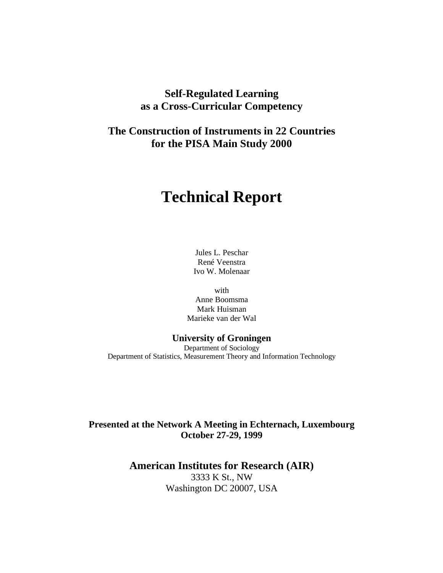## **Self-Regulated Learning as a Cross-Curricular Competency**

**The Construction of Instruments in 22 Countries for the PISA Main Study 2000** 

# **Technical Report**

Jules L. Peschar René Veenstra Ivo W. Molenaar

with Anne Boomsma Mark Huisman Marieke van der Wal

## **University of Groningen**

Department of Sociology Department of Statistics, Measurement Theory and Information Technology

## **Presented at the Network A Meeting in Echternach, Luxembourg October 27-29, 1999**

## **American Institutes for Research (AIR)**  3333 K St., NW Washington DC 20007, USA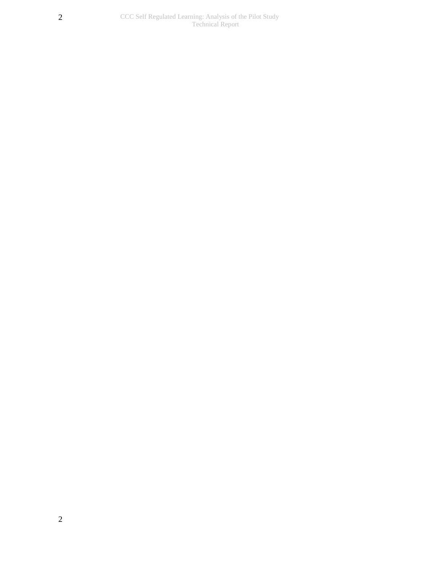CCC Self Regulated Learning: Analysis of the Pilot Study Technical Report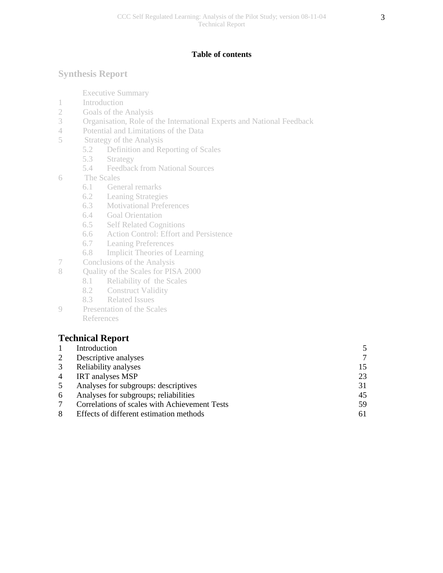## **Table of contents**

## **Synthesis Report**

Executive Summary

- 1 Introduction<br>2 Goals of the
- 2 Goals of the Analysis
- 3 Organisation, Role of the International Experts and National Feedback
- 4 Potential and Limitations of the Data
- 5 Strategy of the Analysis
	- 5.2 Definition and Reporting of Scales
	- 5.3 Strategy
	- 5.4 Feedback from National Sources
- 6 The Scales
	- 6.1 General remarks
	- 6.2 Leaning Strategies
	- 6.3 Motivational Preferences
	- 6.4 Goal Orientation
	- 6.5 Self Related Cognitions
	- 6.6 Action Control: Effort and Persistence
	- 6.7 Leaning Preferences
	- 6.8 Implicit Theories of Learning
- 7 Conclusions of the Analysis
- 8 Quality of the Scales for PISA 2000
	- 8.1 Reliability of the Scales
	- 8.2 Construct Validity<br>8.3 Related Issues
	- Related Issues
- 9 Presentation of the Scales References

## **Technical Report**

|                | Introduction                                  |    |
|----------------|-----------------------------------------------|----|
| 2              | Descriptive analyses                          |    |
| 3              | Reliability analyses                          | 15 |
| $\overline{4}$ | IRT analyses MSP                              | 23 |
| $\mathfrak{S}$ | Analyses for subgroups: descriptives          | 31 |
| 6              | Analyses for subgroups; reliabilities         | 45 |
|                | Correlations of scales with Achievement Tests | 59 |
| 8              | Effects of different estimation methods       | 61 |
|                |                                               |    |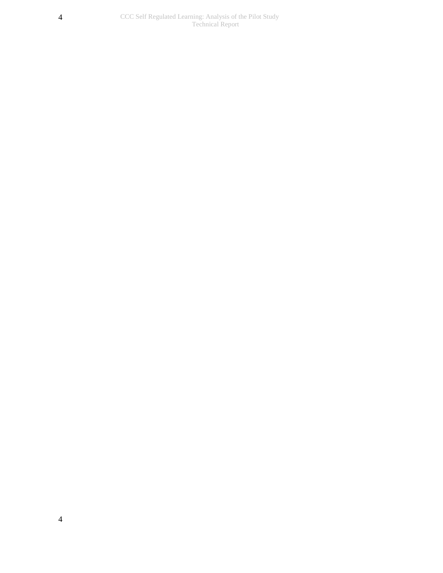CCC Self Regulated Learning: Analysis of the Pilot Study Technical Report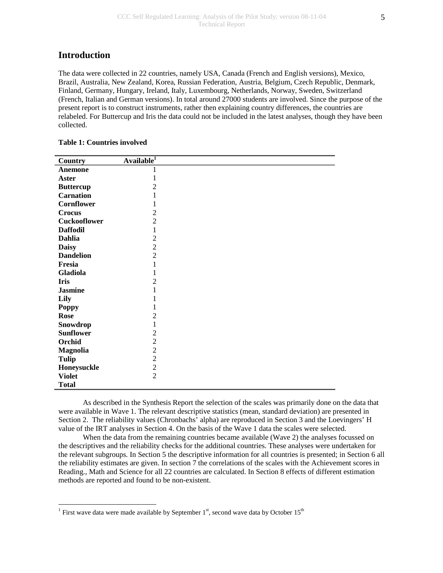## **Introduction**

The data were collected in 22 countries, namely USA, Canada (French and English versions), Mexico, Brazil, Australia, New Zealand, Korea, Russian Federation, Austria, Belgium, Czech Republic, Denmark, Finland, Germany, Hungary, Ireland, Italy, Luxembourg, Netherlands, Norway, Sweden, Switzerland (French, Italian and German versions). In total around 27000 students are involved. Since the purpose of the present report is to construct instruments, rather then explaining country differences, the countries are relabeled. For Buttercup and Iris the data could not be included in the latest analyses, though they have been collected.

| Country             | $A$ vailable $1$ |  |
|---------------------|------------------|--|
| Anemone             | 1                |  |
| <b>Aster</b>        | 1                |  |
| <b>Buttercup</b>    | $\overline{2}$   |  |
| <b>Carnation</b>    | $\mathbf{1}$     |  |
| <b>Cornflower</b>   | $\mathbf{1}$     |  |
| <b>Crocus</b>       | $\overline{2}$   |  |
| <b>Cuckooflower</b> | $\overline{2}$   |  |
| <b>Daffodil</b>     | $\mathbf{1}$     |  |
| <b>Dahlia</b>       | $\overline{c}$   |  |
| <b>Daisy</b>        | $\overline{2}$   |  |
| <b>Dandelion</b>    | $\overline{2}$   |  |
| Fresia              | $\mathbf 1$      |  |
| Gladiola            | 1                |  |
| Iris                | $\overline{c}$   |  |
| <b>Jasmine</b>      | $\mathbf{1}$     |  |
| Lily                | 1                |  |
| <b>Poppy</b>        | 1                |  |
| <b>Rose</b>         | $\overline{c}$   |  |
| Snowdrop            | $\mathbf{1}$     |  |
| <b>Sunflower</b>    | $\overline{c}$   |  |
| Orchid              | $\overline{2}$   |  |
| <b>Magnolia</b>     | $\overline{c}$   |  |
| <b>Tulip</b>        | $\overline{c}$   |  |
| Honeysuckle         | $\overline{c}$   |  |
| <b>Violet</b>       | $\overline{2}$   |  |
| <b>Total</b>        |                  |  |

#### **Table 1: Countries involved**

As described in the Synthesis Report the selection of the scales was primarily done on the data that were available in Wave 1. The relevant descriptive statistics (mean, standard deviation) are presented in Section 2. The reliability values (Chronbachs' alpha) are reproduced in Section 3 and the Loevingers' H value of the IRT analyses in Section 4. On the basis of the Wave 1 data the scales were selected.

When the data from the remaining countries became available (Wave 2) the analyses focussed on the descriptives and the reliability checks for the additional countries. These analyses were undertaken for the relevant subgroups. In Section 5 the descriptive information for all countries is presented; in Section 6 all the reliability estimates are given. In section 7 the correlations of the scales with the Achievement scores in Reading., Math and Science for all 22 countries are calculated. In Section 8 effects of different estimation methods are reported and found to be non-existent.

 $\overline{a}$ <sup>1</sup> First wave data were made available by September  $1<sup>st</sup>$ , second wave data by October  $15<sup>th</sup>$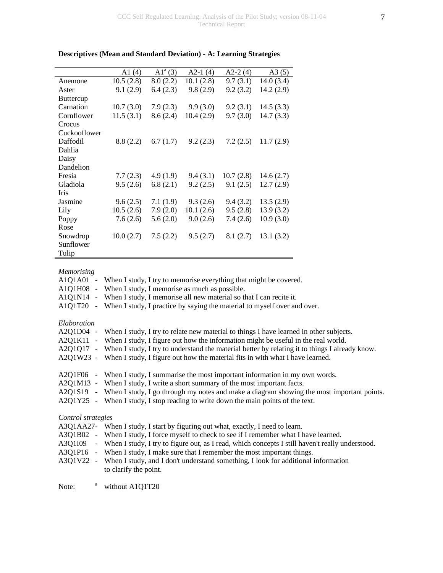|              | A1 $(4)$  | Al <sup>a</sup> (3) | A2-1 $(4)$ | A2-2 $(4)$ | A3(5)     |
|--------------|-----------|---------------------|------------|------------|-----------|
| Anemone      | 10.5(2.8) | 8.0(2.2)            | 10.1(2.8)  | 9.7(3.1)   | 14.0(3.4) |
| Aster        | 9.1(2.9)  | 6.4(2.3)            | 9.8(2.9)   | 9.2(3.2)   | 14.2(2.9) |
| Buttercup    |           |                     |            |            |           |
| Carnation    | 10.7(3.0) | 7.9(2.3)            | 9.9(3.0)   | 9.2(3.1)   | 14.5(3.3) |
| Cornflower   | 11.5(3.1) | 8.6(2.4)            | 10.4(2.9)  | 9.7(3.0)   | 14.7(3.3) |
| Crocus       |           |                     |            |            |           |
| Cuckooflower |           |                     |            |            |           |
| Daffodil     | 8.8(2.2)  | 6.7(1.7)            | 9.2(2.3)   | 7.2(2.5)   | 11.7(2.9) |
| Dahlia       |           |                     |            |            |           |
| Daisy        |           |                     |            |            |           |
| Dandelion    |           |                     |            |            |           |
| Fresia       | 7.7(2.3)  | 4.9(1.9)            | 9.4(3.1)   | 10.7(2.8)  | 14.6(2.7) |
| Gladiola     | 9.5(2.6)  | 6.8(2.1)            | 9.2(2.5)   | 9.1(2.5)   | 12.7(2.9) |
| Iris         |           |                     |            |            |           |
| Jasmine      | 9.6(2.5)  | 7.1(1.9)            | 9.3(2.6)   | 9.4(3.2)   | 13.5(2.9) |
| Lily         | 10.5(2.6) | 7.9(2.0)            | 10.1(2.6)  | 9.5(2.8)   | 13.9(3.2) |
| Poppy        | 7.6(2.6)  | 5.6(2.0)            | 9.0(2.6)   | 7.4(2.6)   | 10.9(3.0) |
| Rose         |           |                     |            |            |           |
| Snowdrop     | 10.0(2.7) | 7.5(2.2)            | 9.5(2.7)   | 8.1(2.7)   | 13.1(3.2) |
| Sunflower    |           |                     |            |            |           |
| Tulip        |           |                     |            |            |           |

## **Descriptives (Mean and Standard Deviation) - A: Learning Strategies**

| <b>Memorising</b>  | A1Q1A01 - When I study, I try to memorise everything that might be covered.<br>A1Q1H08 - When I study, I memorise as much as possible. |
|--------------------|----------------------------------------------------------------------------------------------------------------------------------------|
|                    | A1Q1N14 - When I study, I memorise all new material so that I can recite it.                                                           |
|                    | A1Q1T20 - When I study, I practice by saying the material to myself over and over.                                                     |
|                    |                                                                                                                                        |
| Elaboration        |                                                                                                                                        |
|                    | A2Q1D04 - When I study, I try to relate new material to things I have learned in other subjects.                                       |
|                    | A2Q1K11 - When I study, I figure out how the information might be useful in the real world.                                            |
|                    | A2Q1Q17 - When I study, I try to understand the material better by relating it to things I already know.                               |
|                    | A2Q1W23 - When I study, I figure out how the material fits in with what I have learned.                                                |
|                    | A2Q1F06 - When I study, I summarise the most important information in my own words.                                                    |
|                    | A2Q1M13 - When I study, I write a short summary of the most important facts.                                                           |
|                    | A2Q1S19 - When I study, I go through my notes and make a diagram showing the most important points.                                    |
|                    | A2Q1Y25 - When I study, I stop reading to write down the main points of the text.                                                      |
| Control strategies |                                                                                                                                        |
|                    | A3Q1AA27- When I study, I start by figuring out what, exactly, I need to learn.                                                        |
|                    | A3Q1B02 - When I study, I force myself to check to see if I remember what I have learned.                                              |
|                    | A3Q1I09 - When I study, I try to figure out, as I read, which concepts I still haven't really understood.                              |
|                    | A3Q1P16 - When I study, I make sure that I remember the most important things.                                                         |
|                    | A3Q1V22 - When I study, and I don't understand something, I look for additional information                                            |
|                    | to clarify the point.                                                                                                                  |
| a<br>Note:         | without A1Q1T20                                                                                                                        |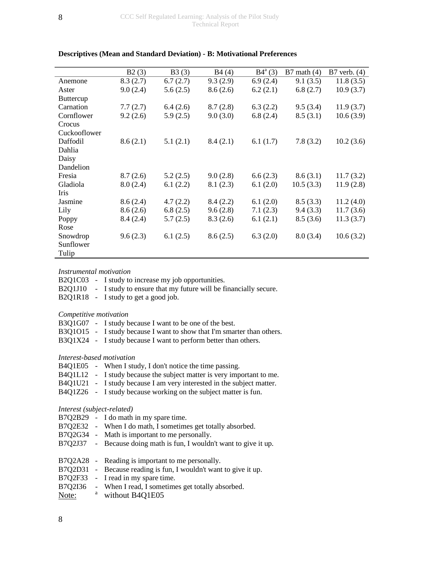|                  | B2(3)    | B3(3)    | B4(4)    | $B4^a(3)$ | $B7$ math $(4)$ | $B7$ verb. $(4)$ |
|------------------|----------|----------|----------|-----------|-----------------|------------------|
| Anemone          | 8.3(2.7) | 6.7(2.7) | 9.3(2.9) | 6.9(2.4)  | 9.1(3.5)        | 11.8(3.5)        |
| Aster            | 9.0(2.4) | 5.6(2.5) | 8.6(2.6) | 6.2(2.1)  | 6.8(2.7)        | 10.9(3.7)        |
| <b>Buttercup</b> |          |          |          |           |                 |                  |
| Carnation        | 7.7(2.7) | 6.4(2.6) | 8.7(2.8) | 6.3(2.2)  | 9.5(3.4)        | 11.9(3.7)        |
| Cornflower       | 9.2(2.6) | 5.9(2.5) | 9.0(3.0) | 6.8(2.4)  | 8.5(3.1)        | 10.6(3.9)        |
| Crocus           |          |          |          |           |                 |                  |
| Cuckooflower     |          |          |          |           |                 |                  |
| Daffodil         | 8.6(2.1) | 5.1(2.1) | 8.4(2.1) | 6.1(1.7)  | 7.8(3.2)        | 10.2(3.6)        |
| Dahlia           |          |          |          |           |                 |                  |
| Daisy            |          |          |          |           |                 |                  |
| Dandelion        |          |          |          |           |                 |                  |
| Fresia           | 8.7(2.6) | 5.2(2.5) | 9.0(2.8) | 6.6(2.3)  | 8.6(3.1)        | 11.7(3.2)        |
| Gladiola         | 8.0(2.4) | 6.1(2.2) | 8.1(2.3) | 6.1(2.0)  | 10.5(3.3)       | 11.9(2.8)        |
| <b>Iris</b>      |          |          |          |           |                 |                  |
| Jasmine          | 8.6(2.4) | 4.7(2.2) | 8.4(2.2) | 6.1(2.0)  | 8.5(3.3)        | 11.2(4.0)        |
| Lily             | 8.6(2.6) | 6.8(2.5) | 9.6(2.8) | 7.1(2.3)  | 9.4(3.3)        | 11.7(3.6)        |
| Poppy            | 8.4(2.4) | 5.7(2.5) | 8.3(2.6) | 6.1(2.1)  | 8.5(3.6)        | 11.3(3.7)        |
| Rose             |          |          |          |           |                 |                  |
| Snowdrop         | 9.6(2.3) | 6.1(2.5) | 8.6(2.5) | 6.3(2.0)  | 8.0(3.4)        | 10.6(3.2)        |
| Sunflower        |          |          |          |           |                 |                  |
| Tulip            |          |          |          |           |                 |                  |

#### **Descriptives (Mean and Standard Deviation) - B: Motivational Preferences**

#### *Instrumental motivation*

|  | B2Q1C03 - I study to increase my job opportunities.                    |
|--|------------------------------------------------------------------------|
|  | B2Q1J10 - I study to ensure that my future will be financially secure. |
|  | $B2Q1R18 - I$ study to get a good job.                                 |

*Competitive motivation* 

- B3Q1G07 I study because I want to be one of the best.
- B3Q1O15 I study because I want to show that I'm smarter than others.
- B3Q1X24 I study because I want to perform better than others.

*Interest-based motivation* 

- B4Q1E05 When I study, I don't notice the time passing.
- B4Q1L12 I study because the subject matter is very important to me.
- B4Q1U21 I study because I am very interested in the subject matter.
- B4Q1Z26 I study because working on the subject matter is fun.

#### *Interest (subject-related)*

|  | B7Q2B29 - I do math in my spare time.                               |
|--|---------------------------------------------------------------------|
|  | B7Q2E32 - When I do math, I sometimes get totally absorbed.         |
|  | B7Q2G34 - Math is important to me personally.                       |
|  | B7Q2J37 - Because doing math is fun, I wouldn't want to give it up. |
|  |                                                                     |
|  | B7Q2A28 - Reading is important to me personally.                    |
|  | B7Q2D31 - Because reading is fun, I wouldn't want to give it up.    |
|  | B7Q2F33 - I read in my spare time.                                  |
|  | B7Q2I36 - When I read, I sometimes get totally absorbed.            |

Note: <sup>a</sup> without B4Q1E05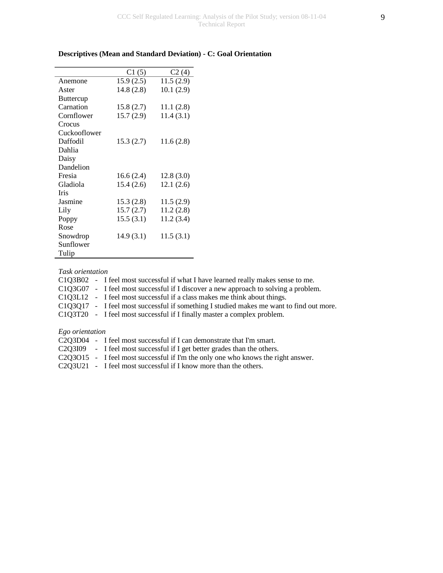|                  | C1(5)      | C2(4)     |
|------------------|------------|-----------|
| Anemone          | 15.9 (2.5) | 11.5(2.9) |
| Aster            | 14.8(2.8)  | 10.1(2.9) |
| <b>Buttercup</b> |            |           |
| Carnation        | 15.8(2.7)  | 11.1(2.8) |
| Cornflower       | 15.7 (2.9) | 11.4(3.1) |
| Crocus           |            |           |
| Cuckooflower     |            |           |
| Daffodil         | 15.3(2.7)  | 11.6(2.8) |
| Dahlia           |            |           |
| Daisy            |            |           |
| Dandelion        |            |           |
| Fresia           | 16.6(2.4)  | 12.8(3.0) |
| Gladiola         | 15.4 (2.6) | 12.1(2.6) |
| <b>Iris</b>      |            |           |
| Jasmine          | 15.3(2.8)  | 11.5(2.9) |
| Lily             | 15.7(2.7)  | 11.2(2.8) |
| Poppy            | 15.5 (3.1) | 11.2(3.4) |
| Rose             |            |           |
| Snowdrop         | 14.9(3.1)  | 11.5(3.1) |
| Sunflower        |            |           |
| Tulip            |            |           |

#### **Descriptives (Mean and Standard Deviation) - C: Goal Orientation**

#### *Task orientation*

C1Q3B02 - I feel most successful if what I have learned really makes sense to me.

C1Q3G07 - I feel most successful if I discover a new approach to solving a problem.

C1Q3L12 - I feel most successful if a class makes me think about things.

C1Q3Q17 - I feel most successful if something I studied makes me want to find out more.

C1Q3T20 - I feel most successful if I finally master a complex problem.

*Ego orientation* 

C2Q3D04 - I feel most successful if I can demonstrate that I'm smart.

- C2Q3I09 I feel most successful if I get better grades than the others.
- C2Q3O15 I feel most successful if I'm the only one who knows the right answer.
- C2Q3U21 I feel most successful if I know more than the others.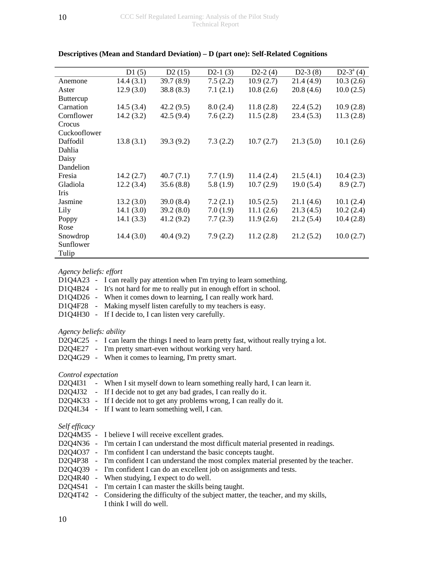|                  | D1(5)     | D2(15)    | $D2-1(3)$ | D <sub>2</sub> -2 $(4)$ | $D2-3(8)$ | $D2-3^a(4)$ |
|------------------|-----------|-----------|-----------|-------------------------|-----------|-------------|
| Anemone          | 14.4(3.1) | 39.7(8.9) | 7.5(2.2)  | 10.9(2.7)               | 21.4(4.9) | 10.3(2.6)   |
| Aster            | 12.9(3.0) | 38.8(8.3) | 7.1(2.1)  | 10.8(2.6)               | 20.8(4.6) | 10.0(2.5)   |
| <b>Buttercup</b> |           |           |           |                         |           |             |
| Carnation        | 14.5(3.4) | 42.2(9.5) | 8.0(2.4)  | 11.8(2.8)               | 22.4(5.2) | 10.9(2.8)   |
| Cornflower       | 14.2(3.2) | 42.5(9.4) | 7.6(2.2)  | 11.5(2.8)               | 23.4(5.3) | 11.3(2.8)   |
| Crocus           |           |           |           |                         |           |             |
| Cuckooflower     |           |           |           |                         |           |             |
| Daffodil         | 13.8(3.1) | 39.3(9.2) | 7.3(2.2)  | 10.7(2.7)               | 21.3(5.0) | 10.1(2.6)   |
| Dahlia           |           |           |           |                         |           |             |
| Daisy            |           |           |           |                         |           |             |
| Dandelion        |           |           |           |                         |           |             |
| Fresia           | 14.2(2.7) | 40.7(7.1) | 7.7(1.9)  | 11.4(2.4)               | 21.5(4.1) | 10.4(2.3)   |
| Gladiola         | 12.2(3.4) | 35.6(8.8) | 5.8(1.9)  | 10.7(2.9)               | 19.0(5.4) | 8.9(2.7)    |
| <b>Iris</b>      |           |           |           |                         |           |             |
| Jasmine          | 13.2(3.0) | 39.0(8.4) | 7.2(2.1)  | 10.5(2.5)               | 21.1(4.6) | 10.1(2.4)   |
| Lily             | 14.1(3.0) | 39.2(8.0) | 7.0(1.9)  | 11.1(2.6)               | 21.3(4.5) | 10.2(2.4)   |
| Poppy            | 14.1(3.3) | 41.2(9.2) | 7.7(2.3)  | 11.9(2.6)               | 21.2(5.4) | 10.4(2.8)   |
| Rose             |           |           |           |                         |           |             |
| Snowdrop         | 14.4(3.0) | 40.4(9.2) | 7.9(2.2)  | 11.2(2.8)               | 21.2(5.2) | 10.0(2.7)   |
| Sunflower        |           |           |           |                         |           |             |
| Tulip            |           |           |           |                         |           |             |

#### **Descriptives (Mean and Standard Deviation) – D (part one): Self-Related Cognitions**

#### *Agency beliefs: effort*

|  | D1Q4A23 - I can really pay attention when I'm trying to learn something. |
|--|--------------------------------------------------------------------------|
|  | D1Q4B24 - It's not hard for me to really put in enough effort in school. |
|  | D1Q4D26 - When it comes down to learning, I can really work hard.        |
|  | D1Q4F28 - Making myself listen carefully to my teachers is easy.         |
|  | D1Q4H30 - If I decide to, I can listen very carefully.                   |

#### *Agency beliefs: ability*

|  | D2Q4C25 - |  |  | I can learn the things I need to learn pretty fast, without really trying a lot. |
|--|-----------|--|--|----------------------------------------------------------------------------------|
|--|-----------|--|--|----------------------------------------------------------------------------------|

- D2Q4E27 I'm pretty smart-even without working very hard.
- D2Q4G29 When it comes to learning, I'm pretty smart.

#### *Control expectation*

| D2Q4I31 |  | When I sit myself down to learn something really hard, I can learn it. |  |  |  |  |  |  |
|---------|--|------------------------------------------------------------------------|--|--|--|--|--|--|
| ------- |  |                                                                        |  |  |  |  |  |  |

- D2Q4J32 If I decide not to get any bad grades, I can really do it.
- D2Q4K33 If I decide not to get any problems wrong, I can really do it.
- D2Q4L34 If I want to learn something well, I can.

### *Self efficacy*

|  | D2Q4M35 - I believe I will receive excellent grades.                                         |
|--|----------------------------------------------------------------------------------------------|
|  | D2Q4N36 - I'm certain I can understand the most difficult material presented in readings.    |
|  | D2Q4O37 - I'm confident I can understand the basic concepts taught.                          |
|  | D2Q4P38 - I'm confident I can understand the most complex material presented by the teacher. |
|  | D2Q4Q39 - I'm confident I can do an excellent job on assignments and tests.                  |
|  | D2Q4R40 - When studying, I expect to do well.                                                |
|  | D2Q4S41 - I'm certain I can master the skills being taught.                                  |
|  | D2Q4T42 - Considering the difficulty of the subject matter, the teacher, and my skills,      |
|  | I think I will do well.                                                                      |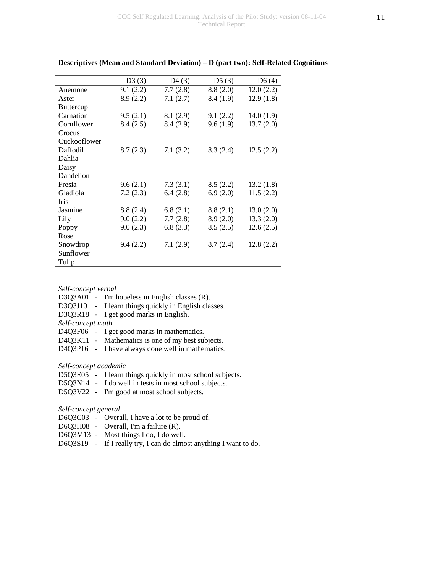|                  | D3(3)    | D4(3)    | D <sub>5</sub> $(3)$ | D6(4)     |
|------------------|----------|----------|----------------------|-----------|
| Anemone          | 9.1(2.2) | 7.7(2.8) | 8.8(2.0)             | 12.0(2.2) |
| Aster            | 8.9(2.2) | 7.1(2.7) | 8.4(1.9)             | 12.9(1.8) |
| <b>Buttercup</b> |          |          |                      |           |
| Carnation        | 9.5(2.1) | 8.1(2.9) | 9.1(2.2)             | 14.0(1.9) |
| Cornflower       | 8.4(2.5) | 8.4(2.9) | 9.6(1.9)             | 13.7(2.0) |
| Crocus           |          |          |                      |           |
| Cuckooflower     |          |          |                      |           |
| Daffodil         | 8.7(2.3) | 7.1(3.2) | 8.3(2.4)             | 12.5(2.2) |
| Dahlia           |          |          |                      |           |
| Daisy            |          |          |                      |           |
| Dandelion        |          |          |                      |           |
| Fresia           | 9.6(2.1) | 7.3(3.1) | 8.5(2.2)             | 13.2(1.8) |
| Gladiola         | 7.2(2.3) | 6.4(2.8) | 6.9(2.0)             | 11.5(2.2) |
| <b>Iris</b>      |          |          |                      |           |
| Jasmine          | 8.8(2.4) | 6.8(3.1) | 8.8(2.1)             | 13.0(2.0) |
| Lily             | 9.0(2.2) | 7.7(2.8) | 8.9(2.0)             | 13.3(2.0) |
| Poppy            | 9.0(2.3) | 6.8(3.3) | 8.5(2.5)             | 12.6(2.5) |
| Rose             |          |          |                      |           |
| Snowdrop         | 9.4(2.2) | 7.1(2.9) | 8.7(2.4)             | 12.8(2.2) |
| Sunflower        |          |          |                      |           |
| Tulip            |          |          |                      |           |

#### **Descriptives (Mean and Standard Deviation) – D (part two): Self-Related Cognitions**

*Self-concept verbal* 

- D3Q3A01 I'm hopeless in English classes (R).
- D3Q3J10 I learn things quickly in English classes.
- D3Q3R18 I get good marks in English.

*Self-concept math* 

- D4Q3F06 I get good marks in mathematics.
- D4Q3K11 Mathematics is one of my best subjects.
- D4Q3P16 I have always done well in mathematics.

*Self-concept academic* 

- D5Q3E05 I learn things quickly in most school subjects.
- D5Q3N14 I do well in tests in most school subjects.
- D5Q3V22 I'm good at most school subjects.

#### *Self-concept general*

- D6Q3C03 Overall, I have a lot to be proud of.
- D6Q3H08 Overall, I'm a failure (R).
- D6Q3M13 Most things I do, I do well.
- D6Q3S19 If I really try, I can do almost anything I want to do.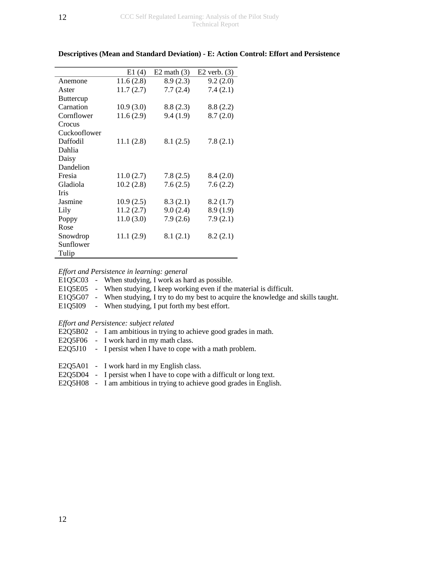|                  | E1(4)     | $E2$ math $(3)$ | $E2$ verb. $(3)$ |
|------------------|-----------|-----------------|------------------|
| Anemone          | 11.6(2.8) | 8.9(2.3)        | 9.2(2.0)         |
| Aster            | 11.7(2.7) | 7.7(2.4)        | 7.4(2.1)         |
| <b>Buttercup</b> |           |                 |                  |
| Carnation        | 10.9(3.0) | 8.8(2.3)        | 8.8(2.2)         |
| Cornflower       | 11.6(2.9) | 9.4(1.9)        | 8.7(2.0)         |
| Crocus           |           |                 |                  |
| Cuckooflower     |           |                 |                  |
| Daffodil         | 11.1(2.8) | 8.1(2.5)        | 7.8(2.1)         |
| Dahlia           |           |                 |                  |
| Daisy            |           |                 |                  |
| Dandelion        |           |                 |                  |
| Fresia           | 11.0(2.7) | 7.8(2.5)        | 8.4(2.0)         |
| Gladiola         | 10.2(2.8) | 7.6(2.5)        | 7.6(2.2)         |
| <b>Iris</b>      |           |                 |                  |
| Jasmine          | 10.9(2.5) | 8.3(2.1)        | 8.2(1.7)         |
| Lily             | 11.2(2.7) | 9.0(2.4)        | 8.9(1.9)         |
| Poppy            | 11.0(3.0) | 7.9(2.6)        | 7.9(2.1)         |
| Rose             |           |                 |                  |
| Snowdrop         | 11.1(2.9) | 8.1(2.1)        | 8.2(2.1)         |
| Sunflower        |           |                 |                  |
| Tulip            |           |                 |                  |

**Descriptives (Mean and Standard Deviation) - E: Action Control: Effort and Persistence** 

*Effort and Persistence in learning: general* 

| E1Q5C03 |  |  | When studying, I work as hard as possible. |
|---------|--|--|--------------------------------------------|
|---------|--|--|--------------------------------------------|

| E1Q5E05 |  |  |  | When studying, I keep working even if the material is difficult. |
|---------|--|--|--|------------------------------------------------------------------|
|---------|--|--|--|------------------------------------------------------------------|

E1Q5G07 - When studying, I try to do my best to acquire the knowledge and skills taught.

E1Q5I09 - When studying, I put forth my best effort.

*Effort and Persistence: subject related*

- E2Q5B02 I am ambitious in trying to achieve good grades in math.
- E2Q5F06 I work hard in my math class.
- E2Q5J10 I persist when I have to cope with a math problem.

E2Q5A01 - I work hard in my English class.

E2Q5D04 - I persist when I have to cope with a difficult or long text.

E2Q5H08 - I am ambitious in trying to achieve good grades in English.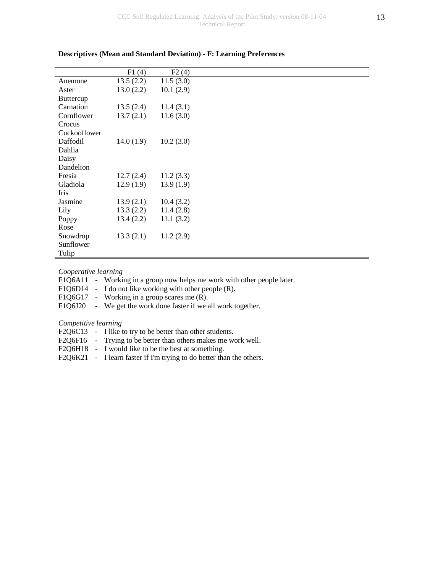|                  | F1(4)     | F2(4)     |
|------------------|-----------|-----------|
| Anemone          | 13.5(2.2) | 11.5(3.0) |
| Aster            | 13.0(2.2) | 10.1(2.9) |
| <b>Buttercup</b> |           |           |
| Carnation        | 13.5(2.4) | 11.4(3.1) |
| Cornflower       | 13.7(2.1) | 11.6(3.0) |
| Crocus           |           |           |
| Cuckooflower     |           |           |
| Daffodil         | 14.0(1.9) | 10.2(3.0) |
| Dahlia           |           |           |
| Daisy            |           |           |
| Dandelion        |           |           |
| Fresia           | 12.7(2.4) | 11.2(3.3) |
| Gladiola         | 12.9(1.9) | 13.9(1.9) |
| Iris             |           |           |
| Jasmine          | 13.9(2.1) | 10.4(3.2) |
| Lily             | 13.3(2.2) | 11.4(2.8) |
| Poppy            | 13.4(2.2) | 11.1(3.2) |
| Rose             |           |           |
| Snowdrop         | 13.3(2.1) | 11.2(2.9) |
| Sunflower        |           |           |
| Tulip            |           |           |

#### **Descriptives (Mean and Standard Deviation) - F: Learning Preferences**

#### *Cooperative learning*

|  | F1Q6A11 - Working in a group now helps me work with other people later. |
|--|-------------------------------------------------------------------------|
|  | F1O6D14 - I do not like working with other people $(R)$ .               |
|  | F1Q6G17 - Working in a group scares me $(R)$ .                          |
|  | F1Q6J20 - We get the work done faster if we all work together.          |

*Competitive learning* 

- F2Q6C13 I like to try to be better than other students.
- F2Q6F16 Trying to be better than others makes me work well.
- F2Q6H18 I would like to be the best at something.
- F2Q6K21 I learn faster if I'm trying to do better than the others.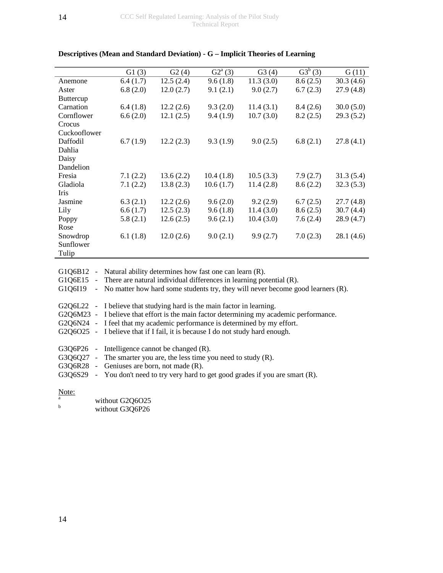|                  | G1(3)    | G2(4)     | $G2^a(3)$ | G3(4)     | $G3^{b}$ (3) | G(11)     |
|------------------|----------|-----------|-----------|-----------|--------------|-----------|
| Anemone          | 6.4(1.7) | 12.5(2.4) | 9.6(1.8)  | 11.3(3.0) | 8.6(2.5)     | 30.3(4.6) |
| Aster            | 6.8(2.0) | 12.0(2.7) | 9.1(2.1)  | 9.0(2.7)  | 6.7(2.3)     | 27.9(4.8) |
| <b>Buttercup</b> |          |           |           |           |              |           |
| Carnation        | 6.4(1.8) | 12.2(2.6) | 9.3(2.0)  | 11.4(3.1) | 8.4(2.6)     | 30.0(5.0) |
| Cornflower       | 6.6(2.0) | 12.1(2.5) | 9.4(1.9)  | 10.7(3.0) | 8.2(2.5)     | 29.3(5.2) |
| Crocus           |          |           |           |           |              |           |
| Cuckooflower     |          |           |           |           |              |           |
| Daffodil         | 6.7(1.9) | 12.2(2.3) | 9.3(1.9)  | 9.0(2.5)  | 6.8(2.1)     | 27.8(4.1) |
| Dahlia           |          |           |           |           |              |           |
| Daisy            |          |           |           |           |              |           |
| Dandelion        |          |           |           |           |              |           |
| Fresia           | 7.1(2.2) | 13.6(2.2) | 10.4(1.8) | 10.5(3.3) | 7.9(2.7)     | 31.3(5.4) |
| Gladiola         | 7.1(2.2) | 13.8(2.3) | 10.6(1.7) | 11.4(2.8) | 8.6(2.2)     | 32.3(5.3) |
| <b>Iris</b>      |          |           |           |           |              |           |
| Jasmine          | 6.3(2.1) | 12.2(2.6) | 9.6(2.0)  | 9.2(2.9)  | 6.7(2.5)     | 27.7(4.8) |
| Lily             | 6.6(1.7) | 12.5(2.3) | 9.6(1.8)  | 11.4(3.0) | 8.6(2.5)     | 30.7(4.4) |
| Poppy            | 5.8(2.1) | 12.6(2.5) | 9.6(2.1)  | 10.4(3.0) | 7.6(2.4)     | 28.9(4.7) |
| Rose             |          |           |           |           |              |           |
| Snowdrop         | 6.1(1.8) | 12.0(2.6) | 9.0(2.1)  | 9.9(2.7)  | 7.0(2.3)     | 28.1(4.6) |
| Sunflower        |          |           |           |           |              |           |
| Tulip            |          |           |           |           |              |           |
|                  |          |           |           |           |              |           |

## **Descriptives (Mean and Standard Deviation) - G – Implicit Theories of Learning**

| 1 unp        |                                                                                                                                                                                                                                                                                                                                 |
|--------------|---------------------------------------------------------------------------------------------------------------------------------------------------------------------------------------------------------------------------------------------------------------------------------------------------------------------------------|
|              | $G1Q6B12$ - Natural ability determines how fast one can learn $(R)$ .<br>$G1Q6E15$ - There are natural individual differences in learning potential $(R)$ .<br>$G1Q6I19$ - No matter how hard some students try, they will never become good learners $(R)$ .                                                                   |
|              | G2Q6L22 - I believe that studying hard is the main factor in learning.<br>G2Q6M23 - I believe that effort is the main factor determining my academic performance.<br>G2Q6N24 - I feel that my academic performance is determined by my effort.<br>G2Q6O25 - I believe that if I fail, it is because I do not study hard enough. |
|              | $G3Q6P26$ - Intelligence cannot be changed $(R)$ .<br>G3Q6Q27 - The smarter you are, the less time you need to study $(R)$ .<br>G3Q6R28 - Geniuses are born, not made (R).<br>G3Q6S29 - You don't need to try very hard to get good grades if you are smart $(R)$ .                                                             |
| $\mathbf{r}$ |                                                                                                                                                                                                                                                                                                                                 |

| а   | without G2Q6O25 |
|-----|-----------------|
| - b | without G3Q6P26 |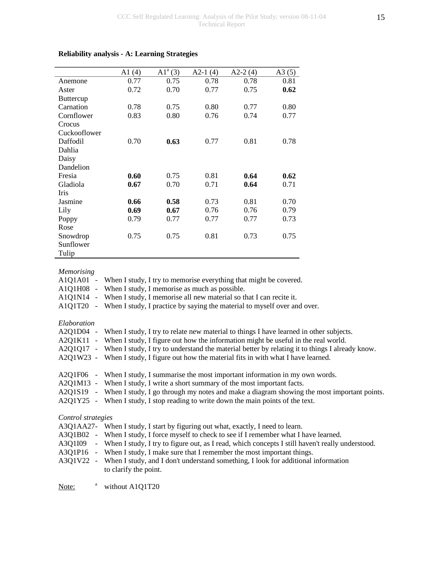|                  | A1 $(4)$ | Al <sup>a</sup> (3) | $A2-1(4)$ | A2-2 $(4)$ | A3(5) |
|------------------|----------|---------------------|-----------|------------|-------|
| Anemone          | 0.77     | 0.75                | 0.78      | 0.78       | 0.81  |
| Aster            | 0.72     | 0.70                | 0.77      | 0.75       | 0.62  |
| <b>Buttercup</b> |          |                     |           |            |       |
| Carnation        | 0.78     | 0.75                | 0.80      | 0.77       | 0.80  |
| Cornflower       | 0.83     | 0.80                | 0.76      | 0.74       | 0.77  |
| Crocus           |          |                     |           |            |       |
| Cuckooflower     |          |                     |           |            |       |
| Daffodil         | 0.70     | 0.63                | 0.77      | 0.81       | 0.78  |
| Dahlia           |          |                     |           |            |       |
| Daisy            |          |                     |           |            |       |
| Dandelion        |          |                     |           |            |       |
| Fresia           | 0.60     | 0.75                | 0.81      | 0.64       | 0.62  |
| Gladiola         | 0.67     | 0.70                | 0.71      | 0.64       | 0.71  |
| Iris             |          |                     |           |            |       |
| Jasmine          | 0.66     | 0.58                | 0.73      | 0.81       | 0.70  |
| Lily             | 0.69     | 0.67                | 0.76      | 0.76       | 0.79  |
| Poppy            | 0.79     | 0.77                | 0.77      | 0.77       | 0.73  |
| Rose             |          |                     |           |            |       |
| Snowdrop         | 0.75     | 0.75                | 0.81      | 0.73       | 0.75  |
| Sunflower        |          |                     |           |            |       |
| Tulip            |          |                     |           |            |       |

## **Reliability analysis - A: Learning Strategies**

| <i>Memorising</i>  |                                                                                                                      |
|--------------------|----------------------------------------------------------------------------------------------------------------------|
| $A1Q1A01 -$        | When I study, I try to memorise everything that might be covered.                                                    |
|                    | A1Q1H08 - When I study, I memorise as much as possible.                                                              |
| A1Q1N14 -          | When I study, I memorise all new material so that I can recite it.                                                   |
| $A1Q1T20 -$        | When I study, I practice by saying the material to myself over and over.                                             |
| Elaboration        |                                                                                                                      |
| $A2Q1D04 -$        | When I study, I try to relate new material to things I have learned in other subjects.                               |
|                    | $A2Q1K11$ - When I study, I figure out how the information might be useful in the real world.                        |
|                    | A2Q1Q17 - When I study, I try to understand the material better by relating it to things I already know.             |
|                    | A2Q1W23 - When I study, I figure out how the material fits in with what I have learned.                              |
|                    | A2Q1F06 - When I study, I summarise the most important information in my own words.                                  |
|                    | A2Q1M13 - When I study, I write a short summary of the most important facts.                                         |
|                    | A2Q1S19 - When I study, I go through my notes and make a diagram showing the most important points.                  |
|                    | A2Q1Y25 - When I study, I stop reading to write down the main points of the text.                                    |
| Control strategies |                                                                                                                      |
|                    | A3Q1AA27- When I study, I start by figuring out what, exactly, I need to learn.                                      |
|                    | A3Q1B02 - When I study, I force myself to check to see if I remember what I have learned.                            |
|                    | A3Q1I09 - When I study, I try to figure out, as I read, which concepts I still haven't really understood.            |
|                    | A3Q1P16 - When I study, I make sure that I remember the most important things.                                       |
|                    | A3Q1V22 - When I study, and I don't understand something, I look for additional information<br>to clarify the point. |
| a<br>Note:         | without A1Q1T20                                                                                                      |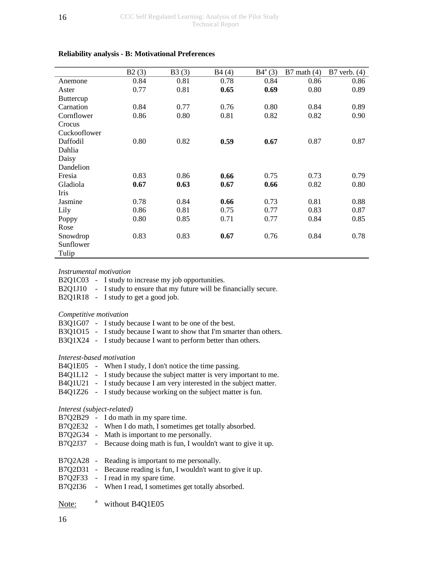|                  | B2(3) | B3(3) | B4(4) | $B4^a(3)$ | $B7$ math $(4)$ | $B7$ verb. $(4)$ |
|------------------|-------|-------|-------|-----------|-----------------|------------------|
| Anemone          | 0.84  | 0.81  | 0.78  | 0.84      | 0.86            | 0.86             |
| Aster            | 0.77  | 0.81  | 0.65  | 0.69      | 0.80            | 0.89             |
| <b>Buttercup</b> |       |       |       |           |                 |                  |
| Carnation        | 0.84  | 0.77  | 0.76  | 0.80      | 0.84            | 0.89             |
| Cornflower       | 0.86  | 0.80  | 0.81  | 0.82      | 0.82            | 0.90             |
| Crocus           |       |       |       |           |                 |                  |
| Cuckooflower     |       |       |       |           |                 |                  |
| Daffodil         | 0.80  | 0.82  | 0.59  | 0.67      | 0.87            | 0.87             |
| Dahlia           |       |       |       |           |                 |                  |
| Daisy            |       |       |       |           |                 |                  |
| Dandelion        |       |       |       |           |                 |                  |
| Fresia           | 0.83  | 0.86  | 0.66  | 0.75      | 0.73            | 0.79             |
| Gladiola         | 0.67  | 0.63  | 0.67  | 0.66      | 0.82            | 0.80             |
| Iris             |       |       |       |           |                 |                  |
| Jasmine          | 0.78  | 0.84  | 0.66  | 0.73      | 0.81            | 0.88             |
| Lily             | 0.86  | 0.81  | 0.75  | 0.77      | 0.83            | 0.87             |
| Poppy            | 0.80  | 0.85  | 0.71  | 0.77      | 0.84            | 0.85             |
| Rose             |       |       |       |           |                 |                  |
| Snowdrop         | 0.83  | 0.83  | 0.67  | 0.76      | 0.84            | 0.78             |
| Sunflower        |       |       |       |           |                 |                  |
| Tulip            |       |       |       |           |                 |                  |

#### **Reliability analysis - B: Motivational Preferences**

#### *Instrumental motivation*

|  | B2Q1C03 - I study to increase my job opportunities.                    |
|--|------------------------------------------------------------------------|
|  | B2Q1J10 - I study to ensure that my future will be financially secure. |
|  | B2Q1R18 - I study to get a good job.                                   |

*Competitive motivation* 

- B3Q1G07 I study because I want to be one of the best.
- B3Q1O15 I study because I want to show that I'm smarter than others.
- B3Q1X24 I study because I want to perform better than others.

*Interest-based motivation* 

- B4Q1E05 When I study, I don't notice the time passing.
- B4Q1L12 I study because the subject matter is very important to me.
- B4Q1U21 I study because I am very interested in the subject matter.
- B4Q1Z26 I study because working on the subject matter is fun.

#### *Interest (subject-related)*

|  | B7Q2B29 - I do math in my spare time.                               |
|--|---------------------------------------------------------------------|
|  | B7Q2E32 - When I do math, I sometimes get totally absorbed.         |
|  | B7Q2G34 - Math is important to me personally.                       |
|  | B7Q2J37 - Because doing math is fun, I wouldn't want to give it up. |
|  |                                                                     |
|  | B7Q2A28 - Reading is important to me personally.                    |
|  | B7Q2D31 - Because reading is fun, I wouldn't want to give it up.    |
|  | B7Q2F33 - I read in my spare time.                                  |
|  |                                                                     |

- B7Q2I36 When I read, I sometimes get totally absorbed.
- Note: <sup>a</sup> without B4Q1E05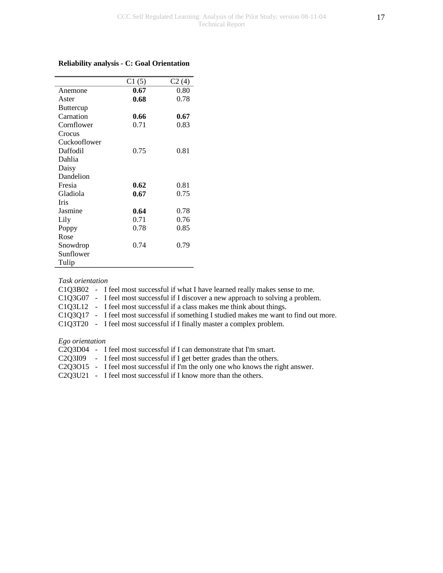#### **Reliability analysis - C: Goal Orientation**

| C1(5) | C2(4) |
|-------|-------|
| 0.67  | 0.80  |
| 0.68  | 0.78  |
|       |       |
| 0.66  | 0.67  |
| 0.71  | 0.83  |
|       |       |
|       |       |
| 0.75  | 0.81  |
|       |       |
|       |       |
|       |       |
| 0.62  | 0.81  |
| 0.67  | 0.75  |
|       |       |
| 0.64  | 0.78  |
| 0.71  | 0.76  |
| 0.78  | 0.85  |
|       |       |
| 0.74  | 0.79  |
|       |       |
|       |       |
|       |       |

#### *Task orientation*

|  | C1Q3B02 - I feel most successful if what I have learned really makes sense to me.       |
|--|-----------------------------------------------------------------------------------------|
|  | C1Q3G07 - I feel most successful if I discover a new approach to solving a problem.     |
|  | C1Q3L12 - I feel most successful if a class makes me think about things.                |
|  | C1Q3Q17 - I feel most successful if something I studied makes me want to find out more. |
|  | C1Q3T20 - I feel most successful if I finally master a complex problem.                 |

#### *Ego orientation*

| C <sub>2</sub> Q <sub>3</sub> D <sub>04</sub> | I feel most successful if I can demonstrate that I'm smart. |  |  |
|-----------------------------------------------|-------------------------------------------------------------|--|--|
|-----------------------------------------------|-------------------------------------------------------------|--|--|

- C2Q3I09 I feel most successful if I get better grades than the others.
- C2Q3O15 I feel most successful if I'm the only one who knows the right answer.
- C2Q3U21 I feel most successful if I know more than the others.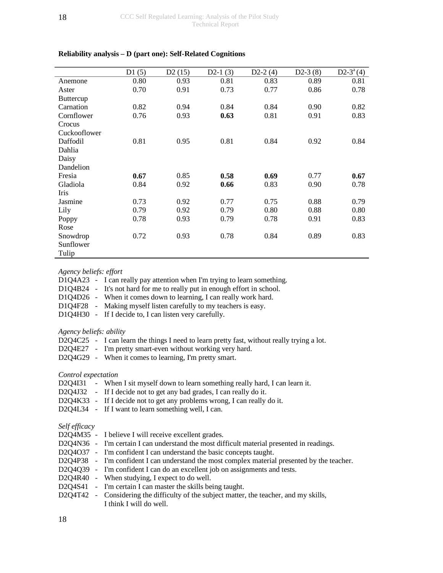|                  | D1(5) | D2(15) | $D2-1(3)$ | $D2-2(4)$ | $D2-3(8)$ | $D2-3^a(4)$ |
|------------------|-------|--------|-----------|-----------|-----------|-------------|
| Anemone          | 0.80  | 0.93   | 0.81      | 0.83      | 0.89      | 0.81        |
| Aster            | 0.70  | 0.91   | 0.73      | 0.77      | 0.86      | 0.78        |
| <b>Buttercup</b> |       |        |           |           |           |             |
| Carnation        | 0.82  | 0.94   | 0.84      | 0.84      | 0.90      | 0.82        |
| Cornflower       | 0.76  | 0.93   | 0.63      | 0.81      | 0.91      | 0.83        |
| Crocus           |       |        |           |           |           |             |
| Cuckooflower     |       |        |           |           |           |             |
| Daffodil         | 0.81  | 0.95   | 0.81      | 0.84      | 0.92      | 0.84        |
| Dahlia           |       |        |           |           |           |             |
| Daisy            |       |        |           |           |           |             |
| Dandelion        |       |        |           |           |           |             |
| Fresia           | 0.67  | 0.85   | 0.58      | 0.69      | 0.77      | 0.67        |
| Gladiola         | 0.84  | 0.92   | 0.66      | 0.83      | 0.90      | 0.78        |
| Iris             |       |        |           |           |           |             |
| Jasmine          | 0.73  | 0.92   | 0.77      | 0.75      | 0.88      | 0.79        |
| Lily             | 0.79  | 0.92   | 0.79      | 0.80      | 0.88      | 0.80        |
| Poppy            | 0.78  | 0.93   | 0.79      | 0.78      | 0.91      | 0.83        |
| Rose             |       |        |           |           |           |             |
| Snowdrop         | 0.72  | 0.93   | 0.78      | 0.84      | 0.89      | 0.83        |
| Sunflower        |       |        |           |           |           |             |
| Tulip            |       |        |           |           |           |             |

#### **Reliability analysis – D (part one): Self-Related Cognitions**

*Agency beliefs: effort* 

| D1Q4A23 - |  |  |  | I can really pay attention when I'm trying to learn something. |
|-----------|--|--|--|----------------------------------------------------------------|
|-----------|--|--|--|----------------------------------------------------------------|

- D1Q4B24 It's not hard for me to really put in enough effort in school.
- D1Q4D26 When it comes down to learning, I can really work hard.
- D1Q4F28 Making myself listen carefully to my teachers is easy.
- D1Q4H30 If I decide to, I can listen very carefully.

#### *Agency beliefs: ability*

- D2Q4C25 I can learn the things I need to learn pretty fast, without really trying a lot.
- D2Q4E27 I'm pretty smart-even without working very hard.
- D2Q4G29 When it comes to learning, I'm pretty smart.

#### *Control expectation*

| D2Q4I31 |  | When I sit myself down to learn something really hard, I can learn it. |  |  |  |  |  |  |  |
|---------|--|------------------------------------------------------------------------|--|--|--|--|--|--|--|
|---------|--|------------------------------------------------------------------------|--|--|--|--|--|--|--|

- D2Q4J32 If I decide not to get any bad grades, I can really do it.
- D2Q4K33 If I decide not to get any problems wrong, I can really do it.
- D2Q4L34 If I want to learn something well, I can.

#### *Self efficacy*

|  | D2Q4M35 - I believe I will receive excellent grades.                                         |
|--|----------------------------------------------------------------------------------------------|
|  | D2Q4N36 - I'm certain I can understand the most difficult material presented in readings.    |
|  | D2Q4O37 - I'm confident I can understand the basic concepts taught.                          |
|  | D2Q4P38 - I'm confident I can understand the most complex material presented by the teacher. |
|  | D2Q4Q39 - I'm confident I can do an excellent job on assignments and tests.                  |
|  | D2Q4R40 - When studying, I expect to do well.                                                |
|  | D2Q4S41 - I'm certain I can master the skills being taught.                                  |
|  | D2Q4T42 - Considering the difficulty of the subject matter, the teacher, and my skills,      |
|  | I think I will do well.                                                                      |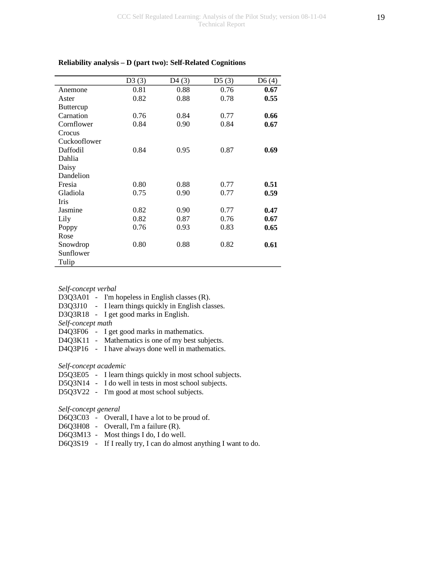|                  | D3(3) | D4(3) | D5(3) | D6(4) |
|------------------|-------|-------|-------|-------|
| Anemone          | 0.81  | 0.88  | 0.76  | 0.67  |
| Aster            | 0.82  | 0.88  | 0.78  | 0.55  |
| <b>Buttercup</b> |       |       |       |       |
| Carnation        | 0.76  | 0.84  | 0.77  | 0.66  |
| Cornflower       | 0.84  | 0.90  | 0.84  | 0.67  |
| Crocus           |       |       |       |       |
| Cuckooflower     |       |       |       |       |
| Daffodil         | 0.84  | 0.95  | 0.87  | 0.69  |
| Dahlia           |       |       |       |       |
| Daisy            |       |       |       |       |
| Dandelion        |       |       |       |       |
| Fresia           | 0.80  | 0.88  | 0.77  | 0.51  |
| Gladiola         | 0.75  | 0.90  | 0.77  | 0.59  |
| Iris             |       |       |       |       |
| Jasmine          | 0.82  | 0.90  | 0.77  | 0.47  |
| Lily             | 0.82  | 0.87  | 0.76  | 0.67  |
| Poppy            | 0.76  | 0.93  | 0.83  | 0.65  |
| Rose             |       |       |       |       |
| Snowdrop         | 0.80  | 0.88  | 0.82  | 0.61  |
| Sunflower        |       |       |       |       |
| Tulip            |       |       |       |       |

#### **Reliability analysis – D (part two): Self-Related Cognitions**

*Self-concept verbal* 

- D3Q3A01 I'm hopeless in English classes (R).
- D3Q3J10 I learn things quickly in English classes.
- D3Q3R18 I get good marks in English.

*Self-concept math* 

- D4Q3F06 I get good marks in mathematics.
- D4Q3K11 Mathematics is one of my best subjects.
- D4Q3P16 I have always done well in mathematics.

*Self-concept academic* 

- D5Q3E05 I learn things quickly in most school subjects.
- D5Q3N14 I do well in tests in most school subjects.
- D5Q3V22 I'm good at most school subjects.

#### *Self-concept general*

- D6Q3C03 Overall, I have a lot to be proud of.
- D6Q3H08 Overall, I'm a failure (R).
- D6Q3M13 Most things I do, I do well.
- D6Q3S19 If I really try, I can do almost anything I want to do.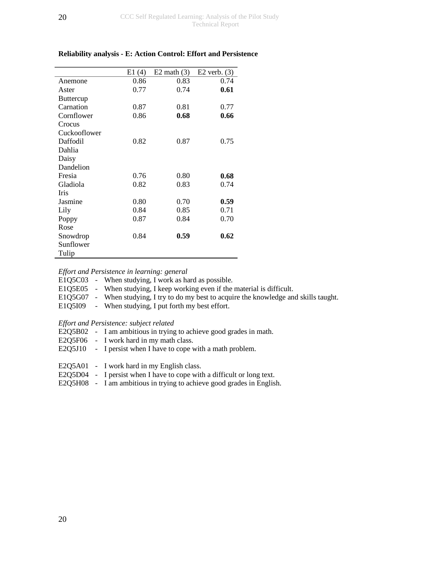|                  | E1(4) | $E2$ math $(3)$ | $E2$ verb. $(3)$ |
|------------------|-------|-----------------|------------------|
| Anemone          | 0.86  | 0.83            | 0.74             |
| Aster            | 0.77  | 0.74            | 0.61             |
| <b>Buttercup</b> |       |                 |                  |
| Carnation        | 0.87  | 0.81            | 0.77             |
| Cornflower       | 0.86  | 0.68            | 0.66             |
| Crocus           |       |                 |                  |
| Cuckooflower     |       |                 |                  |
| Daffodil         | 0.82  | 0.87            | 0.75             |
| Dahlia           |       |                 |                  |
| Daisy            |       |                 |                  |
| Dandelion        |       |                 |                  |
| Fresia           | 0.76  | 0.80            | 0.68             |
| Gladiola         | 0.82  | 0.83            | 0.74             |
| Iris             |       |                 |                  |
| Jasmine          | 0.80  | 0.70            | 0.59             |
| Lily             | 0.84  | 0.85            | 0.71             |
| Poppy            | 0.87  | 0.84            | 0.70             |
| Rose             |       |                 |                  |
| Snowdrop         | 0.84  | 0.59            | 0.62             |
| Sunflower        |       |                 |                  |
| Tulip            |       |                 |                  |

#### **Reliability analysis - E: Action Control: Effort and Persistence**

*Effort and Persistence in learning: general* 

| E1Q5C03 |  |  |  |  | When studying, I work as hard as possible. |
|---------|--|--|--|--|--------------------------------------------|
|---------|--|--|--|--|--------------------------------------------|

E1Q5E05 - When studying, I keep working even if the material is difficult.

E1Q5G07 - When studying, I try to do my best to acquire the knowledge and skills taught.

E1Q5I09 - When studying, I put forth my best effort.

*Effort and Persistence: subject related*

- E2Q5B02 I am ambitious in trying to achieve good grades in math.
- E2Q5F06 I work hard in my math class.
- E2Q5J10 I persist when I have to cope with a math problem.

E2Q5A01 - I work hard in my English class.

E2Q5D04 - I persist when I have to cope with a difficult or long text.

E2Q5H08 - I am ambitious in trying to achieve good grades in English.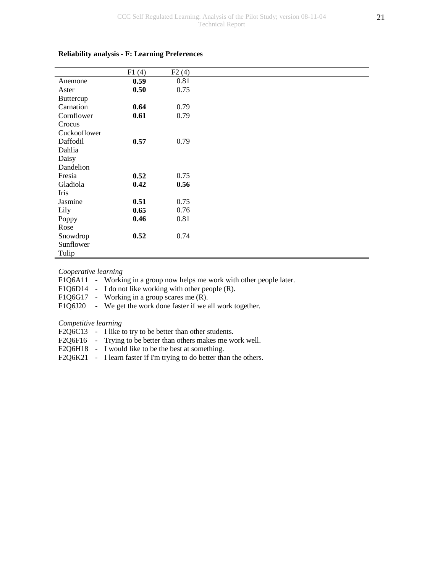|              | F1(4) | F2(4) |
|--------------|-------|-------|
| Anemone      | 0.59  | 0.81  |
| Aster        | 0.50  | 0.75  |
| Buttercup    |       |       |
| Carnation    | 0.64  | 0.79  |
| Cornflower   | 0.61  | 0.79  |
| Crocus       |       |       |
| Cuckooflower |       |       |
| Daffodil     | 0.57  | 0.79  |
| Dahlia       |       |       |
| Daisy        |       |       |
| Dandelion    |       |       |
| Fresia       | 0.52  | 0.75  |
| Gladiola     | 0.42  | 0.56  |
| Iris         |       |       |
| Jasmine      | 0.51  | 0.75  |
| Lily         | 0.65  | 0.76  |
| Poppy        | 0.46  | 0.81  |
| Rose         |       |       |
| Snowdrop     | 0.52  | 0.74  |
| Sunflower    |       |       |
| Tulip        |       |       |

#### **Reliability analysis - F: Learning Preferences**

#### *Cooperative learning*

| F1Q6A11 | Working in a group now helps me work with other people later. |  |  |
|---------|---------------------------------------------------------------|--|--|
|---------|---------------------------------------------------------------|--|--|

- F1Q6D14 I do not like working with other people (R).
- F1Q6G17 Working in a group scares me (R).
- F1Q6J20 We get the work done faster if we all work together.

*Competitive learning* 

- F2Q6C13 I like to try to be better than other students.
- F2Q6F16 Trying to be better than others makes me work well.
- F2Q6H18 I would like to be the best at something.
- F2Q6K21 I learn faster if I'm trying to do better than the others.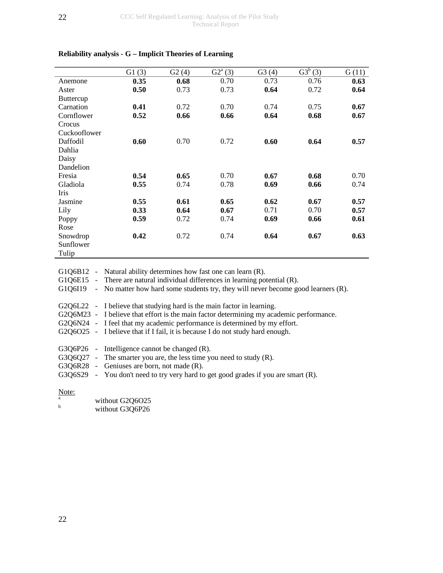|                  | G1(3) | G2(4) | $G2^a(3)$ | G3(4) | $\overline{\text{G3}^{\text{b}}\left(3\right)}$ | G(11) |
|------------------|-------|-------|-----------|-------|-------------------------------------------------|-------|
| Anemone          | 0.35  | 0.68  | 0.70      | 0.73  | 0.76                                            | 0.63  |
| Aster            | 0.50  | 0.73  | 0.73      | 0.64  | 0.72                                            | 0.64  |
| <b>Buttercup</b> |       |       |           |       |                                                 |       |
| Carnation        | 0.41  | 0.72  | 0.70      | 0.74  | 0.75                                            | 0.67  |
| Cornflower       | 0.52  | 0.66  | 0.66      | 0.64  | 0.68                                            | 0.67  |
| Crocus           |       |       |           |       |                                                 |       |
| Cuckooflower     |       |       |           |       |                                                 |       |
| Daffodil         | 0.60  | 0.70  | 0.72      | 0.60  | 0.64                                            | 0.57  |
| Dahlia           |       |       |           |       |                                                 |       |
| Daisy            |       |       |           |       |                                                 |       |
| Dandelion        |       |       |           |       |                                                 |       |
| Fresia           | 0.54  | 0.65  | 0.70      | 0.67  | 0.68                                            | 0.70  |
| Gladiola         | 0.55  | 0.74  | 0.78      | 0.69  | 0.66                                            | 0.74  |
| Iris             |       |       |           |       |                                                 |       |
| Jasmine          | 0.55  | 0.61  | 0.65      | 0.62  | 0.67                                            | 0.57  |
| Lily             | 0.33  | 0.64  | 0.67      | 0.71  | 0.70                                            | 0.57  |
| Poppy            | 0.59  | 0.72  | 0.74      | 0.69  | 0.66                                            | 0.61  |
| Rose             |       |       |           |       |                                                 |       |
| Snowdrop         | 0.42  | 0.72  | 0.74      | 0.64  | 0.67                                            | 0.63  |
| Sunflower        |       |       |           |       |                                                 |       |
| Tulip            |       |       |           |       |                                                 |       |

#### **Reliability analysis - G – Implicit Theories of Learning**

| G1Q6B12 |  |  | Natural ability determines how fast one can learn (R). |
|---------|--|--|--------------------------------------------------------|
|---------|--|--|--------------------------------------------------------|

G1Q6E15 - There are natural individual differences in learning potential (R).

G1Q6I19 - No matter how hard some students try, they will never become good learners (R).

G2Q6L22 - I believe that studying hard is the main factor in learning.

G2Q6M23 - I believe that effort is the main factor determining my academic performance.

G2Q6N24 - I feel that my academic performance is determined by my effort.

G2Q6O25 - I believe that if I fail, it is because I do not study hard enough.

G3Q6P26 - Intelligence cannot be changed (R).

G3Q6Q27 - The smarter you are, the less time you need to study (R).

G3Q6R28 - Geniuses are born, not made (R).

G3Q6S29 - You don't need to try very hard to get good grades if you are smart (R).

| а | without G2Q6O25 |
|---|-----------------|
| h | without G3Q6P26 |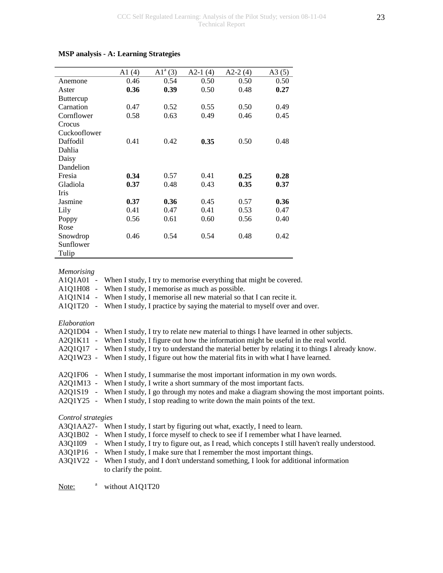|                  | A1 $(4)$ | Al <sup>a</sup> (3) | $A2-1(4)$ | A2-2 $(4)$ | A3(5) |
|------------------|----------|---------------------|-----------|------------|-------|
| Anemone          | 0.46     | 0.54                | 0.50      | 0.50       | 0.50  |
| Aster            | 0.36     | 0.39                | 0.50      | 0.48       | 0.27  |
| <b>Buttercup</b> |          |                     |           |            |       |
| Carnation        | 0.47     | 0.52                | 0.55      | 0.50       | 0.49  |
| Cornflower       | 0.58     | 0.63                | 0.49      | 0.46       | 0.45  |
| Crocus           |          |                     |           |            |       |
| Cuckooflower     |          |                     |           |            |       |
| Daffodil         | 0.41     | 0.42                | 0.35      | 0.50       | 0.48  |
| Dahlia           |          |                     |           |            |       |
| Daisy            |          |                     |           |            |       |
| Dandelion        |          |                     |           |            |       |
| Fresia           | 0.34     | 0.57                | 0.41      | 0.25       | 0.28  |
| Gladiola         | 0.37     | 0.48                | 0.43      | 0.35       | 0.37  |
| Iris             |          |                     |           |            |       |
| Jasmine          | 0.37     | 0.36                | 0.45      | 0.57       | 0.36  |
| Lily             | 0.41     | 0.47                | 0.41      | 0.53       | 0.47  |
| Poppy            | 0.56     | 0.61                | 0.60      | 0.56       | 0.40  |
| Rose             |          |                     |           |            |       |
| Snowdrop         | 0.46     | 0.54                | 0.54      | 0.48       | 0.42  |
| Sunflower        |          |                     |           |            |       |
| Tulip            |          |                     |           |            |       |

## **MSP analysis - A: Learning Strategies**

| <i>Memorising</i>  |                                                                                                                      |
|--------------------|----------------------------------------------------------------------------------------------------------------------|
| $A1Q1A01 -$        | When I study, I try to memorise everything that might be covered.                                                    |
|                    | A1Q1H08 - When I study, I memorise as much as possible.                                                              |
| A1Q1N14 -          | When I study, I memorise all new material so that I can recite it.                                                   |
| $A1Q1T20 -$        | When I study, I practice by saying the material to myself over and over.                                             |
| Elaboration        |                                                                                                                      |
|                    | A2Q1D04 - When I study, I try to relate new material to things I have learned in other subjects.                     |
|                    | $A2Q1K11$ - When I study, I figure out how the information might be useful in the real world.                        |
|                    | A2Q1Q17 - When I study, I try to understand the material better by relating it to things I already know.             |
|                    | A2Q1W23 - When I study, I figure out how the material fits in with what I have learned.                              |
|                    | A2Q1F06 - When I study, I summarise the most important information in my own words.                                  |
|                    | A2Q1M13 - When I study, I write a short summary of the most important facts.                                         |
|                    | A2Q1S19 - When I study, I go through my notes and make a diagram showing the most important points.                  |
|                    | A2Q1Y25 - When I study, I stop reading to write down the main points of the text.                                    |
| Control strategies |                                                                                                                      |
|                    | A3Q1AA27- When I study, I start by figuring out what, exactly, I need to learn.                                      |
|                    | A3Q1B02 - When I study, I force myself to check to see if I remember what I have learned.                            |
|                    | A3Q1I09 - When I study, I try to figure out, as I read, which concepts I still haven't really understood.            |
|                    | A3Q1P16 - When I study, I make sure that I remember the most important things.                                       |
|                    | A3Q1V22 - When I study, and I don't understand something, I look for additional information<br>to clarify the point. |
| a<br>Note:         | without A1Q1T20                                                                                                      |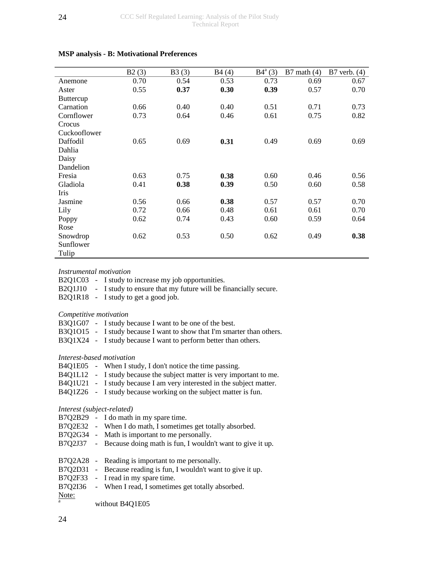|                  | B2(3) | B3(3) | B4(4) | $B4^a(3)$ | $B7$ math $(4)$ | $B7$ verb. $(4)$ |
|------------------|-------|-------|-------|-----------|-----------------|------------------|
| Anemone          | 0.70  | 0.54  | 0.53  | 0.73      | 0.69            | 0.67             |
| Aster            | 0.55  | 0.37  | 0.30  | 0.39      | 0.57            | 0.70             |
| <b>Buttercup</b> |       |       |       |           |                 |                  |
| Carnation        | 0.66  | 0.40  | 0.40  | 0.51      | 0.71            | 0.73             |
| Cornflower       | 0.73  | 0.64  | 0.46  | 0.61      | 0.75            | 0.82             |
| Crocus           |       |       |       |           |                 |                  |
| Cuckooflower     |       |       |       |           |                 |                  |
| Daffodil         | 0.65  | 0.69  | 0.31  | 0.49      | 0.69            | 0.69             |
| Dahlia           |       |       |       |           |                 |                  |
| Daisy            |       |       |       |           |                 |                  |
| Dandelion        |       |       |       |           |                 |                  |
| Fresia           | 0.63  | 0.75  | 0.38  | 0.60      | 0.46            | 0.56             |
| Gladiola         | 0.41  | 0.38  | 0.39  | 0.50      | 0.60            | 0.58             |
| Iris             |       |       |       |           |                 |                  |
| Jasmine          | 0.56  | 0.66  | 0.38  | 0.57      | 0.57            | 0.70             |
| Lily             | 0.72  | 0.66  | 0.48  | 0.61      | 0.61            | 0.70             |
| Poppy            | 0.62  | 0.74  | 0.43  | 0.60      | 0.59            | 0.64             |
| Rose             |       |       |       |           |                 |                  |
| Snowdrop         | 0.62  | 0.53  | 0.50  | 0.62      | 0.49            | 0.38             |
| Sunflower        |       |       |       |           |                 |                  |
| Tulip            |       |       |       |           |                 |                  |

#### **MSP analysis - B: Motivational Preferences**

#### *Instrumental motivation*

|  | B2Q1C03 - I study to increase my job opportunities.                    |
|--|------------------------------------------------------------------------|
|  | B2Q1J10 - I study to ensure that my future will be financially secure. |
|  | B2Q1R18 - I study to get a good job.                                   |

*Competitive motivation* 

- B3Q1G07 I study because I want to be one of the best.
- B3Q1O15 I study because I want to show that I'm smarter than others.
- B3Q1X24 I study because I want to perform better than others.

*Interest-based motivation* 

- B4Q1E05 When I study, I don't notice the time passing.
- B4Q1L12 I study because the subject matter is very important to me.
- B4Q1U21 I study because I am very interested in the subject matter.
- B4Q1Z26 I study because working on the subject matter is fun.

#### *Interest (subject-related)*

|       | B7Q2B29 - I do math in my spare time.                               |
|-------|---------------------------------------------------------------------|
|       | B7Q2E32 - When I do math, I sometimes get totally absorbed.         |
|       | B7Q2G34 - Math is important to me personally.                       |
|       | B7Q2J37 - Because doing math is fun, I wouldn't want to give it up. |
|       |                                                                     |
|       | B7Q2A28 - Reading is important to me personally.                    |
|       | B7Q2D31 - Because reading is fun, I wouldn't want to give it up.    |
|       | B7Q2F33 - I read in my spare time.                                  |
|       | B7Q2I36 - When I read, I sometimes get totally absorbed.            |
| Note: |                                                                     |

 $\frac{110 \text{ k}}{a}$  without B4Q1E05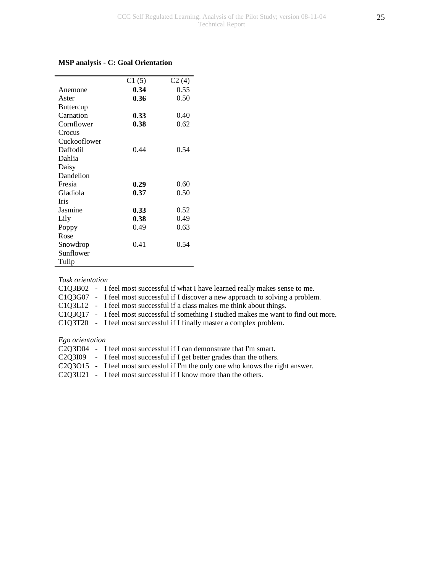#### **MSP analysis - C: Goal Orientation**

|                  | C1(5) | C2(4) |
|------------------|-------|-------|
| Anemone          | 0.34  | 0.55  |
| Aster            | 0.36  | 0.50  |
| <b>Buttercup</b> |       |       |
| Carnation        | 0.33  | 0.40  |
| Cornflower       | 0.38  | 0.62  |
| Crocus           |       |       |
| Cuckooflower     |       |       |
| Daffodil         | 0.44  | 0.54  |
| Dahlia           |       |       |
| Daisy            |       |       |
| Dandelion        |       |       |
| Fresia           | 0.29  | 0.60  |
| Gladiola         | 0.37  | 0.50  |
| <b>Iris</b>      |       |       |
| Jasmine          | 0.33  | 0.52  |
| Lily             | 0.38  | 0.49  |
| Poppy            | 0.49  | 0.63  |
| Rose             |       |       |
| Snowdrop         | 0.41  | 0.54  |
| Sunflower        |       |       |
| Tulip            |       |       |

*Task orientation* 

C1Q3B02 - I feel most successful if what I have learned really makes sense to me.

C1Q3G07 - I feel most successful if I discover a new approach to solving a problem.

C1Q3L12 - I feel most successful if a class makes me think about things.

C1Q3Q17 - I feel most successful if something I studied makes me want to find out more.

C1Q3T20 - I feel most successful if I finally master a complex problem.

#### *Ego orientation*

C2Q3I09 - I feel most successful if I get better grades than the others.

C2Q3O15 - I feel most successful if I'm the only one who knows the right answer.

C2Q3U21 - I feel most successful if I know more than the others.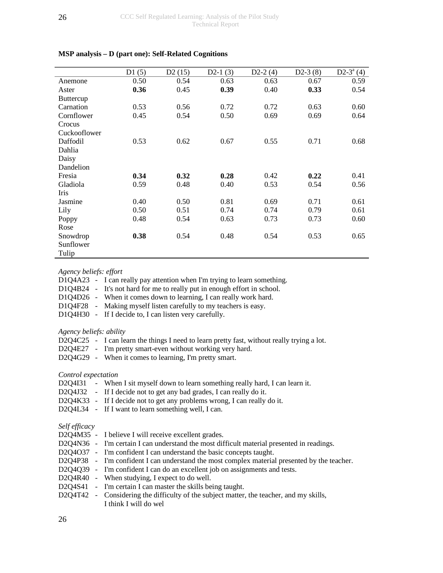|                  | D1(5) | D2(15) | $D2-1(3)$ | $D2-2(4)$ | $D2-3(8)$ | $D2-3^a(4)$ |
|------------------|-------|--------|-----------|-----------|-----------|-------------|
| Anemone          | 0.50  | 0.54   | 0.63      | 0.63      | 0.67      | 0.59        |
| Aster            | 0.36  | 0.45   | 0.39      | 0.40      | 0.33      | 0.54        |
| <b>Buttercup</b> |       |        |           |           |           |             |
| Carnation        | 0.53  | 0.56   | 0.72      | 0.72      | 0.63      | 0.60        |
| Cornflower       | 0.45  | 0.54   | 0.50      | 0.69      | 0.69      | 0.64        |
| Crocus           |       |        |           |           |           |             |
| Cuckooflower     |       |        |           |           |           |             |
| Daffodil         | 0.53  | 0.62   | 0.67      | 0.55      | 0.71      | 0.68        |
| Dahlia           |       |        |           |           |           |             |
| Daisy            |       |        |           |           |           |             |
| Dandelion        |       |        |           |           |           |             |
| Fresia           | 0.34  | 0.32   | 0.28      | 0.42      | 0.22      | 0.41        |
| Gladiola         | 0.59  | 0.48   | 0.40      | 0.53      | 0.54      | 0.56        |
| Iris             |       |        |           |           |           |             |
| Jasmine          | 0.40  | 0.50   | 0.81      | 0.69      | 0.71      | 0.61        |
| Lily             | 0.50  | 0.51   | 0.74      | 0.74      | 0.79      | 0.61        |
| Poppy            | 0.48  | 0.54   | 0.63      | 0.73      | 0.73      | 0.60        |
| Rose             |       |        |           |           |           |             |
| Snowdrop         | 0.38  | 0.54   | 0.48      | 0.54      | 0.53      | 0.65        |
| Sunflower        |       |        |           |           |           |             |
| Tulip            |       |        |           |           |           |             |

#### **MSP analysis – D (part one): Self-Related Cognitions**

*Agency beliefs: effort* 

| D1Q4A23 - |  |  |  | I can really pay attention when I'm trying to learn something. |
|-----------|--|--|--|----------------------------------------------------------------|
|-----------|--|--|--|----------------------------------------------------------------|

- D1Q4B24 It's not hard for me to really put in enough effort in school.
- D1Q4D26 When it comes down to learning, I can really work hard.
- D1Q4F28 Making myself listen carefully to my teachers is easy.
- D1Q4H30 If I decide to, I can listen very carefully.

#### *Agency beliefs: ability*

- D2Q4C25 I can learn the things I need to learn pretty fast, without really trying a lot.
- D2Q4E27 I'm pretty smart-even without working very hard.
- D2Q4G29 When it comes to learning, I'm pretty smart.

#### *Control expectation*

- D2Q4I31 When I sit myself down to learn something really hard, I can learn it.
- D2Q4J32 If I decide not to get any bad grades, I can really do it.
- D2Q4K33 If I decide not to get any problems wrong, I can really do it.
- D2Q4L34 If I want to learn something well, I can.

#### *Self efficacy*

|  | D2Q4M35 - I believe I will receive excellent grades.                                         |
|--|----------------------------------------------------------------------------------------------|
|  | D2Q4N36 - I'm certain I can understand the most difficult material presented in readings.    |
|  | D2Q4O37 - I'm confident I can understand the basic concepts taught.                          |
|  | D2Q4P38 - I'm confident I can understand the most complex material presented by the teacher. |
|  | D2Q4Q39 - I'm confident I can do an excellent job on assignments and tests.                  |
|  | D2Q4R40 - When studying, I expect to do well.                                                |
|  | D2Q4S41 - I'm certain I can master the skills being taught.                                  |
|  | D2Q4T42 - Considering the difficulty of the subject matter, the teacher, and my skills,      |
|  | I think I will do wel                                                                        |
|  |                                                                                              |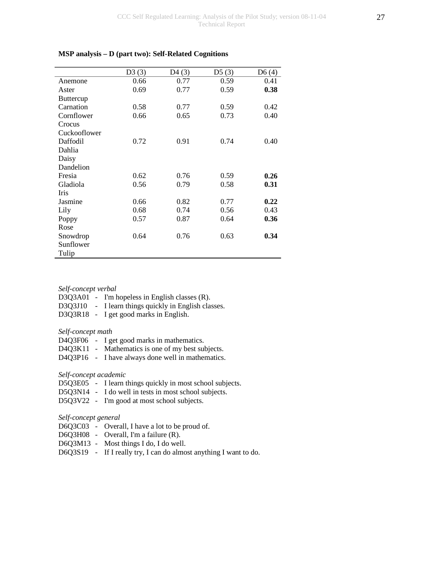|                  | D3(3) | D4(3) | D <sub>5</sub> $(3)$ | D6(4) |
|------------------|-------|-------|----------------------|-------|
| Anemone          | 0.66  | 0.77  | 0.59                 | 0.41  |
| Aster            | 0.69  | 0.77  | 0.59                 | 0.38  |
| <b>Buttercup</b> |       |       |                      |       |
| Carnation        | 0.58  | 0.77  | 0.59                 | 0.42  |
| Cornflower       | 0.66  | 0.65  | 0.73                 | 0.40  |
| Crocus           |       |       |                      |       |
| Cuckooflower     |       |       |                      |       |
| Daffodil         | 0.72  | 0.91  | 0.74                 | 0.40  |
| Dahlia           |       |       |                      |       |
| Daisy            |       |       |                      |       |
| Dandelion        |       |       |                      |       |
| Fresia           | 0.62  | 0.76  | 0.59                 | 0.26  |
| Gladiola         | 0.56  | 0.79  | 0.58                 | 0.31  |
| <b>Iris</b>      |       |       |                      |       |
| Jasmine          | 0.66  | 0.82  | 0.77                 | 0.22  |
| Lily             | 0.68  | 0.74  | 0.56                 | 0.43  |
| Poppy            | 0.57  | 0.87  | 0.64                 | 0.36  |
| Rose             |       |       |                      |       |
| Snowdrop         | 0.64  | 0.76  | 0.63                 | 0.34  |
| Sunflower        |       |       |                      |       |
| Tulip            |       |       |                      |       |

#### **MSP analysis – D (part two): Self-Related Cognitions**

*Self-concept verbal* 

- D3Q3A01 I'm hopeless in English classes (R).
- D3Q3J10 I learn things quickly in English classes.
- D3Q3R18 I get good marks in English.

#### *Self-concept math*

- D4Q3F06 I get good marks in mathematics.
- D4Q3K11 Mathematics is one of my best subjects.
- D4Q3P16 I have always done well in mathematics.

*Self-concept academic* 

- D5Q3E05 I learn things quickly in most school subjects.
- D5Q3N14 I do well in tests in most school subjects.
- D5Q3V22 I'm good at most school subjects.

#### *Self-concept general*

- D6Q3C03 Overall, I have a lot to be proud of.
- D6Q3H08 Overall, I'm a failure (R).
- D6Q3M13 Most things I do, I do well.
- D6Q3S19 If I really try, I can do almost anything I want to do.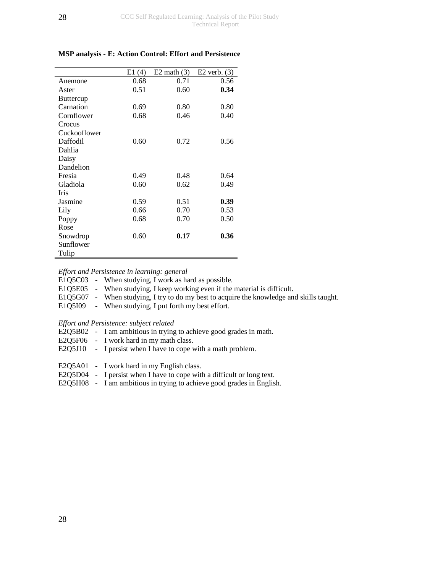|                  | E1(4) | $E2$ math $(3)$ | $E2$ verb. $(3)$ |
|------------------|-------|-----------------|------------------|
| Anemone          | 0.68  | 0.71            | 0.56             |
| Aster            | 0.51  | 0.60            | 0.34             |
| <b>Buttercup</b> |       |                 |                  |
| Carnation        | 0.69  | 0.80            | 0.80             |
| Cornflower       | 0.68  | 0.46            | 0.40             |
| Crocus           |       |                 |                  |
| Cuckooflower     |       |                 |                  |
| Daffodil         | 0.60  | 0.72            | 0.56             |
| Dahlia           |       |                 |                  |
| Daisy            |       |                 |                  |
| Dandelion        |       |                 |                  |
| Fresia           | 0.49  | 0.48            | 0.64             |
| Gladiola         | 0.60  | 0.62            | 0.49             |
| Iris             |       |                 |                  |
| Jasmine          | 0.59  | 0.51            | 0.39             |
| Lily             | 0.66  | 0.70            | 0.53             |
| Poppy            | 0.68  | 0.70            | 0.50             |
| Rose             |       |                 |                  |
| Snowdrop         | 0.60  | 0.17            | 0.36             |
| Sunflower        |       |                 |                  |
| Tulip            |       |                 |                  |

#### **MSP analysis - E: Action Control: Effort and Persistence**

*Effort and Persistence in learning: general* 

| E1Q5C03 |  |  | When studying, I work as hard as possible. |
|---------|--|--|--------------------------------------------|
|---------|--|--|--------------------------------------------|

|  | E1Q5E05 |  |  |  | When studying, I keep working even if the material is difficult. |
|--|---------|--|--|--|------------------------------------------------------------------|
|--|---------|--|--|--|------------------------------------------------------------------|

E1Q5G07 - When studying, I try to do my best to acquire the knowledge and skills taught.

E1Q5I09 - When studying, I put forth my best effort.

*Effort and Persistence: subject related*

- E2Q5B02 I am ambitious in trying to achieve good grades in math.
- E2Q5F06 I work hard in my math class.
- E2Q5J10 I persist when I have to cope with a math problem.

E2Q5A01 - I work hard in my English class.

E2Q5D04 - I persist when I have to cope with a difficult or long text.

E2Q5H08 - I am ambitious in trying to achieve good grades in English.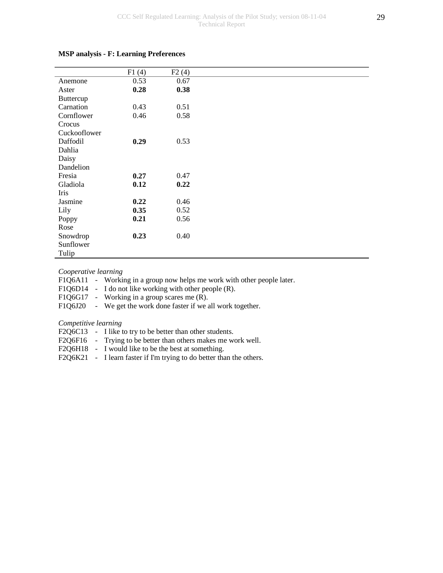|              | F1(4) | F2(4) |
|--------------|-------|-------|
| Anemone      | 0.53  | 0.67  |
| Aster        | 0.28  | 0.38  |
| Buttercup    |       |       |
| Carnation    | 0.43  | 0.51  |
| Cornflower   | 0.46  | 0.58  |
| Crocus       |       |       |
| Cuckooflower |       |       |
| Daffodil     | 0.29  | 0.53  |
| Dahlia       |       |       |
| Daisy        |       |       |
| Dandelion    |       |       |
| Fresia       | 0.27  | 0.47  |
| Gladiola     | 0.12  | 0.22  |
| Iris         |       |       |
| Jasmine      | 0.22  | 0.46  |
| Lily         | 0.35  | 0.52  |
| Poppy        | 0.21  | 0.56  |
| Rose         |       |       |
| Snowdrop     | 0.23  | 0.40  |
| Sunflower    |       |       |
| Tulip        |       |       |

#### **MSP analysis - F: Learning Preferences**

#### *Cooperative learning*

| F1Q6A11 | Working in a group now helps me work with other people later. |  |  |
|---------|---------------------------------------------------------------|--|--|
|---------|---------------------------------------------------------------|--|--|

- F1Q6D14 I do not like working with other people (R).
- F1Q6G17 Working in a group scares me (R).
- F1Q6J20 We get the work done faster if we all work together.

*Competitive learning* 

- F2Q6C13 I like to try to be better than other students.
- F2Q6F16 Trying to be better than others makes me work well.
- F2Q6H18 I would like to be the best at something.
- F2Q6K21 I learn faster if I'm trying to do better than the others.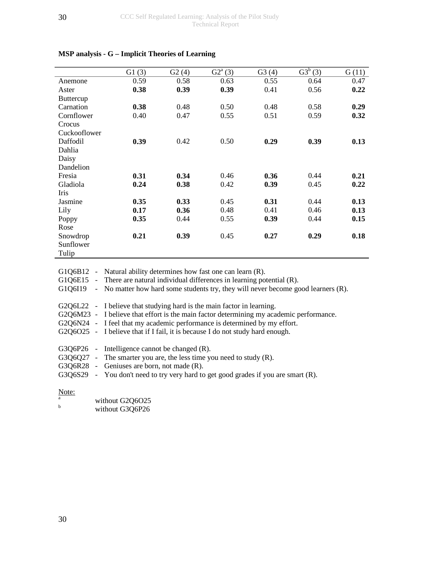|                  | G1(3) | G2(4) | $G2^a(3)$ | G3(4) | $\overline{\text{G3}^{\text{b}}\text{ (3)}}$ | G(11) |
|------------------|-------|-------|-----------|-------|----------------------------------------------|-------|
| Anemone          | 0.59  | 0.58  | 0.63      | 0.55  | 0.64                                         | 0.47  |
| Aster            | 0.38  | 0.39  | 0.39      | 0.41  | 0.56                                         | 0.22  |
| <b>Buttercup</b> |       |       |           |       |                                              |       |
| Carnation        | 0.38  | 0.48  | 0.50      | 0.48  | 0.58                                         | 0.29  |
| Cornflower       | 0.40  | 0.47  | 0.55      | 0.51  | 0.59                                         | 0.32  |
| Crocus           |       |       |           |       |                                              |       |
| Cuckooflower     |       |       |           |       |                                              |       |
| Daffodil         | 0.39  | 0.42  | 0.50      | 0.29  | 0.39                                         | 0.13  |
| Dahlia           |       |       |           |       |                                              |       |
| Daisy            |       |       |           |       |                                              |       |
| Dandelion        |       |       |           |       |                                              |       |
| Fresia           | 0.31  | 0.34  | 0.46      | 0.36  | 0.44                                         | 0.21  |
| Gladiola         | 0.24  | 0.38  | 0.42      | 0.39  | 0.45                                         | 0.22  |
| Iris             |       |       |           |       |                                              |       |
| Jasmine          | 0.35  | 0.33  | 0.45      | 0.31  | 0.44                                         | 0.13  |
| Lily             | 0.17  | 0.36  | 0.48      | 0.41  | 0.46                                         | 0.13  |
| Poppy            | 0.35  | 0.44  | 0.55      | 0.39  | 0.44                                         | 0.15  |
| Rose             |       |       |           |       |                                              |       |
| Snowdrop         | 0.21  | 0.39  | 0.45      | 0.27  | 0.29                                         | 0.18  |
| Sunflower        |       |       |           |       |                                              |       |
| Tulip            |       |       |           |       |                                              |       |

#### **MSP analysis - G – Implicit Theories of Learning**

| G1Q6B12 |  |  | Natural ability determines how fast one can learn (R). |  |  |  |  |
|---------|--|--|--------------------------------------------------------|--|--|--|--|
|---------|--|--|--------------------------------------------------------|--|--|--|--|

G1Q6E15 - There are natural individual differences in learning potential (R).

G1Q6I19 - No matter how hard some students try, they will never become good learners (R).

| G2Q6L22 | I believe that studying hard is the main factor in learning. |  |  |  |  |
|---------|--------------------------------------------------------------|--|--|--|--|
|         |                                                              |  |  |  |  |
|         |                                                              |  |  |  |  |

G2Q6M23 - I believe that effort is the main factor determining my academic performance.

- G2Q6N24 I feel that my academic performance is determined by my effort.
- G2Q6O25 I believe that if I fail, it is because I do not study hard enough.

G3Q6P26 - Intelligence cannot be changed (R).

G3Q6Q27 - The smarter you are, the less time you need to study (R).

G3Q6R28 - Geniuses are born, not made (R).

G3Q6S29 - You don't need to try very hard to get good grades if you are smart (R).

| а | without G2Q6O25 |
|---|-----------------|
| h | without G3Q6P26 |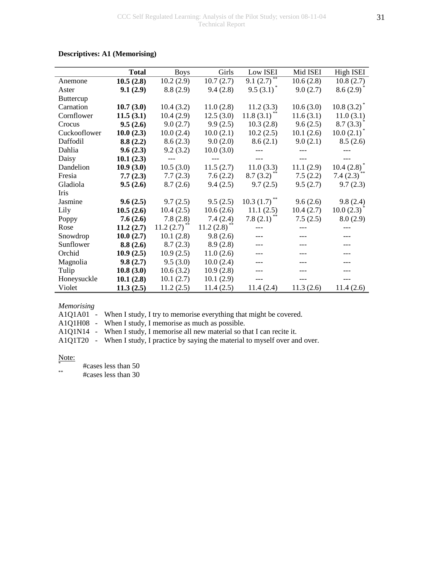|              | <b>Total</b> | <b>Boys</b>    | Girls                     | Low ISEI                  | Mid ISEI  | High ISEI                |
|--------------|--------------|----------------|---------------------------|---------------------------|-----------|--------------------------|
| Anemone      | 10.5(2.8)    | 10.2(2.9)      | 10.7(2.7)                 | $9.1(2.7)$ **             | 10.6(2.8) | 10.8(2.7)                |
| Aster        | 9.1(2.9)     | 8.8(2.9)       | 9.4(2.8)                  | $9.5(3.1)^{*}$            | 9.0(2.7)  | $8.6(2.9)^*$             |
| Buttercup    |              |                |                           |                           |           |                          |
| Carnation    | 10.7(3.0)    | 10.4(3.2)      | 11.0(2.8)                 | 11.2(3.3)                 | 10.6(3.0) | $10.8(3.2)^*$            |
| Cornflower   | 11.5(3.1)    | 10.4(2.9)      | 12.5(3.0)                 | $11.8(3.1)$ <sup>**</sup> | 11.6(3.1) | 11.0(3.1)                |
| Crocus       | 9.5(2.6)     | 9.0(2.7)       | 9.9(2.5)                  | 10.3(2.8)                 | 9.6(2.5)  | 8.7(3.3)                 |
| Cuckooflower | 10.0(2.3)    | 10.0(2.4)      | 10.0(2.1)                 | 10.2(2.5)                 | 10.1(2.6) | $10.0(2.1)$ <sup>*</sup> |
| Daffodil     | 8.8(2.2)     | 8.6(2.3)       | 9.0(2.0)                  | 8.6(2.1)                  | 9.0(2.1)  | 8.5(2.6)                 |
| Dahlia       | 9.6(2.3)     | 9.2(3.2)       | 10.0(3.0)                 |                           |           |                          |
| Daisy        | 10.1(2.3)    |                |                           |                           |           |                          |
| Dandelion    | 10.9(3.0)    | 10.5(3.0)      | 11.5(2.7)                 | 11.0(3.3)                 | 11.1(2.9) | $10.4(2.8)^*$            |
| Fresia       | 7.7(2.3)     | 7.7(2.3)       | 7.6(2.2)                  | $8.7(3.2)$ **             | 7.5(2.2)  | 7.4 $(2.3)$ **           |
| Gladiola     | 9.5(2.6)     | 8.7(2.6)       | 9.4(2.5)                  | 9.7(2.5)                  | 9.5(2.7)  | 9.7(2.3)                 |
| Iris         |              |                |                           |                           |           |                          |
| Jasmine      | 9.6(2.5)     | 9.7(2.5)       | 9.5(2.5)                  | $10.3(1.7)$ <sup>**</sup> | 9.6(2.6)  | 9.8(2.4)                 |
| Lily         | 10.5(2.6)    | 10.4(2.5)      | 10.6(2.6)                 | 11.1(2.5)                 | 10.4(2.7) | $10.0(2.3)$ <sup>*</sup> |
| Poppy        | 7.6(2.6)     | 7.8(2.8)       | 7.4(2.4)                  | 7.8 $(2.1)$ **            | 7.5(2.5)  | 8.0(2.9)                 |
| Rose         | 11.2(2.7)    | $11.2(2.7)$ ** | $11.2(2.8)$ <sup>**</sup> |                           |           | ---                      |
| Snowdrop     | 10.0(2.7)    | 10.1(2.8)      | 9.8(2.6)                  |                           |           | $---$                    |
| Sunflower    | 8.8(2.6)     | 8.7(2.3)       | 8.9(2.8)                  |                           |           |                          |
| Orchid       | 10.9(2.5)    | 10.9(2.5)      | 11.0(2.6)                 |                           |           |                          |
| Magnolia     | 9.8(2.7)     | 9.5(3.0)       | 10.0(2.4)                 |                           |           |                          |
| Tulip        | 10.8(3.0)    | 10.6(3.2)      | 10.9(2.8)                 |                           |           |                          |
| Honeysuckle  | 10.1(2.8)    | 10.1(2.7)      | 10.1(2.9)                 |                           |           |                          |
| Violet       | 11.3(2.5)    | 11.2(2.5)      | 11.4(2.5)                 | 11.4(2.4)                 | 11.3(2.6) | 11.4(2.6)                |

### **Descriptives: A1 (Memorising)**

*Memorising* 

A1Q1A01 - When I study, I try to memorise everything that might be covered.

A1Q1H08 - When I study, I memorise as much as possible.

A1Q1N14 - When I study, I memorise all new material so that I can recite it.

A1Q1T20 - When I study, I practice by saying the material to myself over and over.

# Note:<br>\*

 $\frac{4}{10}$  #cases less than 50

#cases less than 30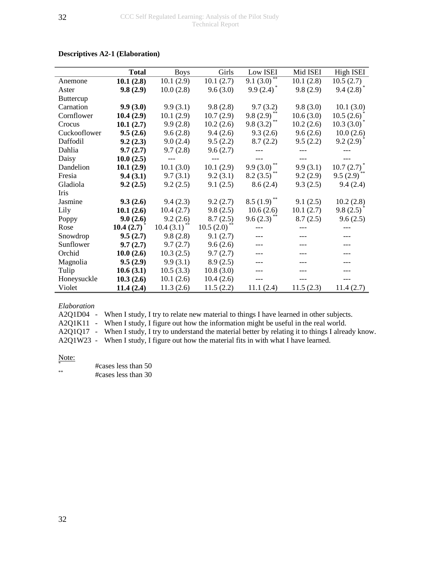|              | <b>Total</b> | <b>Boys</b>    | Girls                     | Low ISEI      | Mid ISEI  | High ISEI               |
|--------------|--------------|----------------|---------------------------|---------------|-----------|-------------------------|
| Anemone      | 10.1(2.8)    | 10.1(2.9)      | 10.1(2.7)                 | $9.1(3.0)$ ** | 10.1(2.8) | 10.5(2.7)               |
| Aster        | 9.8(2.9)     | 10.0(2.8)      | 9.6(3.0)                  | $9.9(2.4)^*$  | 9.8(2.9)  | $9.4(2.8)$ <sup>*</sup> |
| Buttercup    |              |                |                           |               |           |                         |
| Carnation    | 9.9(3.0)     | 9.9(3.1)       | 9.8(2.8)                  | 9.7(3.2)      | 9.8(3.0)  | 10.1(3.0)               |
| Cornflower   | 10.4(2.9)    | 10.1(2.9)      | 10.7(2.9)                 | $9.8(2.9)$ ** | 10.6(3.0) | $10.5(2.6)^*$           |
| Crocus       | 10.1(2.7)    | 9.9(2.8)       | 10.2(2.6)                 | $9.8(3.2)$ ** | 10.2(2.6) | $10.3(3.0)^{*}$         |
| Cuckooflower | 9.5(2.6)     | 9.6(2.8)       | 9.4(2.6)                  | 9.3(2.6)      | 9.6(2.6)  | 10.0(2.6)               |
| Daffodil     | 9.2(2.3)     | 9.0(2.4)       | 9.5(2.2)                  | 8.7(2.2)      | 9.5(2.2)  | $9.2(2.9)^{*}$          |
| Dahlia       | 9.7(2.7)     | 9.7(2.8)       | 9.6(2.7)                  |               |           |                         |
| Daisy        | 10.0(2.5)    |                |                           |               |           |                         |
| Dandelion    | 10.1(2.9)    | 10.1(3.0)      | 10.1(2.9)                 | $9.9(3.0)$ ** | 9.9(3.1)  | $10.7 (2.7)^*$          |
| Fresia       | 9.4(3.1)     | 9.7(3.1)       | 9.2(3.1)                  | $8.2(3.5)$ ** | 9.2(2.9)  | $9.5(2.9)$ **           |
| Gladiola     | 9.2(2.5)     | 9.2(2.5)       | 9.1(2.5)                  | 8.6(2.4)      | 9.3(2.5)  | 9.4(2.4)                |
| Iris         |              |                |                           |               |           |                         |
| Jasmine      | 9.3(2.6)     | 9.4(2.3)       | 9.2(2.7)                  | $8.5(1.9)$ ** | 9.1(2.5)  | 10.2(2.8)               |
| Lily         | 10.1(2.6)    | 10.4(2.7)      | 9.8(2.5)                  | 10.6(2.6)     | 10.1(2.7) | 9.8(2.5)                |
| Poppy        | 9.0(2.6)     | 9.2(2.6)       | 8.7(2.5)                  | $9.6(2.3)$ ** | 8.7(2.5)  | 9.6(2.5)                |
| Rose         | 10.4(2.7)    | $10.4(3.1)$ ** | $10.5(2.0)$ <sup>**</sup> |               |           | $---$                   |
| Snowdrop     | 9.5(2.7)     | 9.8(2.8)       | 9.1(2.7)                  |               |           |                         |
| Sunflower    | 9.7(2.7)     | 9.7(2.7)       | 9.6(2.6)                  |               |           |                         |
| Orchid       | 10.0(2.6)    | 10.3(2.5)      | 9.7(2.7)                  |               |           |                         |
| Magnolia     | 9.5(2.9)     | 9.9(3.1)       | 8.9(2.5)                  |               |           |                         |
| Tulip        | 10.6(3.1)    | 10.5(3.3)      | 10.8(3.0)                 |               |           |                         |
| Honeysuckle  | 10.3(2.6)    | 10.1(2.6)      | 10.4(2.6)                 |               |           |                         |
| Violet       | 11.4(2.4)    | 11.3(2.6)      | 11.5(2.2)                 | 11.1(2.4)     | 11.5(2.3) | 11.4(2.7)               |

#### **Descriptives A2-1 (Elaboration)**

#### *Elaboration*

A2Q1D04 - When I study, I try to relate new material to things I have learned in other subjects.

A2Q1K11 - When I study, I figure out how the information might be useful in the real world.

A2Q1Q17 - When I study, I try to understand the material better by relating it to things I already know.

A2Q1W23 - When I study, I figure out how the material fits in with what I have learned.

|    | $\frac{4}{2}$ decay than 50            |  |  |  |
|----|----------------------------------------|--|--|--|
| 米米 | $\frac{4}{2}$ execution $\frac{30}{2}$ |  |  |  |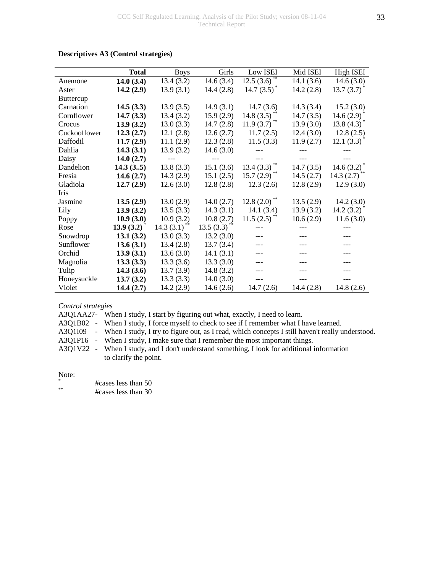|              | <b>Total</b>   | <b>Boys</b>                | Girls                     | Low ISEI                              | Mid ISEI  | High ISEI                  |
|--------------|----------------|----------------------------|---------------------------|---------------------------------------|-----------|----------------------------|
| Anemone      | 14.0(3.4)      | 13.4(3.2)                  | 14.6(3.4)                 | $12.\overline{5}$ (3.6) <sup>**</sup> | 14.1(3.6) | 14.6(3.0)                  |
| Aster        | 14.2(2.9)      | 13.9(3.1)                  | 14.4(2.8)                 | 14.7 $(3.5)^*$                        | 14.2(2.8) | $13.7(3.7)^{*}$            |
| Buttercup    |                |                            |                           |                                       |           |                            |
| Carnation    | 14.5(3.3)      | 13.9(3.5)                  | 14.9(3.1)                 | 14.7(3.6)                             | 14.3(3.4) | 15.2(3.0)                  |
| Cornflower   | 14.7(3.3)      | 13.4(3.2)                  | 15.9(2.9)                 | 14.8 $(3.5)$ <sup>**</sup>            | 14.7(3.5) | 14.6 $(2.9)^*$             |
| Crocus       | 13.9(3.2)      | 13.0(3.3)                  | 14.7(2.8)                 | $11.9(3.7)$ **                        | 13.9(3.0) | $13.8(4.3)^{*}$            |
| Cuckooflower | 12.3(2.7)      | 12.1(2.8)                  | 12.6(2.7)                 | 11.7(2.5)                             | 12.4(3.0) | 12.8(2.5)                  |
| Daffodil     | 11.7(2.9)      | 11.1(2.9)                  | 12.3(2.8)                 | 11.5(3.3)                             | 11.9(2.7) | $12.1(3.3)$ <sup>*</sup>   |
| Dahlia       | 14.3(3.1)      | 13.9(3.2)                  | 14.6(3.0)                 |                                       |           |                            |
| Daisy        | 14.0(2.7)      |                            |                           |                                       |           |                            |
| Dandelion    | 14.3(3.5)      | 13.8(3.3)                  | 15.1(3.6)                 | $13.4(3.3)$ **                        | 14.7(3.5) | 14.6 $(3.2)^*$             |
| Fresia       | 14.6(2.7)      | 14.3(2.9)                  | 15.1(2.5)                 | 15.7 $(2.9)$ <sup>**</sup>            | 14.5(2.7) | 14.3 $(2.7)$ <sup>**</sup> |
| Gladiola     | 12.7(2.9)      | 12.6(3.0)                  | 12.8(2.8)                 | 12.3(2.6)                             | 12.8(2.9) | 12.9(3.0)                  |
| <b>Iris</b>  |                |                            |                           |                                       |           |                            |
| Jasmine      | 13.5(2.9)      | 13.0(2.9)                  | 14.0(2.7)                 | $12.8(2.0)$ <sup>**</sup>             | 13.5(2.9) | 14.2(3.0)                  |
| Lily         | 13.9(3.2)      | 13.5(3.3)                  | 14.3(3.1)                 | 14.1(3.4)                             | 13.9(3.2) | 14.2 $(3.2)^{\degree}$     |
| Poppy        | 10.9(3.0)      | 10.9(3.2)                  | 10.8(2.7)                 | $11.5(2.5)$ <sup>**</sup>             | 10.6(2.9) | 11.6(3.0)                  |
| Rose         | 13.9 $(3.2)^*$ | 14.3 $(3.1)$ <sup>**</sup> | $13.5(3.3)$ <sup>**</sup> |                                       |           |                            |
| Snowdrop     | 13.1(3.2)      | 13.0(3.3)                  | 13.2(3.0)                 | $---$                                 |           |                            |
| Sunflower    | 13.6(3.1)      | 13.4(2.8)                  | 13.7(3.4)                 |                                       |           |                            |
| Orchid       | 13.9(3.1)      | 13.6(3.0)                  | 14.1(3.1)                 | ---                                   |           | ---                        |
| Magnolia     | 13.3(3.3)      | 13.3(3.6)                  | 13.3(3.0)                 |                                       |           |                            |
| Tulip        | 14.3(3.6)      | 13.7(3.9)                  | 14.8(3.2)                 | ---                                   |           |                            |
| Honeysuckle  | 13.7(3.2)      | 13.3(3.3)                  | 14.0(3.0)                 |                                       |           |                            |
| Violet       | 14.4(2.7)      | 14.2(2.9)                  | 14.6(2.6)                 | 14.7(2.6)                             | 14.4(2.8) | 14.8(2.6)                  |

### **Descriptives A3 (Control strategies)**

#### *Control strategies*

A3Q1AA27 - When I study, I start by figuring out what, exactly, I need to learn.

A3Q1B02 - When I study, I force myself to check to see if I remember what I have learned.<br>A3Q1I09 - When I study, I try to figure out, as I read, which concepts I still haven't really u

When I study, I try to figure out, as I read, which concepts I still haven't really understood.

A3Q1P16 - When I study, I make sure that I remember the most important things.

A3Q1V22 - When I study, and I don't understand something, I look for additional information to clarify the point.

| 木  | $\frac{4}{2}$ reases less than 50 |
|----|-----------------------------------|
| 米米 | $\frac{4}{2}$ reases less than 30 |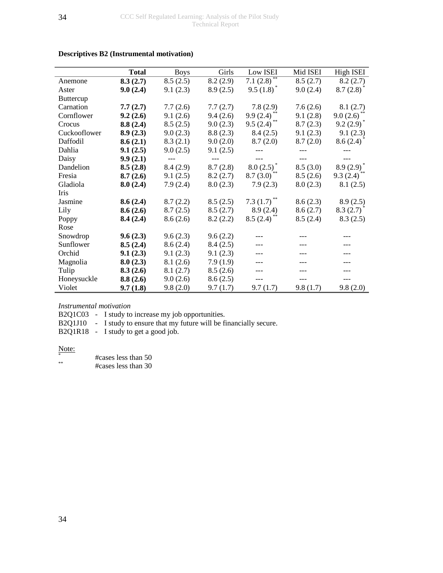| <b>Total</b> | <b>Boys</b> | Girls    | Low ISEI | Mid ISEI                                                                                                                              | High ISEI               |
|--------------|-------------|----------|----------|---------------------------------------------------------------------------------------------------------------------------------------|-------------------------|
| 8.3(2.7)     | 8.5(2.5)    | 8.2(2.9) |          | 8.5(2.7)                                                                                                                              | 8.2(2.7)                |
| 9.0(2.4)     | 9.1(2.3)    | 8.9(2.5) |          | 9.0(2.4)                                                                                                                              | $8.7(2.8)$ <sup>*</sup> |
|              |             |          |          |                                                                                                                                       |                         |
| 7.7(2.7)     | 7.7(2.6)    | 7.7(2.7) | 7.8(2.9) | 7.6(2.6)                                                                                                                              | 8.1(2.7)                |
| 9.2(2.6)     | 9.1(2.6)    | 9.4(2.6) |          | 9.1(2.8)                                                                                                                              | $9.0(2.6)$ **           |
| 8.8(2.4)     | 8.5(2.5)    | 9.0(2.3) | 9.5(2.4) | 8.7(2.3)                                                                                                                              | $9.2(2.9)$ <sup>*</sup> |
| 8.9(2.3)     | 9.0(2.3)    | 8.8(2.3) | 8.4(2.5) | 9.1(2.3)                                                                                                                              | 9.1(2.3)                |
| 8.6(2.1)     | 8.3(2.1)    | 9.0(2.0) | 8.7(2.0) | 8.7(2.0)                                                                                                                              | 8.6(2.4)                |
| 9.1(2.5)     | 9.0(2.5)    | 9.1(2.5) |          |                                                                                                                                       |                         |
| 9.9(2.1)     | $---$       |          |          |                                                                                                                                       |                         |
| 8.5(2.8)     | 8.4(2.9)    | 8.7(2.8) |          | 8.5(3.0)                                                                                                                              | $8.9(2.9)^*$            |
| 8.7(2.6)     | 9.1(2.5)    | 8.2(2.7) | 8.7(3.0) | 8.5(2.6)                                                                                                                              | $9.3(2.4)$ **           |
| 8.0(2.4)     | 7.9(2.4)    | 8.0(2.3) |          | 8.0(2.3)                                                                                                                              | 8.1(2.5)                |
|              |             |          |          |                                                                                                                                       |                         |
| 8.6(2.4)     | 8.7(2.2)    | 8.5(2.5) |          | 8.6(2.3)                                                                                                                              | 8.9(2.5)                |
| 8.6(2.6)     | 8.7(2.5)    | 8.5(2.7) | 8.9(2.4) | 8.6(2.7)                                                                                                                              | $8.3(2.7)$ <sup>*</sup> |
| 8.4(2.4)     | 8.6(2.6)    | 8.2(2.2) |          | 8.5(2.4)                                                                                                                              | 8.3(2.5)                |
|              |             |          |          |                                                                                                                                       |                         |
| 9.6(2.3)     | 9.6(2.3)    | 9.6(2.2) |          |                                                                                                                                       |                         |
| 8.5(2.4)     | 8.6(2.4)    | 8.4(2.5) |          |                                                                                                                                       |                         |
| 9.1(2.3)     | 9.1(2.3)    | 9.1(2.3) |          |                                                                                                                                       |                         |
| 8.0(2.3)     | 8.1(2.6)    | 7.9(1.9) |          |                                                                                                                                       |                         |
| 8.3(2.6)     | 8.1(2.7)    | 8.5(2.6) |          |                                                                                                                                       |                         |
| 8.8(2.6)     | 9.0(2.6)    | 8.6(2.5) |          |                                                                                                                                       |                         |
| 9.7(1.8)     | 9.8(2.0)    | 9.7(1.7) | 9.7(1.7) | 9.8(1.7)                                                                                                                              | 9.8(2.0)                |
|              |             |          |          | $7.1(2.8)$ **<br>$9.5(1.8)^{*}$<br>$9.9(2.4)$ **<br>$8.0(2.5)$ <sup>*</sup><br>7.9(2.3)<br>7.3 $(1.7)$ <sup>**</sup><br>$8.5(2.4)$ ** |                         |

#### **Descriptives B2 (Instrumental motivation)**

*Instrumental motivation* 

B2Q1C03 - I study to increase my job opportunities.

B2Q1J10 - I study to ensure that my future will be financially secure.

B2Q1R18 - I study to get a good job.

|    | #cases less than 50                              |
|----|--------------------------------------------------|
| 米米 | $\frac{4}{2}$ freedom Recall established than 30 |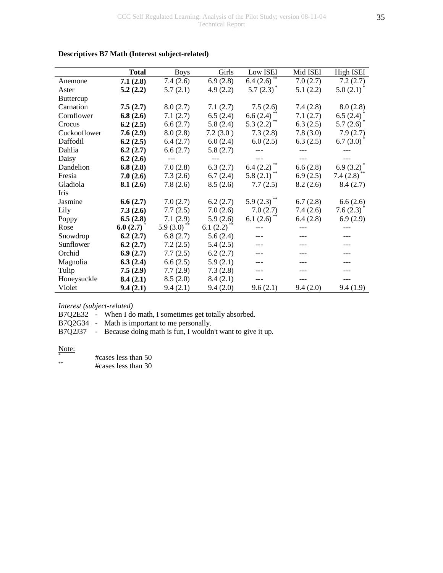|              | <b>Total</b> | <b>Boys</b>   | Girls                     | Low ISEI                      | Mid ISEI | High ISEI               |
|--------------|--------------|---------------|---------------------------|-------------------------------|----------|-------------------------|
| Anemone      | 7.1(2.8)     | 7.4(2.6)      | 6.9(2.8)                  | $6.4(2.6)$ **                 | 7.0(2.7) | 7.2(2.7)                |
| Aster        | 5.2(2.2)     | 5.7(2.1)      | 4.9(2.2)                  | $5.7(2.3)^*$                  | 5.1(2.2) | 5.0(2.1)                |
| Buttercup    |              |               |                           |                               |          |                         |
| Carnation    | 7.5(2.7)     | 8.0(2.7)      | 7.1(2.7)                  | 7.5(2.6)                      | 7.4(2.8) | 8.0(2.8)                |
| Cornflower   | 6.8(2.6)     | 7.1(2.7)      | 6.5(2.4)                  | $6.6(2.4)$ **                 | 7.1(2.7) | 6.5(2.4)                |
| Crocus       | 6.2(2.5)     | 6.6(2.7)      | 5.8(2.4)                  | 5.3 $(2.2)$ **                | 6.3(2.5) | 5.7(2.6)                |
| Cuckooflower | 7.6(2.9)     | 8.0(2.8)      | 7.2(3.0)                  | 7.3(2.8)                      | 7.8(3.0) | 7.9(2.7)                |
| Daffodil     | 6.2(2.5)     | 6.4(2.7)      | 6.0(2.4)                  | 6.0(2.5)                      | 6.3(2.5) | 6.7 $(3.0)^*$           |
| Dahlia       | 6.2(2.7)     | 6.6(2.7)      | 5.8(2.7)                  |                               |          |                         |
| Daisy        | 6.2(2.6)     |               | $---$                     |                               |          |                         |
| Dandelion    | 6.8(2.8)     | 7.0(2.8)      | 6.3(2.7)                  | $6.4\left(2.2\right)$ $^{**}$ | 6.6(2.8) | 6.9 $(3.2)^*$           |
| Fresia       | 7.0(2.6)     | 7.3(2.6)      | 6.7(2.4)                  | 5.8(2.1)                      | 6.9(2.5) | 7.4 $(2.8)$ **          |
| Gladiola     | 8.1(2.6)     | 7.8(2.6)      | 8.5(2.6)                  | 7.7(2.5)                      | 8.2(2.6) | 8.4(2.7)                |
| Iris         |              |               |                           |                               |          |                         |
| Jasmine      | 6.6(2.7)     | 7.0(2.7)      | 6.2(2.7)                  | 5.9 $(2.3)$ <sup>**</sup>     | 6.7(2.8) | 6.6(2.6)                |
| Lily         | 7.3(2.6)     | 7.7(2.5)      | 7.0(2.6)                  | 7.0(2.7)                      | 7.4(2.6) | $7.6(2.3)$ <sup>*</sup> |
| Poppy        | 6.5(2.8)     | 7.1(2.9)      | 5.9(2.6)                  | $6.1(2.6)$ **                 | 6.4(2.8) | 6.9(2.9)                |
| Rose         | 6.0 $(2.7)$  | $5.9(3.0)$ ** | 6.1 $(2.2)$ <sup>**</sup> |                               | $---$    | ---                     |
| Snowdrop     | 6.2(2.7)     | 6.8(2.7)      | 5.6(2.4)                  |                               |          |                         |
| Sunflower    | 6.2(2.7)     | 7.2(2.5)      | 5.4(2.5)                  |                               |          |                         |
| Orchid       | 6.9(2.7)     | 7.7(2.5)      | 6.2(2.7)                  |                               |          |                         |
| Magnolia     | 6.3(2.4)     | 6.6(2.5)      | 5.9(2.1)                  |                               |          |                         |
| Tulip        | 7.5(2.9)     | 7.7(2.9)      | 7.3(2.8)                  |                               |          |                         |
| Honeysuckle  | 8.4(2.1)     | 8.5(2.0)      | 8.4(2.1)                  |                               |          |                         |
| Violet       | 9.4(2.1)     | 9.4(2.1)      | 9.4(2.0)                  | 9.6(2.1)                      | 9.4(2.0) | 9.4(1.9)                |

#### **Descriptives B7 Math (Interest subject-related)**

*Interest (subject-related)* 

B7Q2E32 - When I do math, I sometimes get totally absorbed.

B7Q2G34 - Math is important to me personally.

B7Q2J37 - Because doing math is fun, I wouldn't want to give it up.

| <b>INULC.</b> |                                   |
|---------------|-----------------------------------|
| $\ast$        | $\frac{4}{2}$ reases less than 50 |
| 米米            | $\frac{4}{2}$ exected than 30     |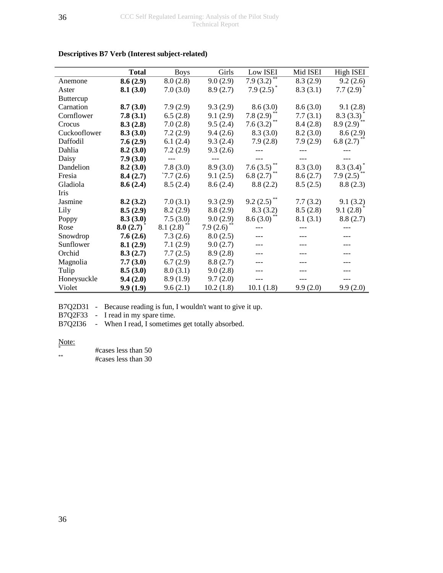|              | <b>Total</b> | <b>Boys</b>    | Girls         | Low ISEI       | Mid ISEI | High ISEI                 |
|--------------|--------------|----------------|---------------|----------------|----------|---------------------------|
| Anemone      | 8.6(2.9)     | 8.0(2.8)       | 9.0(2.9)      | $7.9(3.2)$ **  | 8.3(2.9) | 9.2(2.6)                  |
| Aster        | 8.1(3.0)     | 7.0(3.0)       | 8.9(2.7)      | $7.9(2.5)^*$   | 8.3(3.1) | $7.7(2.9)$ <sup>*</sup>   |
| Buttercup    |              |                |               |                |          |                           |
| Carnation    | 8.7(3.0)     | 7.9(2.9)       | 9.3(2.9)      | 8.6(3.0)       | 8.6(3.0) | 9.1(2.8)                  |
| Cornflower   | 7.8(3.1)     | 6.5(2.8)       | 9.1(2.9)      | $7.8(2.9)$ **  | 7.7(3.1) | $8.3(3.3)^*$              |
| Crocus       | 8.3(2.8)     | 7.0(2.8)       | 9.5(2.4)      | 7.6 $(3.2)$ ** | 8.4(2.8) | $8.9(2.9)$ **             |
| Cuckooflower | 8.3(3.0)     | 7.2(2.9)       | 9.4(2.6)      | 8.3(3.0)       | 8.2(3.0) | 8.6(2.9)                  |
| Daffodil     | 7.6(2.9)     | 6.1(2.4)       | 9.3(2.4)      | 7.9(2.8)       | 7.9(2.9) | 6.8 $(2.7)$ <sup>**</sup> |
| Dahlia       | 8.2(3.0)     | 7.2(2.9)       | 9.3(2.6)      |                |          |                           |
| Daisy        | 7.9(3.0)     |                | $---$         |                |          |                           |
| Dandelion    | 8.2(3.0)     | 7.8(3.0)       | 8.9(3.0)      | $7.6(3.5)$ **  | 8.3(3.0) | $8.3(3.4)^*$              |
| Fresia       | 8.4(2.7)     | 7.7(2.6)       | 9.1(2.5)      | 6.8 $(2.7)$    | 8.6(2.7) | 7.9 $(2.5)$ **            |
| Gladiola     | 8.6(2.4)     | 8.5(2.4)       | 8.6(2.4)      | 8.8(2.2)       | 8.5(2.5) | 8.8(2.3)                  |
| Iris         |              |                |               |                |          |                           |
| Jasmine      | 8.2(3.2)     | 7.0(3.1)       | 9.3(2.9)      | $9.2(2.5)$ **  | 7.7(3.2) | 9.1(3.2)                  |
| Lily         | 8.5(2.9)     | 8.2(2.9)       | 8.8(2.9)      | 8.3(3.2)       | 8.5(2.8) | $9.1(2.8)$ <sup>*</sup>   |
| Poppy        | 8.3(3.0)     | 7.5(3.0)       | 9.0(2.9)      | $8.6(3.0)$ **  | 8.1(3.1) | 8.8(2.7)                  |
| Rose         | 8.0(2.7)     | $8.1 (2.8)$ ** | $7.9(2.6)$ ** |                |          |                           |
| Snowdrop     | 7.6(2.6)     | 7.3(2.6)       | 8.0(2.5)      |                |          |                           |
| Sunflower    | 8.1(2.9)     | 7.1(2.9)       | 9.0(2.7)      |                |          |                           |
| Orchid       | 8.3(2.7)     | 7.7(2.5)       | 8.9(2.8)      |                |          |                           |
| Magnolia     | 7.7(3.0)     | 6.7(2.9)       | 8.8(2.7)      |                |          |                           |
| Tulip        | 8.5(3.0)     | 8.0(3.1)       | 9.0(2.8)      |                |          |                           |
| Honeysuckle  | 9.4(2.0)     | 8.9(1.9)       | 9.7(2.0)      |                |          |                           |
| Violet       | 9.9(1.9)     | 9.6(2.1)       | 10.2(1.8)     | 10.1(1.8)      | 9.9(2.0) | 9.9(2.0)                  |

#### **Descriptives B7 Verb (Interest subject-related)**

B7Q2D31 - Because reading is fun, I wouldn't want to give it up.

B7Q2F33 - I read in my spare time.

B7Q2I36 - When I read, I sometimes get totally absorbed.

| 木  | $\frac{4}{2}$ reases less than 50 |
|----|-----------------------------------|
| 米米 | $\frac{4}{2}$ reases less than 30 |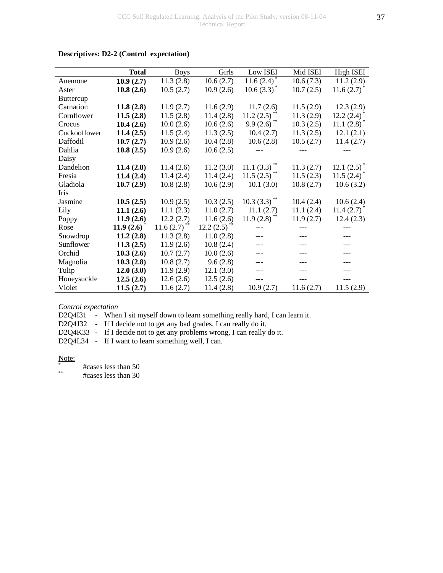|              | <b>Total</b>              | <b>Boys</b>    | Girls                     | Low ISEI                   | Mid ISEI  | High ISEI                 |
|--------------|---------------------------|----------------|---------------------------|----------------------------|-----------|---------------------------|
| Anemone      | 10.9(2.7)                 | 11.3(2.8)      | 10.6(2.7)                 | $11.6(2.4)$ <sup>*</sup>   | 10.6(7.3) | 11.2(2.9)                 |
| Aster        | 10.8(2.6)                 | 10.5(2.7)      | 10.9(2.6)                 | $10.6(3.3)$ <sup>*</sup>   | 10.7(2.5) | $11.6(2.7)^*$             |
| Buttercup    |                           |                |                           |                            |           |                           |
| Carnation    | 11.8(2.8)                 | 11.9(2.7)      | 11.6(2.9)                 | 11.7(2.6)                  | 11.5(2.9) | 12.3(2.9)                 |
| Cornflower   | 11.5(2.8)                 | 11.5(2.8)      | 11.4(2.8)                 | $11.2(2.5)$ <sup>**</sup>  | 11.3(2.9) | 12.2 $(2.4)$ <sup>*</sup> |
| Crocus       | 10.4(2.6)                 | 10.0(2.6)      | 10.6(2.6)                 | $9.9(2.6)$ **              | 10.3(2.5) | 11.1 $(2.8)^*$            |
| Cuckooflower | 11.4(2.5)                 | 11.5(2.4)      | 11.3(2.5)                 | 10.4(2.7)                  | 11.3(2.5) | 12.1(2.1)                 |
| Daffodil     | 10.7(2.7)                 | 10.9(2.6)      | 10.4(2.8)                 | 10.6(2.8)                  | 10.5(2.7) | 11.4(2.7)                 |
| Dahlia       | 10.8(2.5)                 | 10.9(2.6)      | 10.6(2.5)                 |                            |           |                           |
| Daisy        |                           |                |                           |                            |           |                           |
| Dandelion    | 11.4(2.8)                 | 11.4(2.6)      | 11.2(3.0)                 | 11.1 $(3.3)$ <sup>**</sup> | 11.3(2.7) | $12.1 (2.5)^*$            |
| Fresia       | 11.4(2.4)                 | 11.4(2.4)      | 11.4(2.4)                 | $11.5(2.5)$ **             | 11.5(2.3) | 11.5(2.4)                 |
| Gladiola     | 10.7(2.9)                 | 10.8(2.8)      | 10.6(2.9)                 | 10.1(3.0)                  | 10.8(2.7) | 10.6(3.2)                 |
| Iris         |                           |                |                           |                            |           |                           |
| Jasmine      | 10.5(2.5)                 | 10.9(2.5)      | 10.3(2.5)                 | $10.3(3.3)$ <sup>**</sup>  | 10.4(2.4) | 10.6(2.4)                 |
| Lily         | 11.1(2.6)                 | 11.1(2.3)      | 11.0(2.7)                 | 11.1(2.7)                  | 11.1(2.4) | 11.4(2.7)                 |
| Poppy        | 11.9(2.6)                 | 12.2(2.7)      | 11.6(2.6)                 | $11.9(2.8)$ <sup>**</sup>  | 11.9(2.7) | 12.4(2.3)                 |
| Rose         | 11.9 $(2.6)$ <sup>*</sup> | $11.6(2.7)$ ** | $12.2(2.5)$ <sup>**</sup> |                            |           | ---                       |
| Snowdrop     | 11.2(2.8)                 | 11.3(2.8)      | 11.0(2.8)                 | $---$                      |           | ---                       |
| Sunflower    | 11.3(2.5)                 | 11.9(2.6)      | 10.8(2.4)                 |                            |           |                           |
| Orchid       | 10.3(2.6)                 | 10.7(2.7)      | 10.0(2.6)                 |                            |           |                           |
| Magnolia     | 10.3(2.8)                 | 10.8(2.7)      | 9.6(2.8)                  | ---                        |           | ---                       |
| Tulip        | 12.0(3.0)                 | 11.9(2.9)      | 12.1(3.0)                 |                            |           |                           |
| Honeysuckle  | 12.5(2.6)                 | 12.6(2.6)      | 12.5(2.6)                 |                            |           |                           |
| Violet       | 11.5(2.7)                 | 11.6(2.7)      | 11.4(2.8)                 | 10.9(2.7)                  | 11.6(2.7) | 11.5(2.9)                 |

#### **Descriptives: D2-2 (Control expectation)**

*Control expectation* 

D2Q4I31 - When I sit myself down to learn something really hard, I can learn it.

D2Q4J32 - If I decide not to get any bad grades, I can really do it.

D2Q4K33 - If I decide not to get any problems wrong, I can really do it.

D2Q4L34 - If I want to learn something well, I can.

#### Note: \*

#cases less than 50

#cases less than 30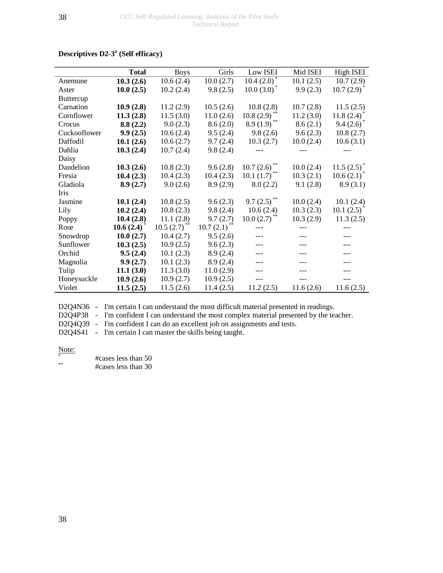|                  | <b>Total</b>              | <b>Boys</b>    | Girls                   | Low ISEI                  | Mid ISEI  | High ISEI                |
|------------------|---------------------------|----------------|-------------------------|---------------------------|-----------|--------------------------|
| Anemone          | 10.3(2.6)                 | 10.6(2.4)      | $\overline{10.0}$ (2.7) | $10.4~(2.0)^{*}$          | 10.1(2.5) | 10.7(2.9)                |
| Aster            | 10.0(2.5)                 | 10.2(2.4)      | 9.8(2.5)                | $10.0(3.0)$ <sup>*</sup>  | 9.9(2.3)  | $10.7(2.9)^{*}$          |
| <b>Buttercup</b> |                           |                |                         |                           |           |                          |
| Carnation        | 10.9(2.8)                 | 11.2(2.9)      | 10.5(2.6)               | 10.8(2.8)                 | 10.7(2.8) | 11.5(2.5)                |
| Cornflower       | 11.3(2.8)                 | 11.5(3.0)      | 11.0(2.6)               | $10.8(2.9)$ **            | 11.2(3.0) | $11.8(2.4)$ <sup>*</sup> |
| Crocus           | 8.8(2.2)                  | 9.0(2.3)       | 8.6(2.0)                | $8.9(1.9)$ **             | 8.6(2.1)  | $9.4(2.6)^*$             |
| Cuckooflower     | 9.9(2.5)                  | 10.6(2.4)      | 9.5(2.4)                | 9.8(2.6)                  | 9.6(2.3)  | 10.8(2.7)                |
| Daffodil         | 10.1(2.6)                 | 10.6(2.7)      | 9.7(2.4)                | 10.3(2.7)                 | 10.0(2.4) | 10.6(3.1)                |
| Dahlia           | 10.3(2.4)                 | 10.7(2.4)      | 9.8(2.4)                |                           |           |                          |
| Daisy            |                           |                |                         |                           |           |                          |
| Dandelion        | 10.3(2.6)                 | 10.8(2.3)      | 9.6(2.8)                | $10.7(2.6)$ **            | 10.0(2.4) | $11.5(2.5)^*$            |
| Fresia           | 10.4(2.3)                 | 10.4(2.3)      | 10.4(2.3)               | $10.1 (1.7)$ **           | 10.3(2.1) | $10.6(2.1)^*$            |
| Gladiola         | 8.9(2.7)                  | 9.0(2.6)       | 8.9(2.9)                | 8.0(2.2)                  | 9.1(2.8)  | 8.9(3.1)                 |
| Iris             |                           |                |                         |                           |           |                          |
| Jasmine          | 10.1(2.4)                 | 10.8(2.5)      | 9.6(2.3)                | $9.7(2.5)$ <sup>**</sup>  | 10.0(2.4) | 10.1(2.4)                |
| Lily             | 10.2(2.4)                 | 10.8(2.3)      | 9.8(2.4)                | 10.6(2.4)                 | 10.3(2.3) | $10.1 (2.5)^*$           |
| Poppy            | 10.4(2.8)                 | 11.1(2.8)      | 9.7(2.7)                | $10.0(2.7)$ <sup>**</sup> | 10.3(2.9) | 11.3(2.5)                |
| Rose             | 10.6 $(2.4)$ <sup>*</sup> | $10.5(2.7)$ ** | $10.7(2.1)$ **          |                           |           |                          |
| Snowdrop         | 10.0(2.7)                 | 10.4(2.7)      | 9.5(2.6)                |                           |           |                          |
| Sunflower        | 10.3(2.5)                 | 10.9(2.5)      | 9.6(2.3)                |                           |           |                          |
| Orchid           | 9.5(2.4)                  | 10.1(2.3)      | 8.9(2.4)                | ---                       |           |                          |
| Magnolia         | 9.9(2.7)                  | 10.1(2.3)      | 8.9(2.4)                | ---                       |           | ---                      |
| Tulip            | 11.1(3.0)                 | 11.3(3.0)      | 11.0(2.9)               |                           |           |                          |
| Honeysuckle      | 10.9(2.6)                 | 10.9(2.7)      | 10.9(2.5)               |                           |           |                          |
| Violet           | 11.5(2.5)                 | 11.5(2.6)      | 11.4(2.5)               | 11.2(2.5)                 | 11.6(2.6) | 11.6(2.5)                |

### Descriptives D2-3<sup>a</sup> (Self efficacy)

D2Q4N36 - I'm certain I can understand the most difficult material presented in readings.

D2Q4P38 - I'm confident I can understand the most complex material presented by the teacher.

D2Q4Q39 - I'm confident I can do an excellent job on assignments and tests.

D2Q4S41 - I'm certain I can master the skills being taught.

| $\ast$ | $\frac{4}{2}$ dess than 50             |  |  |
|--------|----------------------------------------|--|--|
| 米米     | $\frac{4}{2}$ execution $\frac{30}{2}$ |  |  |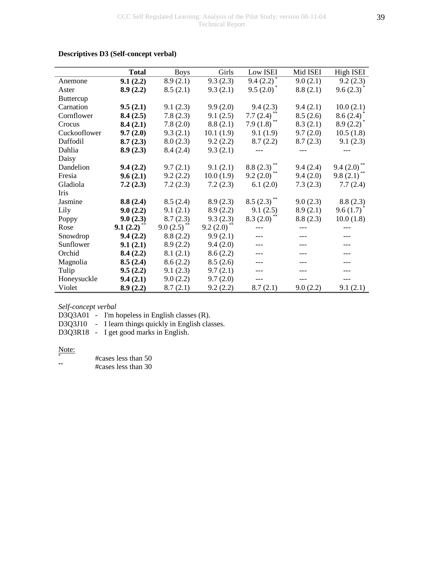| <b>Total</b> |               |                              |                                    |                                                                                                                                                              | High ISEI               |
|--------------|---------------|------------------------------|------------------------------------|--------------------------------------------------------------------------------------------------------------------------------------------------------------|-------------------------|
| 9.1(2.2)     | 8.9(2.1)      |                              |                                    |                                                                                                                                                              | 9.2(2.3)                |
| 8.9(2.2)     | 8.5(2.1)      | 9.3(2.1)                     |                                    | 8.8(2.1)                                                                                                                                                     | $9.6(2.3)^{*}$          |
|              |               |                              |                                    |                                                                                                                                                              |                         |
| 9.5(2.1)     | 9.1(2.3)      | 9.9(2.0)                     | 9.4(2.3)                           | 9.4(2.1)                                                                                                                                                     | 10.0(2.1)               |
| 8.4(2.5)     | 7.8(2.3)      | 9.1(2.5)                     |                                    | 8.5(2.6)                                                                                                                                                     | 8.6(2.4)                |
| 8.4(2.1)     | 7.8(2.0)      | 8.8(2.1)                     |                                    | 8.3(2.1)                                                                                                                                                     | $8.9(2.2)^*$            |
| 9.7(2.0)     | 9.3(2.1)      | 10.1(1.9)                    | 9.1(1.9)                           | 9.7(2.0)                                                                                                                                                     | 10.5(1.8)               |
| 8.7(2.3)     | 8.0(2.3)      | 9.2(2.2)                     | 8.7(2.2)                           | 8.7(2.3)                                                                                                                                                     | 9.1(2.3)                |
| 8.9(2.3)     | 8.4(2.4)      | 9.3(2.1)                     |                                    |                                                                                                                                                              |                         |
|              |               |                              |                                    |                                                                                                                                                              |                         |
| 9.4(2.2)     | 9.7(2.1)      | 9.1(2.1)                     |                                    | 9.4(2.4)                                                                                                                                                     | $9.4\ (2.0)$ $^{**}$    |
| 9.6(2.1)     | 9.2(2.2)      | 10.0(1.9)                    |                                    | 9.4(2.0)                                                                                                                                                     | 9.8(2.1)                |
| 7.2(2.3)     | 7.2(2.3)      | 7.2(2.3)                     | 6.1(2.0)                           | 7.3(2.3)                                                                                                                                                     | 7.7(2.4)                |
|              |               |                              |                                    |                                                                                                                                                              |                         |
| 8.8(2.4)     | 8.5(2.4)      | 8.9(2.3)                     |                                    | 9.0(2.3)                                                                                                                                                     | 8.8(2.3)                |
| 9.0(2.2)     | 9.1(2.1)      | 8.9(2.2)                     | 9.1(2.5)                           | 8.9(2.1)                                                                                                                                                     | $9.6(1.7)$ <sup>*</sup> |
| 9.0(2.3)     | 8.7(2.3)      | 9.3(2.3)                     |                                    | 8.8(2.3)                                                                                                                                                     | 10.0(1.8)               |
|              |               |                              |                                    |                                                                                                                                                              |                         |
| 9.4(2.2)     | 8.8(2.2)      | 9.9(2.1)                     |                                    |                                                                                                                                                              |                         |
| 9.1(2.1)     | 8.9(2.2)      | 9.4(2.0)                     |                                    |                                                                                                                                                              |                         |
| 8.4(2.2)     | 8.1(2.1)      | 8.6(2.2)                     |                                    |                                                                                                                                                              | ---                     |
| 8.5(2.4)     | 8.6(2.2)      | 8.5(2.6)                     | $---$                              |                                                                                                                                                              | ---                     |
| 9.5(2.2)     | 9.1(2.3)      | 9.7(2.1)                     |                                    |                                                                                                                                                              |                         |
| 9.4(2.1)     | 9.0(2.2)      | 9.7(2.0)                     |                                    |                                                                                                                                                              |                         |
| 8.9(2.2)     | 8.7(2.1)      | 9.2(2.2)                     | 8.7(2.1)                           | 9.0(2.2)                                                                                                                                                     | 9.1(2.1)                |
|              | $9.1(2.2)$ ** | <b>Boys</b><br>$9.0(2.5)$ ** | Girls<br>9.3(2.3)<br>$9.2(2.0)$ ** | Low ISEI<br>$9.4(2.2)^{*}$<br>$9.5(2.0)$ <sup>*</sup><br>7.7 $(2.4)$ **<br>$7.9(1.8)$ **<br>$8.8(2.3)$ **<br>$9.2(2.0)$ **<br>$8.5(2.3)$ **<br>$8.3(2.0)$ ** | Mid ISEI<br>9.0(2.1)    |

#### **Descriptives D3 (Self-concept verbal)**

*Self-concept verbal* 

D3Q3A01 - I'm hopeless in English classes (R).

D3Q3J10 - I learn things quickly in English classes.

D3Q3R18 - I get good marks in English.

| $\ast$ | $\frac{4}{2}$ dess than 50             |
|--------|----------------------------------------|
| 米米     | $\frac{4}{2}$ execution $\frac{30}{2}$ |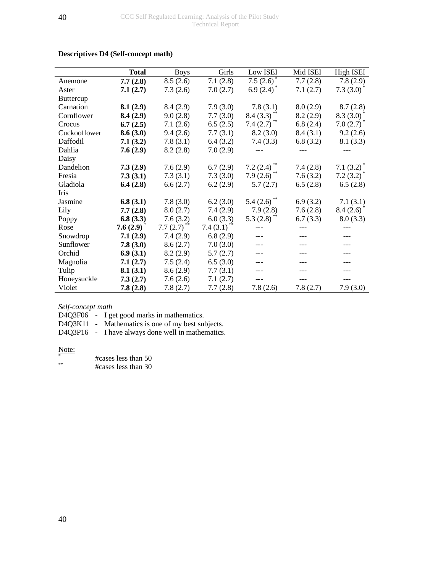|                  | <b>Total</b>            | <b>Boys</b>   | Girls                     | Low ISEI                  | Mid ISEI | High ISEI               |
|------------------|-------------------------|---------------|---------------------------|---------------------------|----------|-------------------------|
| Anemone          | 7.7(2.8)                | 8.5(2.6)      | 7.1(2.8)                  | 7.5(2.6)                  | 7.7(2.8) | 7.8(2.9)                |
| Aster            | 7.1(2.7)                | 7.3(2.6)      | 7.0(2.7)                  | 6.9 $(2.4)^*$             | 7.1(2.7) | 7.3(3.0)                |
| <b>Buttercup</b> |                         |               |                           |                           |          |                         |
| Carnation        | 8.1(2.9)                | 8.4(2.9)      | 7.9(3.0)                  | 7.8(3.1)                  | 8.0(2.9) | 8.7(2.8)                |
| Cornflower       | 8.4(2.9)                | 9.0(2.8)      | 7.7(3.0)                  | $8.4(3.3)$ **             | 8.2(2.9) | $8.3(3.0)^*$            |
| Crocus           | 6.7(2.5)                | 7.1(2.6)      | 6.5(2.5)                  | 7.4 $(2.7)$ <sup>**</sup> | 6.8(2.4) | 7.0(2.7)                |
| Cuckooflower     | 8.6(3.0)                | 9.4(2.6)      | 7.7(3.1)                  | 8.2(3.0)                  | 8.4(3.1) | 9.2(2.6)                |
| Daffodil         | 7.1(3.2)                | 7.8(3.1)      | 6.4(3.2)                  | 7.4(3.3)                  | 6.8(3.2) | 8.1(3.3)                |
| Dahlia           | 7.6(2.9)                | 8.2(2.8)      | 7.0(2.9)                  |                           |          |                         |
| Daisy            |                         |               |                           |                           |          |                         |
| Dandelion        | 7.3(2.9)                | 7.6(2.9)      | 6.7(2.9)                  | 7.2 $(2.4)$ **            | 7.4(2.8) | 7.1 $(3.2)^*$           |
| Fresia           | 7.3(3.1)                | 7.3(3.1)      | 7.3(3.0)                  | $7.9(2.6)$ **             | 7.6(3.2) | $7.2(3.2)^{*}$          |
| Gladiola         | 6.4(2.8)                | 6.6(2.7)      | 6.2(2.9)                  | 5.7(2.7)                  | 6.5(2.8) | 6.5(2.8)                |
| Iris             |                         |               |                           |                           |          |                         |
| Jasmine          | 6.8(3.1)                | 7.8(3.0)      | 6.2(3.0)                  | 5.4 $(2.6)$ **            | 6.9(3.2) | 7.1(3.1)                |
| Lily             | 7.7(2.8)                | 8.0(2.7)      | 7.4(2.9)                  | 7.9(2.8)                  | 7.6(2.8) | $8.4(2.6)$ <sup>*</sup> |
| Poppy            | 6.8(3.3)                | 7.6(3.2)      | 6.0(3.3)                  | 5.3 $(2.8)$ **            | 6.7(3.3) | 8.0(3.3)                |
| Rose             | $7.6(2.9)$ <sup>*</sup> | $7.7(2.7)$ ** | 7.4 $(3.1)$ <sup>**</sup> |                           |          | ---                     |
| Snowdrop         | 7.1(2.9)                | 7.4(2.9)      | 6.8(2.9)                  |                           |          |                         |
| Sunflower        | 7.8(3.0)                | 8.6(2.7)      | 7.0(3.0)                  |                           |          |                         |
| Orchid           | 6.9(3.1)                | 8.2(2.9)      | 5.7(2.7)                  |                           |          |                         |
| Magnolia         | 7.1(2.7)                | 7.5(2.4)      | 6.5(3.0)                  |                           |          | ---                     |
| Tulip            | 8.1(3.1)                | 8.6(2.9)      | 7.7(3.1)                  |                           |          |                         |
| Honeysuckle      | 7.3(2.7)                | 7.6(2.6)      | 7.1(2.7)                  |                           |          |                         |
| Violet           | 7.8(2.8)                | 7.8(2.7)      | 7.7(2.8)                  | 7.8(2.6)                  | 7.8(2.7) | 7.9(3.0)                |

#### **Descriptives D4 (Self-concept math)**

#### *Self-concept math*

D4Q3F06 - I get good marks in mathematics.

D4Q3K11 - Mathematics is one of my best subjects.

D4Q3P16 - I have always done well in mathematics.

| $\ast$ | $\frac{4}{2}$ reases less than 50 |
|--------|-----------------------------------|
| 米米     | $\frac{4}{2}$ exected than 30     |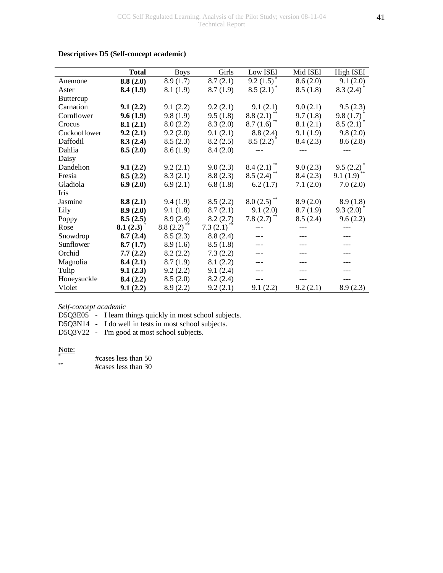|              | <b>Total</b>  | <b>Boys</b>   | Girls          | Low ISEI        | Mid ISEI | High ISEI               |
|--------------|---------------|---------------|----------------|-----------------|----------|-------------------------|
| Anemone      | 8.8(2.0)      | 8.9(1.7)      | 8.7(2.1)       | 9.2 $(1.5)^{*}$ | 8.6(2.0) | 9.1(2.0)                |
| Aster        | 8.4(1.9)      | 8.1(1.9)      | 8.7(1.9)       | $8.5(2.1)^*$    | 8.5(1.8) | 8.3(2.4)                |
| Buttercup    |               |               |                |                 |          |                         |
| Carnation    | 9.1(2.2)      | 9.1(2.2)      | 9.2(2.1)       | 9.1(2.1)        | 9.0(2.1) | 9.5(2.3)                |
| Cornflower   | 9.6(1.9)      | 9.8(1.9)      | 9.5(1.8)       | $8.8(2.1)$ **   | 9.7(1.8) | $9.8(1.7)^{*}$          |
| Crocus       | 8.1(2.1)      | 8.0(2.2)      | 8.3(2.0)       | $8.7(1.6)$ **   | 8.1(2.1) | 8.5(2.1)                |
| Cuckooflower | 9.2(2.1)      | 9.2(2.0)      | 9.1(2.1)       | 8.8(2.4)        | 9.1(1.9) | 9.8(2.0)                |
| Daffodil     | 8.3(2.4)      | 8.5(2.3)      | 8.2(2.5)       | 8.5(2.2)        | 8.4(2.3) | 8.6(2.8)                |
| Dahlia       | 8.5(2.0)      | 8.6(1.9)      | 8.4(2.0)       |                 |          |                         |
| Daisy        |               |               |                |                 |          |                         |
| Dandelion    | 9.1(2.2)      | 9.2(2.1)      | 9.0(2.3)       | $8.4 (2.1)$ **  | 9.0(2.3) | $9.5(2.2)^{*}$          |
| Fresia       | 8.5(2.2)      | 8.3(2.1)      | 8.8(2.3)       | $8.5(2.4)$ **   | 8.4(2.3) | 9.1 $(1.9)^{4*}$        |
| Gladiola     | 6.9(2.0)      | 6.9(2.1)      | 6.8(1.8)       | 6.2(1.7)        | 7.1(2.0) | 7.0(2.0)                |
| Iris         |               |               |                |                 |          |                         |
| Jasmine      | 8.8(2.1)      | 9.4(1.9)      | 8.5(2.2)       | $8.0(2.5)$ **   | 8.9(2.0) | 8.9(1.8)                |
| Lily         | 8.9(2.0)      | 9.1(1.8)      | 8.7(2.1)       | 9.1(2.0)        | 8.7(1.9) | $9.3(2.0)$ <sup>*</sup> |
| Poppy        | 8.5(2.5)      | 8.9(2.4)      | 8.2(2.7)       | 7.8 $(2.7)$ **  | 8.5(2.4) | 9.6(2.2)                |
| Rose         | 8.1 $(2.3)^*$ | $8.8(2.2)$ ** | 7.3 $(2.1)$ ** |                 |          |                         |
| Snowdrop     | 8.7(2.4)      | 8.5(2.3)      | 8.8(2.4)       |                 |          |                         |
| Sunflower    | 8.7(1.7)      | 8.9(1.6)      | 8.5(1.8)       |                 |          |                         |
| Orchid       | 7.7(2.2)      | 8.2(2.2)      | 7.3(2.2)       |                 |          |                         |
| Magnolia     | 8.4(2.1)      | 8.7(1.9)      | 8.1(2.2)       |                 |          |                         |
| Tulip        | 9.1(2.3)      | 9.2(2.2)      | 9.1(2.4)       |                 |          |                         |
| Honeysuckle  | 8.4(2.2)      | 8.5(2.0)      | 8.2(2.4)       |                 |          |                         |
| Violet       | 9.1(2.2)      | 8.9(2.2)      | 9.2(2.1)       | 9.1(2.2)        | 9.2(2.1) | 8.9(2.3)                |

#### **Descriptives D5 (Self-concept academic)**

*Self-concept academic* 

D5Q3E05 - I learn things quickly in most school subjects.

D5Q3N14 - I do well in tests in most school subjects.

D5Q3V22 - I'm good at most school subjects.

|    | $\frac{4}{2}$ reases less than 50                |  |
|----|--------------------------------------------------|--|
| ** | $\frac{4}{2}$ freedom Recall established than 30 |  |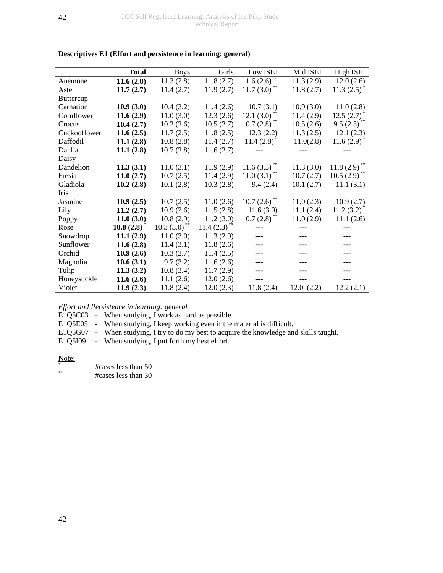|              | <b>Total</b>   | <b>Boys</b>    | Girls                     | Low ISEI                                  | Mid ISEI  | High ISEI                            |
|--------------|----------------|----------------|---------------------------|-------------------------------------------|-----------|--------------------------------------|
| Anemone      | 11.6(2.8)      | 11.3(2.8)      | 11.8(2.7)                 | $11.\overline{6}$ $\overline{(2.6)}^{**}$ | 11.3(2.9) | 12.0(2.6)                            |
| Aster        | 11.7(2.7)      | 11.4(2.7)      | 11.9(2.7)                 | $11.7(3.0)$ <sup>*</sup>                  | 11.8(2.7) | $11.3(2.5)^{*}$                      |
| Buttercup    |                |                |                           |                                           |           |                                      |
| Carnation    | 10.9(3.0)      | 10.4(3.2)      | 11.4(2.6)                 | 10.7(3.1)                                 | 10.9(3.0) | 11.0(2.8)                            |
| Cornflower   | 11.6(2.9)      | 11.0(3.0)      | 12.3(2.6)                 | 12.1 $(3.0)$ <sup>**</sup>                | 11.4(2.9) | $12.5(2.7)^*$                        |
| Crocus       | 10.4(2.7)      | 10.2(2.6)      | 10.5(2.7)                 | $10.7(2.8)$ **                            | 10.5(2.6) | $9.5(2.5)$ **                        |
| Cuckooflower | 11.6(2.5)      | 11.7(2.5)      | 11.8(2.5)                 | 12.3(2.2)                                 | 11.3(2.5) | 12.1(2.3)                            |
| Daffodil     | 11.1(2.8)      | 10.8(2.8)      | 11.4(2.7)                 | $11.4(2.8)$ <sup>*</sup>                  | 11.0(2.8) | $11.6(2.9)$ <sup>*</sup>             |
| Dahlia       | 11.1(2.8)      | 10.7(2.8)      | 11.6(2.7)                 |                                           |           |                                      |
| Daisy        |                |                |                           |                                           |           |                                      |
| Dandelion    | 11.3(3.1)      | 11.0(3.1)      | 11.9(2.9)                 | $11.6(3.5)$ <sup>**</sup>                 | 11.3(3.0) | 11.8 $\left( 2.9\right) ^{\ast\ast}$ |
| Fresia       | 11.0(2.7)      | 10.7(2.5)      | 11.4(2.9)                 | $11.0(3.1)$ **                            | 10.7(2.7) | $10.5(2.9)$ **                       |
| Gladiola     | 10.2(2.8)      | 10.1(2.8)      | 10.3(2.8)                 | 9.4(2.4)                                  | 10.1(2.7) | 11.1(3.1)                            |
| Iris         |                |                |                           |                                           |           |                                      |
| Jasmine      | 10.9(2.5)      | 10.7(2.5)      | 11.0(2.6)                 | $10.7(2.6)$ <sup>**</sup>                 | 11.0(2.3) | 10.9(2.7)                            |
| Lily         | 11.2(2.7)      | 10.9(2.6)      | 11.5(2.8)                 | 11.6(3.0)                                 | 11.1(2.4) | $11.2(3.2)$ <sup>*</sup>             |
| Poppy        | 11.0(3.0)      | 10.8(2.9)      | 11.2(3.0)                 | 10.7 $(2.8)$ <sup>**</sup>                | 11.0(2.9) | 11.1(2.6)                            |
| Rose         | 10.8 $(2.8)^*$ | $10.3(3.0)$ ** | $11.4(2.3)$ <sup>**</sup> |                                           |           | $---$                                |
| Snowdrop     | 11.1(2.9)      | 11.0(3.0)      | 11.3(2.9)                 |                                           |           | ---                                  |
| Sunflower    | 11.6(2.8)      | 11.4(3.1)      | 11.8(2.6)                 |                                           |           |                                      |
| Orchid       | 10.9(2.6)      | 10.3(2.7)      | 11.4(2.5)                 |                                           |           |                                      |
| Magnolia     | 10.6(3.1)      | 9.7(3.2)       | 11.6(2.6)                 |                                           |           | ---                                  |
| Tulip        | 11.3(3.2)      | 10.8(3.4)      | 11.7(2.9)                 |                                           |           |                                      |
| Honeysuckle  | 11.6(2.6)      | 11.1(2.6)      | 12.0(2.6)                 |                                           |           |                                      |
| Violet       | 11.9(2.3)      | 11.8(2.4)      | 12.0(2.3)                 | 11.8(2.4)                                 | 12.0(2.2) | 12.2(2.1)                            |

**Descriptives E1 (Effort and persistence in learning: general)** 

*Effort and Persistence in learning: general* 

 $E1Q5C03$  - When studying, I work as hard as possible.

E1Q5E05 - When studying, I keep working even if the material is difficult.

E1Q5G07 - When studying, I try to do my best to acquire the knowledge and skills taught.

E1Q5I09 - When studying, I put forth my best effort.

| $\ast$ | $\frac{4}{2}$ decay than 50                      |
|--------|--------------------------------------------------|
| **     | $\frac{4}{2}$ freedom Recall established than 30 |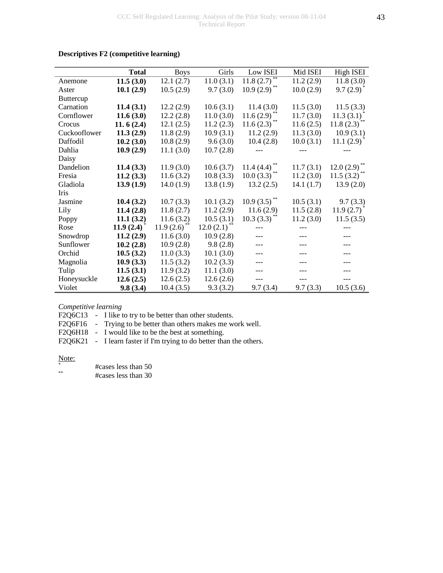|              | <b>Total</b>              | <b>Boys</b>    | Girls                     | Low ISEI                    | Mid ISEI  | High ISEI                 |
|--------------|---------------------------|----------------|---------------------------|-----------------------------|-----------|---------------------------|
| Anemone      | 11.5(3.0)                 | 12.1(2.7)      | 11.0(3.1)                 | $11.\overline{8(2.7)}^{**}$ | 11.2(2.9) | 11.8(3.0)                 |
| Aster        | 10.1(2.9)                 | 10.5(2.9)      | 9.7(3.0)                  | $10.9(2.9)$ **              | 10.0(2.9) | $9.7(2.9)^{*}$            |
| Buttercup    |                           |                |                           |                             |           |                           |
| Carnation    | 11.4(3.1)                 | 12.2(2.9)      | 10.6(3.1)                 | 11.4(3.0)                   | 11.5(3.0) | 11.5(3.3)                 |
| Cornflower   | 11.6(3.0)                 | 12.2(2.8)      | 11.0(3.0)                 | $11.6(2.9)$ **              | 11.7(3.0) | $11.3(3.1)$ <sup>*</sup>  |
| Crocus       | 11.6(2.4)                 | 12.1(2.5)      | 11.2(2.3)                 | $11.6(2.3)$ <sup>**</sup>   | 11.6(2.5) | $11.8(2.3)$ <sup>**</sup> |
| Cuckooflower | 11.3(2.9)                 | 11.8(2.9)      | 10.9(3.1)                 | 11.2(2.9)                   | 11.3(3.0) | 10.9(3.1)                 |
| Daffodil     | 10.2(3.0)                 | 10.8(2.9)      | 9.6(3.0)                  | 10.4(2.8)                   | 10.0(3.1) | $11.1(2.9)^*$             |
| Dahlia       | 10.9(2.9)                 | 11.1(3.0)      | 10.7(2.8)                 |                             |           |                           |
| Daisy        |                           |                |                           |                             |           |                           |
| Dandelion    | 11.4(3.3)                 | 11.9(3.0)      | 10.6(3.7)                 | 11.4 $(4.4)$ <sup>**</sup>  | 11.7(3.1) | $12.0(2.9)$ **            |
| Fresia       | 11.2(3.3)                 | 11.6(3.2)      | 10.8(3.3)                 | $10.0(3.3)$ **              | 11.2(3.0) | $11.5(3.2)$ **            |
| Gladiola     | 13.9(1.9)                 | 14.0(1.9)      | 13.8(1.9)                 | 13.2(2.5)                   | 14.1(1.7) | 13.9(2.0)                 |
| Iris         |                           |                |                           |                             |           |                           |
| Jasmine      | 10.4(3.2)                 | 10.7(3.3)      | 10.1(3.2)                 | $10.9(3.5)$ <sup>**</sup>   | 10.5(3.1) | 9.7(3.3)                  |
| Lily         | 11.4(2.8)                 | 11.8(2.7)      | 11.2(2.9)                 | 11.6(2.9)                   | 11.5(2.8) | 11.9(2.7)                 |
| Poppy        | 11.1(3.2)                 | 11.6(3.2)      | 10.5(3.1)                 | $10.3(3.3)$ <sup>**</sup>   | 11.2(3.0) | 11.5(3.5)                 |
| Rose         | 11.9 $(2.4)$ <sup>*</sup> | $11.9(2.6)$ ** | $12.0(2.1)$ <sup>**</sup> |                             |           |                           |
| Snowdrop     | 11.2(2.9)                 | 11.6(3.0)      | 10.9(2.8)                 | ---                         |           | ---                       |
| Sunflower    | 10.2(2.8)                 | 10.9(2.8)      | 9.8(2.8)                  |                             |           |                           |
| Orchid       | 10.5(3.2)                 | 11.0(3.3)      | 10.1(3.0)                 | ---                         |           |                           |
| Magnolia     | 10.9(3.3)                 | 11.5(3.2)      | 10.2(3.3)                 |                             |           | ---                       |
| Tulip        | 11.5(3.1)                 | 11.9(3.2)      | 11.1(3.0)                 | ---                         |           |                           |
| Honeysuckle  | 12.6(2.5)                 | 12.6(2.5)      | 12.6(2.6)                 |                             |           |                           |
| Violet       | 9.8(3.4)                  | 10.4(3.5)      | 9.3(3.2)                  | 9.7(3.4)                    | 9.7(3.3)  | 10.5(3.6)                 |

### **Descriptives F2 (competitive learning)**

*Competitive learning* 

F2Q6C13 - I like to try to be better than other students.

F2Q6F16 - Trying to be better than others makes me work well.

F2Q6H18 - I would like to be the best at something.

F2Q6K21 - I learn faster if I'm trying to do better than the others.

|    | $\frac{4}{2}$ decay than 50 |
|----|-----------------------------|
| 米米 | $\frac{4}{2}$ decay than 30 |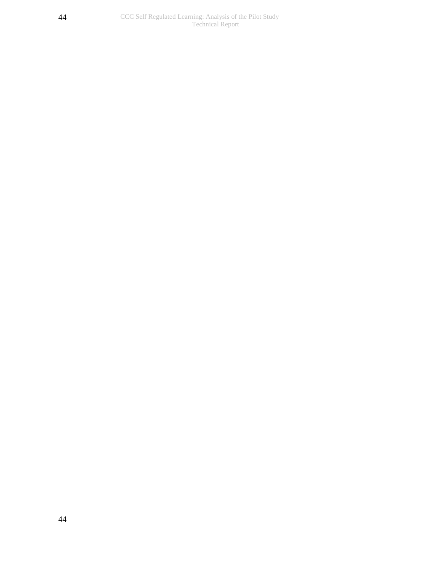44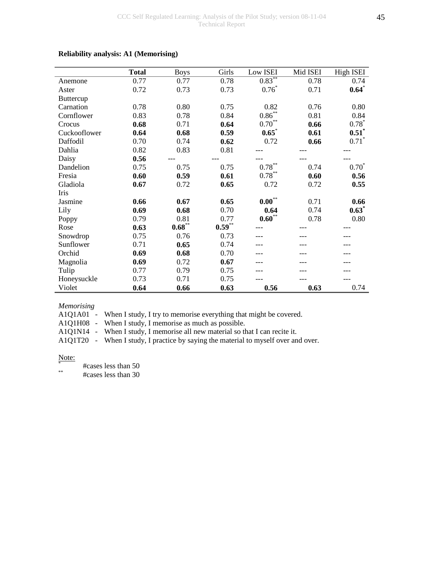|                  | <b>Total</b> | <b>Boys</b> | Girls     | Low ISEI             | Mid ISEI | <b>High ISEI</b>    |
|------------------|--------------|-------------|-----------|----------------------|----------|---------------------|
| Anemone          | 0.77         | 0.77        | 0.78      | $0.83***$            | 0.78     | 0.74                |
| Aster            | 0.72         | 0.73        | 0.73      | $0.76*$              | 0.71     | $0.64*$             |
| <b>Buttercup</b> |              |             |           |                      |          |                     |
| Carnation        | 0.78         | 0.80        | 0.75      | 0.82                 | 0.76     | 0.80                |
| Cornflower       | 0.83         | 0.78        | 0.84      | $0.86^{\ast\ast}$    | 0.81     | 0.84                |
| Crocus           | 0.68         | 0.71        | 0.64      | $0.70^{**}$          | 0.66     | $0.78*$             |
| Cuckooflower     | 0.64         | 0.68        | 0.59      | $0.65*$              | 0.61     | $0.51$ <sup>*</sup> |
| Daffodil         | 0.70         | 0.74        | 0.62      | 0.72                 | 0.66     | $0.71*$             |
| Dahlia           | 0.82         | 0.83        | 0.81      |                      |          |                     |
| Daisy            | 0.56         |             |           |                      |          |                     |
| Dandelion        | 0.75         | 0.75        | 0.75      | $0.78^{\ast\ast}$    | 0.74     | $0.70*$             |
| Fresia           | 0.60         | 0.59        | 0.61      | $0.78^{**}$          | 0.60     | 0.56                |
| Gladiola         | 0.67         | 0.72        | 0.65      | 0.72                 | 0.72     | 0.55                |
| Iris             |              |             |           |                      |          |                     |
| Jasmine          | 0.66         | 0.67        | 0.65      | $\mathbf{0.00}^{**}$ | 0.71     | 0.66                |
| Lily             | 0.69         | 0.68        | 0.70      | 0.64                 | 0.74     | $0.63*$             |
| Poppy            | 0.79         | 0.81        | 0.77      | $\mathbf{0.60}^{**}$ | 0.78     | 0.80                |
| Rose             | 0.63         | $0.68***$   | $0.59***$ |                      |          |                     |
| Snowdrop         | 0.75         | 0.76        | 0.73      |                      |          |                     |
| Sunflower        | 0.71         | 0.65        | 0.74      |                      |          |                     |
| Orchid           | 0.69         | 0.68        | 0.70      |                      |          |                     |
| Magnolia         | 0.69         | 0.72        | 0.67      |                      |          |                     |
| Tulip            | 0.77         | 0.79        | 0.75      |                      |          |                     |
| Honeysuckle      | 0.73         | 0.71        | 0.75      |                      |          |                     |
| Violet           | 0.64         | 0.66        | 0.63      | 0.56                 | 0.63     | 0.74                |

#### **Reliability analysis: A1 (Memorising)**

*Memorising* 

A1Q1A01 - When I study, I try to memorise everything that might be covered.

A1Q1H08 - When I study, I memorise as much as possible.

A1Q1N14 - When I study, I memorise all new material so that I can recite it.

A1Q1T20 - When I study, I practice by saying the material to myself over and over.

# Note:<br>\*

 $\frac{4}{10}$  #cases less than 50

#cases less than 30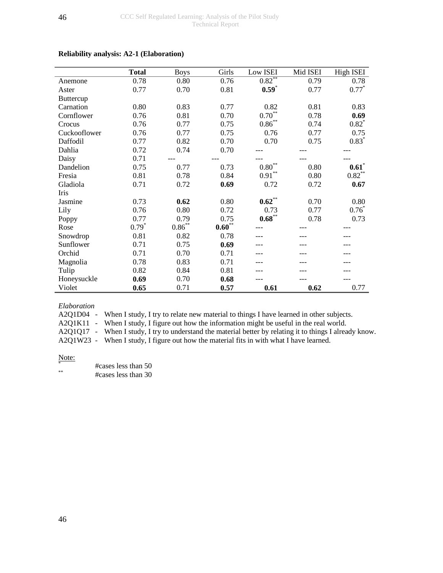|                  | <b>Total</b> | <b>Boys</b>       | Girls                | Low ISEI          | Mid ISEI | High ISEI         |
|------------------|--------------|-------------------|----------------------|-------------------|----------|-------------------|
| Anemone          | 0.78         | 0.80              | 0.76                 | $0.82***$         | 0.79     | 0.78              |
| Aster            | 0.77         | 0.70              | 0.81                 | $0.59*$           | 0.77     | $0.77*$           |
| <b>Buttercup</b> |              |                   |                      |                   |          |                   |
| Carnation        | 0.80         | 0.83              | 0.77                 | 0.82              | 0.81     | 0.83              |
| Cornflower       | 0.76         | 0.81              | 0.70                 | $0.70^{\ast\ast}$ | 0.78     | 0.69              |
| Crocus           | 0.76         | 0.77              | 0.75                 | $0.86^{\ast\ast}$ | 0.74     | $0.82^*$          |
| Cuckooflower     | 0.76         | 0.77              | 0.75                 | 0.76              | 0.77     | 0.75              |
| Daffodil         | 0.77         | 0.82              | 0.70                 | 0.70              | 0.75     | $0.83*$           |
| Dahlia           | 0.72         | 0.74              | 0.70                 |                   |          |                   |
| Daisy            | 0.71         |                   |                      |                   |          |                   |
| Dandelion        | 0.75         | 0.77              | 0.73                 | $0.80^{\ast\ast}$ | 0.80     | $0.61*$           |
| Fresia           | 0.81         | 0.78              | 0.84                 | $0.91***$         | 0.80     | $0.82^{\ast\ast}$ |
| Gladiola         | 0.71         | 0.72              | 0.69                 | 0.72              | 0.72     | 0.67              |
| Iris             |              |                   |                      |                   |          |                   |
| Jasmine          | 0.73         | 0.62              | 0.80                 | $0.62^{**}$       | 0.70     | 0.80              |
| Lily             | 0.76         | 0.80              | 0.72                 | 0.73              | 0.77     | $0.76^*$          |
| Poppy            | 0.77         | 0.79              | 0.75                 | $0.68***$         | 0.78     | 0.73              |
| Rose             | $0.79*$      | $0.86^{\ast\ast}$ | $\mathbf{0.60}^{**}$ |                   |          |                   |
| Snowdrop         | 0.81         | 0.82              | 0.78                 |                   |          |                   |
| Sunflower        | 0.71         | 0.75              | 0.69                 |                   |          |                   |
| Orchid           | 0.71         | 0.70              | 0.71                 |                   |          |                   |
| Magnolia         | 0.78         | 0.83              | 0.71                 |                   |          |                   |
| Tulip            | 0.82         | 0.84              | 0.81                 |                   |          |                   |
| Honeysuckle      | 0.69         | 0.70              | 0.68                 |                   |          |                   |
| Violet           | 0.65         | 0.71              | 0.57                 | 0.61              | 0.62     | 0.77              |

#### **Reliability analysis: A2-1 (Elaboration)**

#### *Elaboration*

A2Q1D04 - When I study, I try to relate new material to things I have learned in other subjects.

A2Q1K11 - When I study, I figure out how the information might be useful in the real world.

A2Q1Q17 - When I study, I try to understand the material better by relating it to things I already know.

A2Q1W23 - When I study, I figure out how the material fits in with what I have learned.

|    | $\frac{4}{2}$ decay than 50            |
|----|----------------------------------------|
| 米米 | $\frac{4}{2}$ execution $\frac{30}{2}$ |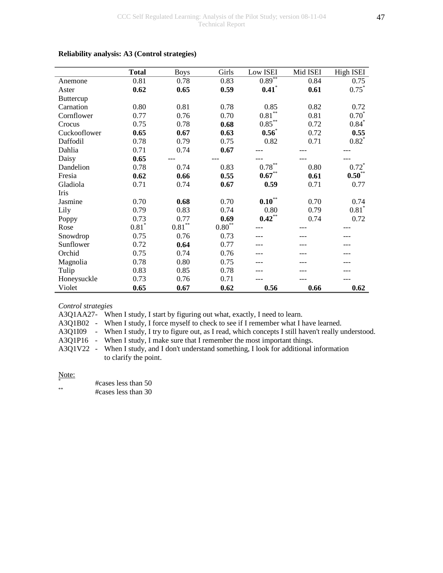|                  | <b>Total</b> | <b>Boys</b>       | Girls             | Low ISEI            | Mid ISEI | High ISEI   |
|------------------|--------------|-------------------|-------------------|---------------------|----------|-------------|
| Anemone          | 0.81         | 0.78              | 0.83              | $0.89***$           | 0.84     | 0.75        |
| Aster            | 0.62         | 0.65              | 0.59              | $0.41$ <sup>*</sup> | 0.61     | $0.75*$     |
| <b>Buttercup</b> |              |                   |                   |                     |          |             |
| Carnation        | 0.80         | 0.81              | 0.78              | 0.85                | 0.82     | 0.72        |
| Cornflower       | 0.77         | 0.76              | 0.70              | $0.81^{\ast\ast}$   | 0.81     | $0.70*$     |
| Crocus           | 0.75         | 0.78              | 0.68              | $0.85***$           | 0.72     | $0.84*$     |
| Cuckooflower     | 0.65         | 0.67              | 0.63              | $0.56^*$            | 0.72     | 0.55        |
| Daffodil         | 0.78         | 0.79              | 0.75              | 0.82                | 0.71     | $0.82*$     |
| Dahlia           | 0.71         | 0.74              | 0.67              |                     |          |             |
| Daisy            | 0.65         |                   |                   |                     |          |             |
| Dandelion        | 0.78         | 0.74              | 0.83              | $0.78^{\ast\ast}$   | 0.80     | $0.72*$     |
| Fresia           | 0.62         | 0.66              | 0.55              | $0.67***$           | 0.61     | $0.50^{**}$ |
| Gladiola         | 0.71         | 0.74              | 0.67              | 0.59                | 0.71     | 0.77        |
| Iris             |              |                   |                   |                     |          |             |
| Jasmine          | 0.70         | 0.68              | 0.70              | $0.10^{**}$         | 0.70     | 0.74        |
| Lily             | 0.79         | 0.83              | 0.74              | 0.80                | 0.79     | $0.81*$     |
| Poppy            | 0.73         | 0.77              | 0.69              | $0.42***$           | 0.74     | 0.72        |
| Rose             | $0.81*$      | $0.81^{\ast\ast}$ | $0.80^{\ast\ast}$ |                     |          |             |
| Snowdrop         | 0.75         | 0.76              | 0.73              |                     |          |             |
| Sunflower        | 0.72         | 0.64              | 0.77              |                     |          |             |
| Orchid           | 0.75         | 0.74              | 0.76              |                     |          |             |
| Magnolia         | 0.78         | 0.80              | 0.75              |                     |          |             |
| Tulip            | 0.83         | 0.85              | 0.78              |                     |          |             |
| Honeysuckle      | 0.73         | 0.76              | 0.71              |                     |          |             |
| Violet           | 0.65         | 0.67              | 0.62              | 0.56                | 0.66     | 0.62        |

#### **Reliability analysis: A3 (Control strategies)**

*Control strategies* 

A3Q1AA27- When I study, I start by figuring out what, exactly, I need to learn.

A3Q1B02 - When I study, I force myself to check to see if I remember what I have learned.<br>A3Q1I09 - When I study, I try to figure out, as I read, which concepts I still haven't really u When I study, I try to figure out, as I read, which concepts I still haven't really understood.

A3Q1P16 - When I study, I make sure that I remember the most important things.

A3Q1V22 - When I study, and I don't understand something, I look for additional information to clarify the point.

| 木  | $\frac{4}{2}$ reases less than 50 |
|----|-----------------------------------|
| 米米 | $\frac{4}{2}$ reases less than 30 |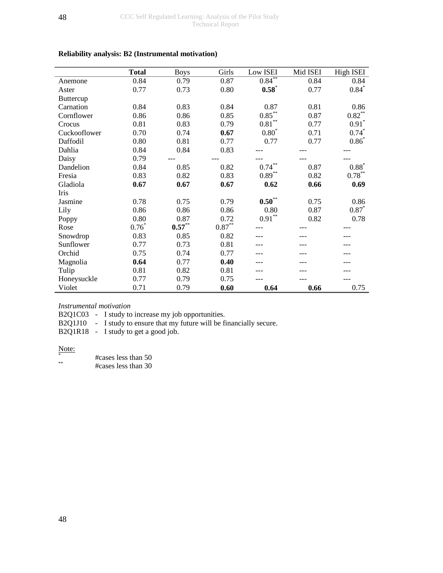|                  | <b>Total</b> | <b>Boys</b> | Girls             | Low ISEI          | Mid ISEI | High ISEI         |
|------------------|--------------|-------------|-------------------|-------------------|----------|-------------------|
| Anemone          | 0.84         | 0.79        | 0.87              | $0.84***$         | 0.84     | 0.84              |
| Aster            | 0.77         | 0.73        | 0.80              | $0.58*$           | 0.77     | $0.84*$           |
| <b>Buttercup</b> |              |             |                   |                   |          |                   |
| Carnation        | 0.84         | 0.83        | 0.84              | 0.87              | 0.81     | 0.86              |
| Cornflower       | 0.86         | 0.86        | 0.85              | $0.85^{\ast\ast}$ | 0.87     | $0.82^{\ast\ast}$ |
| Crocus           | 0.81         | 0.83        | 0.79              | $0.81^{\ast\ast}$ | 0.77     | $0.91*$           |
| Cuckooflower     | 0.70         | 0.74        | 0.67              | $0.80*$           | 0.71     | $0.74*$           |
| Daffodil         | 0.80         | 0.81        | 0.77              | 0.77              | 0.77     | $0.86*$           |
| Dahlia           | 0.84         | 0.84        | 0.83              |                   |          |                   |
| Daisy            | 0.79         |             |                   |                   |          |                   |
| Dandelion        | 0.84         | 0.85        | 0.82              | $0.74***$         | 0.87     | $0.88*$           |
| Fresia           | 0.83         | 0.82        | 0.83              | $0.89^{**}$       | 0.82     | $0.78***$         |
| Gladiola         | 0.67         | 0.67        | 0.67              | 0.62              | 0.66     | 0.69              |
| Iris             |              |             |                   |                   |          |                   |
| Jasmine          | 0.78         | 0.75        | 0.79              | $0.50^{**}$       | 0.75     | 0.86              |
| Lily             | 0.86         | 0.86        | 0.86              | 0.80              | 0.87     | $0.87*$           |
| Poppy            | 0.80         | 0.87        | 0.72              | $0.91^{\ast\ast}$ | 0.82     | 0.78              |
| Rose             | $0.76*$      | $0.57***$   | $0.87^{\ast\ast}$ |                   |          |                   |
| Snowdrop         | 0.83         | 0.85        | 0.82              |                   |          |                   |
| Sunflower        | 0.77         | 0.73        | 0.81              |                   |          |                   |
| Orchid           | 0.75         | 0.74        | 0.77              |                   |          |                   |
| Magnolia         | 0.64         | 0.77        | 0.40              |                   |          |                   |
| Tulip            | 0.81         | 0.82        | 0.81              |                   |          |                   |
| Honeysuckle      | 0.77         | 0.79        | 0.75              |                   |          |                   |
| Violet           | 0.71         | 0.79        | 0.60              | 0.64              | 0.66     | 0.75              |

#### **Reliability analysis: B2 (Instrumental motivation)**

*Instrumental motivation* 

B2Q1C03 - I study to increase my job opportunities.

B2Q1J10 - I study to ensure that my future will be financially secure.

B2Q1R18 - I study to get a good job.

|    | $\frac{4}{2}$ dess than 50                       |
|----|--------------------------------------------------|
| 米米 | $\frac{4}{2}$ freedom Recall established than 30 |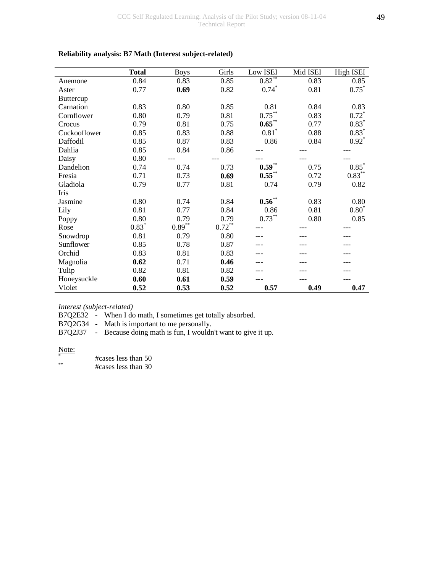|                  | <b>Total</b> | <b>Boys</b>       | Girls     | Low ISEI            | Mid ISEI | <b>High ISEI</b> |
|------------------|--------------|-------------------|-----------|---------------------|----------|------------------|
| Anemone          | 0.84         | 0.83              | 0.85      | $0.82***$           | 0.83     | 0.85             |
| Aster            | 0.77         | 0.69              | 0.82      | $0.74*$             | 0.81     | $0.75*$          |
| <b>Buttercup</b> |              |                   |           |                     |          |                  |
| Carnation        | 0.83         | 0.80              | 0.85      | 0.81                | 0.84     | 0.83             |
| Cornflower       | 0.80         | 0.79              | 0.81      | $0.75^{\ast\ast}$   | 0.83     | $0.72*$          |
| Crocus           | 0.79         | 0.81              | 0.75      | $0.65***$           | 0.77     | $0.83*$          |
| Cuckooflower     | 0.85         | 0.83              | 0.88      | $0.81$ <sup>*</sup> | 0.88     | $0.83*$          |
| Daffodil         | 0.85         | 0.87              | 0.83      | 0.86                | 0.84     | $0.92^*$         |
|                  |              |                   |           |                     |          |                  |
| Dahlia           | 0.85         | 0.84              | 0.86      |                     |          |                  |
| Daisy            | 0.80         |                   |           |                     |          |                  |
| Dandelion        | 0.74         | 0.74              | 0.73      | $0.59***$           | 0.75     | $0.85*$          |
| Fresia           | 0.71         | 0.73              | 0.69      | $0.55***$           | 0.72     | $0.83***$        |
| Gladiola         | 0.79         | 0.77              | 0.81      | 0.74                | 0.79     | 0.82             |
| Iris             |              |                   |           |                     |          |                  |
| Jasmine          | 0.80         | 0.74              | 0.84      | $0.56***$           | 0.83     | 0.80             |
| Lily             | 0.81         | 0.77              | 0.84      | 0.86                | 0.81     | $0.80^{*}$       |
| Poppy            | 0.80         | 0.79              | 0.79      | $0.73***$           | 0.80     | 0.85             |
| Rose             | $0.83*$      | $0.89^{\ast\ast}$ | $0.72***$ |                     |          |                  |
| Snowdrop         | 0.81         | 0.79              | 0.80      |                     |          |                  |
| Sunflower        | 0.85         | 0.78              | 0.87      |                     |          |                  |
| Orchid           | 0.83         | 0.81              | 0.83      |                     |          |                  |
| Magnolia         | 0.62         | 0.71              | 0.46      |                     |          |                  |
| Tulip            | 0.82         | 0.81              | 0.82      |                     |          |                  |
| Honeysuckle      | 0.60         | 0.61              | 0.59      |                     |          |                  |
| Violet           | 0.52         | 0.53              | 0.52      | 0.57                | 0.49     | 0.47             |

#### **Reliability analysis: B7 Math (Interest subject-related)**

*Interest (subject-related)* 

B7Q2E32 - When I do math, I sometimes get totally absorbed.

B7Q2G34 - Math is important to me personally.

B7Q2J37 - Because doing math is fun, I wouldn't want to give it up.

|    | $\frac{4}{2}$ dess than 50                       |
|----|--------------------------------------------------|
| 米米 | $\frac{4}{2}$ freedom Recall established than 30 |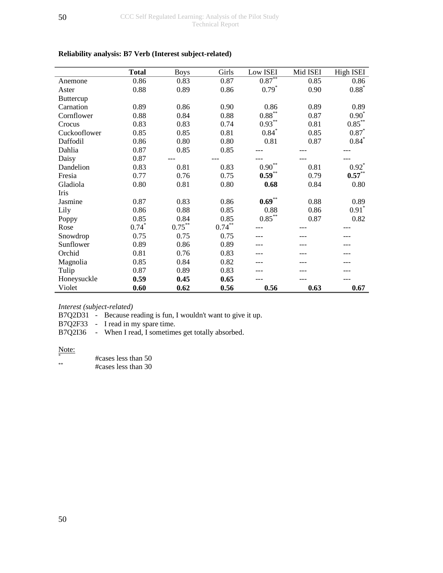|                  | <b>Total</b> | <b>Boys</b>       | Girls     | Low ISEI          | Mid ISEI | High ISEI         |
|------------------|--------------|-------------------|-----------|-------------------|----------|-------------------|
| Anemone          | 0.86         | 0.83              | 0.87      | $0.87***$         | 0.85     | 0.86              |
| Aster            | 0.88         | 0.89              | 0.86      | $0.79*$           | 0.90     | $0.88*$           |
| <b>Buttercup</b> |              |                   |           |                   |          |                   |
| Carnation        | 0.89         | 0.86              | 0.90      | 0.86              | 0.89     | 0.89              |
| Cornflower       | 0.88         | 0.84              | 0.88      | $0.88^{\ast\ast}$ | 0.87     | $0.90*$           |
| Crocus           | 0.83         | 0.83              | 0.74      | $0.93***$         | 0.81     | $0.85^{\ast\ast}$ |
| Cuckooflower     | 0.85         | 0.85              | 0.81      | $0.84*$           | 0.85     | $0.87*$           |
| Daffodil         | 0.86         | 0.80              | 0.80      | 0.81              | 0.87     | $0.84*$           |
| Dahlia           | 0.87         | 0.85              | 0.85      |                   |          |                   |
| Daisy            | 0.87         |                   |           |                   |          |                   |
| Dandelion        | 0.83         | 0.81              | 0.83      | $0.90^{\ast\ast}$ | 0.81     | $0.92^*$          |
| Fresia           | 0.77         | 0.76              | 0.75      | $0.59***$         | 0.79     | $0.57***$         |
| Gladiola         | 0.80         | 0.81              | 0.80      | 0.68              | 0.84     | 0.80              |
| Iris             |              |                   |           |                   |          |                   |
| Jasmine          | 0.87         | 0.83              | 0.86      | $0.69***$         | 0.88     | 0.89              |
| Lily             | 0.86         | 0.88              | 0.85      | 0.88              | 0.86     | $0.91^*$          |
| Poppy            | 0.85         | 0.84              | 0.85      | $0.85^{\ast\ast}$ | 0.87     | 0.82              |
| Rose             | $0.74*$      | $0.75^{\ast\ast}$ | $0.74***$ |                   |          |                   |
| Snowdrop         | 0.75         | 0.75              | 0.75      |                   |          |                   |
| Sunflower        | 0.89         | 0.86              | 0.89      |                   |          |                   |
| Orchid           | 0.81         | 0.76              | 0.83      |                   |          |                   |
| Magnolia         | 0.85         | 0.84              | 0.82      |                   |          |                   |
| Tulip            | 0.87         | 0.89              | 0.83      |                   |          |                   |
| Honeysuckle      | 0.59         | 0.45              | 0.65      |                   |          |                   |
| Violet           | 0.60         | 0.62              | 0.56      | 0.56              | 0.63     | 0.67              |

#### **Reliability analysis: B7 Verb (Interest subject-related)**

*Interest (subject-related)* 

B7Q2D31 - Because reading is fun, I wouldn't want to give it up.

B7Q2F33 - I read in my spare time.

B7Q2I36 - When I read, I sometimes get totally absorbed.

|    | $\frac{4}{2}$ #cases less than 50 |
|----|-----------------------------------|
| 米米 | $\frac{4}{2}$ reases less than 30 |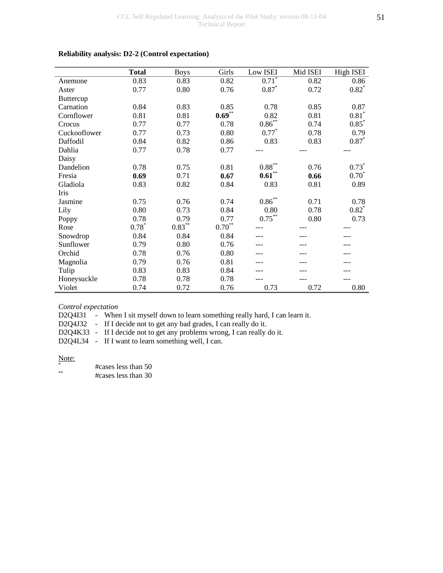|                  | <b>Total</b> | <b>Boys</b> | Girls     | Low ISEI            | Mid ISEI | <b>High ISEI</b> |
|------------------|--------------|-------------|-----------|---------------------|----------|------------------|
| Anemone          | 0.83         | 0.83        | 0.82      | $0.71$ <sup>*</sup> | 0.82     | 0.86             |
| Aster            | 0.77         | 0.80        | 0.76      | $0.87*$             | 0.72     | $0.82^{*}$       |
| <b>Buttercup</b> |              |             |           |                     |          |                  |
| Carnation        | 0.84         | 0.83        | 0.85      | 0.78                | 0.85     | 0.87             |
| Cornflower       | 0.81         | 0.81        | $0.69***$ | 0.82                | 0.81     | $0.81*$          |
| Crocus           | 0.77         | 0.77        | 0.78      | $0.86^{\ast\ast}$   | 0.74     | $0.85^*$         |
| Cuckooflower     | 0.77         | 0.73        | 0.80      | $0.77*$             | 0.78     | 0.79             |
| Daffodil         | 0.84         | 0.82        | 0.86      | 0.83                | 0.83     | $0.87*$          |
| Dahlia           | 0.77         | 0.78        | 0.77      | ---                 |          |                  |
| Daisy            |              |             |           |                     |          |                  |
| Dandelion        | 0.78         | 0.75        | 0.81      | $0.88^{\ast\ast}$   | 0.76     | $0.73*$          |
| Fresia           | 0.69         | 0.71        | 0.67      | $0.61***$           | 0.66     | $0.70*$          |
| Gladiola         | 0.83         | 0.82        | 0.84      | 0.83                | 0.81     | 0.89             |
| Iris             |              |             |           |                     |          |                  |
| Jasmine          | 0.75         | 0.76        | 0.74      | $0.86^{\ast\ast}$   | 0.71     | 0.78             |
| Lily             | 0.80         | 0.73        | 0.84      | 0.80                | 0.78     | $0.82^*$         |
| Poppy            | 0.78         | 0.79        | 0.77      | $0.75^{\ast\ast}$   | 0.80     | 0.73             |
| Rose             | $0.78*$      | $0.83***$   | $0.70***$ |                     |          |                  |
| Snowdrop         | 0.84         | 0.84        | 0.84      |                     |          |                  |
| Sunflower        | 0.79         | 0.80        | 0.76      |                     |          |                  |
| Orchid           | 0.78         | 0.76        | 0.80      |                     |          |                  |
| Magnolia         | 0.79         | 0.76        | 0.81      |                     |          |                  |
| Tulip            | 0.83         | 0.83        | 0.84      |                     |          |                  |
| Honeysuckle      | 0.78         | 0.78        | 0.78      |                     |          |                  |
| Violet           | 0.74         | 0.72        | 0.76      | 0.73                | 0.72     | 0.80             |

#### **Reliability analysis: D2-2 (Control expectation)**

*Control expectation* 

D2Q4I31 - When I sit myself down to learn something really hard, I can learn it.

D2Q4J32 - If I decide not to get any bad grades, I can really do it.

D2Q4K33 - If I decide not to get any problems wrong, I can really do it.

D2Q4L34 - If I want to learn something well, I can.

|    |  | $\frac{4}{2}$ dess than 50             |
|----|--|----------------------------------------|
| 米米 |  | $\frac{4}{2}$ execution $\frac{30}{2}$ |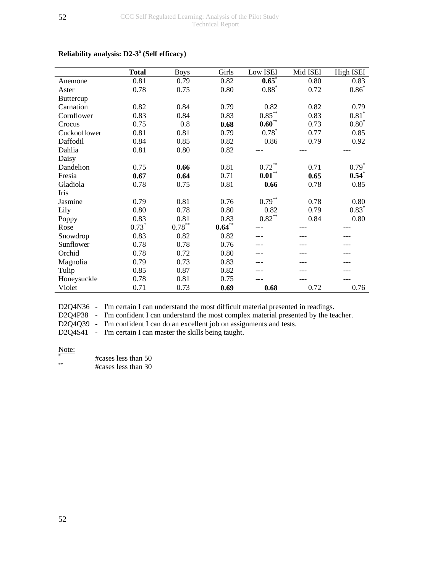|                  | <b>Total</b> | <b>Boys</b> | Girls     | Low ISEI             | Mid ISEI | <b>High ISEI</b> |
|------------------|--------------|-------------|-----------|----------------------|----------|------------------|
| Anemone          | 0.81         | 0.79        | 0.82      | $0.65*$              | 0.80     | 0.83             |
| Aster            | 0.78         | 0.75        | 0.80      | $0.88^\ast$          | 0.72     | $0.86*$          |
| <b>Buttercup</b> |              |             |           |                      |          |                  |
| Carnation        | 0.82         | 0.84        | 0.79      | 0.82                 | 0.82     | 0.79             |
| Cornflower       | 0.83         | 0.84        | 0.83      | $0.85^{\ast\ast}$    | 0.83     | $0.81*$          |
| Crocus           | 0.75         | 0.8         | 0.68      | $\mathbf{0.60}^{**}$ | 0.73     | $0.80^{*}$       |
| Cuckooflower     | 0.81         | 0.81        | 0.79      | $0.78*$              | 0.77     | 0.85             |
| Daffodil         | 0.84         | 0.85        | 0.82      | 0.86                 | 0.79     | 0.92             |
| Dahlia           | 0.81         | 0.80        | 0.82      |                      |          | ---              |
| Daisy            |              |             |           |                      |          |                  |
| Dandelion        | 0.75         | 0.66        | 0.81      | $0.72***$            | 0.71     | $0.79*$          |
| Fresia           | 0.67         | 0.64        | 0.71      | $0.01***$            | 0.65     | 0.54             |
| Gladiola         | 0.78         | 0.75        | 0.81      | 0.66                 | 0.78     | 0.85             |
| Iris             |              |             |           |                      |          |                  |
| Jasmine          | 0.79         | 0.81        | 0.76      | $0.79***$            | 0.78     | 0.80             |
| Lily             | 0.80         | 0.78        | 0.80      | 0.82                 | 0.79     | $0.83*$          |
| Poppy            | 0.83         | 0.81        | 0.83      | $0.82**$             | 0.84     | 0.80             |
| Rose             | $0.73*$      | $0.78***$   | $0.64***$ |                      |          |                  |
| Snowdrop         | 0.83         | 0.82        | 0.82      |                      |          |                  |
| Sunflower        | 0.78         | 0.78        | 0.76      |                      |          |                  |
| Orchid           | 0.78         | 0.72        | 0.80      |                      |          |                  |
| Magnolia         | 0.79         | 0.73        | 0.83      |                      |          |                  |
| Tulip            | 0.85         | 0.87        | 0.82      |                      |          |                  |
| Honeysuckle      | 0.78         | 0.81        | 0.75      |                      |          |                  |
| Violet           | 0.71         | 0.73        | 0.69      | 0.68                 | 0.72     | 0.76             |

#### Reliability analysis: D2-3<sup>a</sup> (Self efficacy)

D2Q4N36 - I'm certain I can understand the most difficult material presented in readings.

D2Q4P38 - I'm confident I can understand the most complex material presented by the teacher.

D2Q4Q39 - I'm confident I can do an excellent job on assignments and tests.

D2Q4S41 - I'm certain I can master the skills being taught.

| $\ast$ | #cases less than 50         |
|--------|-----------------------------|
| 米米     | $\frac{4}{2}$ decay than 30 |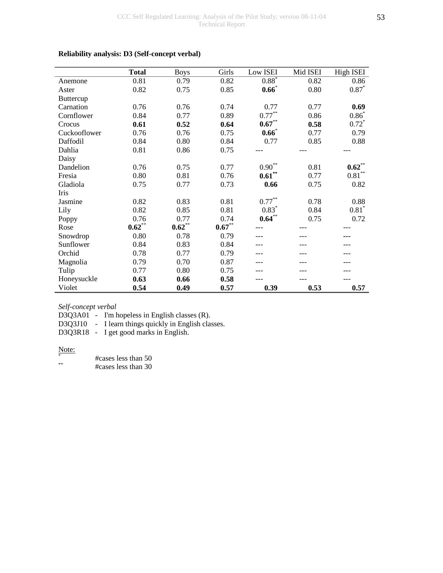|              | <b>Total</b> | <b>Boys</b> | Girls     | Low ISEI          | Mid ISEI | High ISEI           |
|--------------|--------------|-------------|-----------|-------------------|----------|---------------------|
| Anemone      | 0.81         | 0.79        | 0.82      | $0.88*$           | 0.82     | 0.86                |
| Aster        | 0.82         | 0.75        | 0.85      | $0.66*$           | 0.80     | $0.87*$             |
| Buttercup    |              |             |           |                   |          |                     |
| Carnation    | 0.76         | 0.76        | 0.74      | 0.77              | 0.77     | 0.69                |
| Cornflower   | 0.84         | 0.77        | 0.89      | $0.77***$         | 0.86     | $0.86^{*}$          |
| Crocus       | 0.61         | 0.52        | 0.64      | $0.67***$         | 0.58     | $0.72^*$            |
| Cuckooflower | 0.76         | 0.76        | 0.75      | $0.66*$           | 0.77     | 0.79                |
| Daffodil     | 0.84         | 0.80        | 0.84      | 0.77              | 0.85     | 0.88                |
| Dahlia       | 0.81         | 0.86        | 0.75      | ---               |          | $---$               |
| Daisy        |              |             |           |                   |          |                     |
| Dandelion    | 0.76         | 0.75        | 0.77      | $0.90^{\ast\ast}$ | 0.81     | $0.62***$           |
| Fresia       | 0.80         | 0.81        | 0.76      | $0.61**$          | 0.77     | $0.81***$           |
| Gladiola     | 0.75         | 0.77        | 0.73      | 0.66              | 0.75     | 0.82                |
| Iris         |              |             |           |                   |          |                     |
| Jasmine      | 0.82         | 0.83        | 0.81      | $0.77***$         | 0.78     | 0.88                |
| Lily         | 0.82         | 0.85        | 0.81      | $0.83*$           | 0.84     | $0.81$ <sup>*</sup> |
| Poppy        | 0.76         | 0.77        | 0.74      | $0.64***$         | 0.75     | 0.72                |
| Rose         | $0.62***$    | $0.62***$   | $0.67***$ |                   |          |                     |
| Snowdrop     | 0.80         | 0.78        | 0.79      |                   |          |                     |
| Sunflower    | 0.84         | 0.83        | 0.84      |                   |          |                     |
| Orchid       | 0.78         | 0.77        | 0.79      |                   |          |                     |
| Magnolia     | 0.79         | 0.70        | 0.87      |                   |          |                     |
| Tulip        | 0.77         | 0.80        | 0.75      |                   |          |                     |
| Honeysuckle  | 0.63         | 0.66        | 0.58      |                   |          |                     |
| Violet       | 0.54         | 0.49        | 0.57      | 0.39              | 0.53     | 0.57                |

#### **Reliability analysis: D3 (Self-concept verbal)**

*Self-concept verbal* 

D3Q3A01 - I'm hopeless in English classes (R).

D3Q3J10 - I learn things quickly in English classes.

D3Q3R18 - I get good marks in English.

| $\ast$ | $\frac{4}{2}$ reases less than 50 |
|--------|-----------------------------------|
| 米米     | $\frac{4}{2}$ exected than 30     |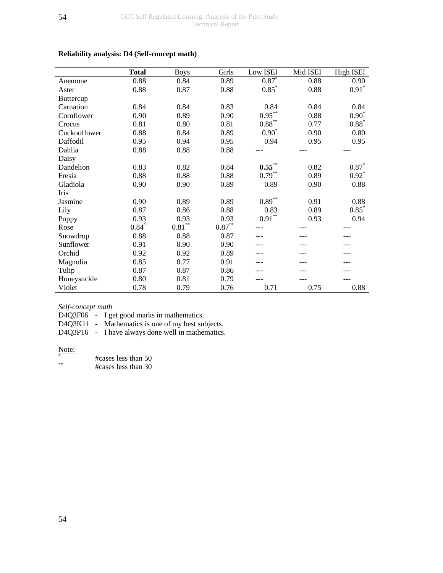|                  | <b>Total</b> | <b>Boys</b>       | Girls             | Low ISEI          | Mid ISEI | <b>High ISEI</b> |
|------------------|--------------|-------------------|-------------------|-------------------|----------|------------------|
| Anemone          | 0.88         | 0.84              | 0.89              | $0.87*$           | 0.88     | 0.90             |
|                  |              |                   |                   | $0.85*$           |          | $0.91*$          |
| Aster            | 0.88         | 0.87              | 0.88              |                   | 0.88     |                  |
| <b>Buttercup</b> |              |                   |                   |                   |          |                  |
| Carnation        | 0.84         | 0.84              | 0.83              | 0.84              | 0.84     | 0.84             |
| Cornflower       | 0.90         | 0.89              | 0.90              | $0.95^{\ast\ast}$ | 0.88     | $0.90*$          |
| Crocus           | 0.81         | 0.80              | 0.81              | $0.88^{\ast\ast}$ | 0.77     | $0.88*$          |
| Cuckooflower     | 0.88         | 0.84              | 0.89              | $0.90*$           | 0.90     | 0.80             |
| Daffodil         | 0.95         | 0.94              | 0.95              | 0.94              | 0.95     | 0.95             |
| Dahlia           | 0.88         | 0.88              | 0.88              |                   |          |                  |
| Daisy            |              |                   |                   |                   |          |                  |
| Dandelion        | 0.83         | 0.82              | 0.84              | $0.55***$         | 0.82     | $0.87*$          |
| Fresia           | 0.88         | 0.88              | 0.88              | $0.79***$         | 0.89     | $0.92^*$         |
| Gladiola         | 0.90         | 0.90              | 0.89              | 0.89              | 0.90     | 0.88             |
| Iris             |              |                   |                   |                   |          |                  |
| Jasmine          | 0.90         | 0.89              | 0.89              | $0.89***$         | 0.91     | 0.88             |
| Lily             | 0.87         | 0.86              | 0.88              | 0.83              | 0.89     | $0.85^{*}$       |
| Poppy            | 0.93         | 0.93              | 0.93              | $0.91^{\ast\ast}$ | 0.93     | 0.94             |
| Rose             | $0.84*$      | $0.81^{\ast\ast}$ | $0.87^{\ast\ast}$ |                   |          |                  |
| Snowdrop         | 0.88         | 0.88              | 0.87              | ---               |          |                  |
| Sunflower        | 0.91         | 0.90              | 0.90              |                   |          |                  |
| Orchid           | 0.92         | 0.92              | 0.89              |                   |          |                  |
| Magnolia         | 0.85         | 0.77              | 0.91              |                   |          |                  |
| Tulip            | 0.87         | 0.87              | 0.86              |                   |          |                  |
| Honeysuckle      | 0.80         | 0.81              | 0.79              |                   |          |                  |
| Violet           | 0.78         | 0.79              | 0.76              | 0.71              | 0.75     | 0.88             |

#### **Reliability analysis: D4 (Self-concept math)**

*Self-concept math* 

D4Q3F06 - I get good marks in mathematics.

D4Q3K11 - Mathematics is one of my best subjects.

D4Q3P16 - I have always done well in mathematics.

| $\ast$ | $\frac{4}{2}$ reases less than 50      |
|--------|----------------------------------------|
| 米米     | $\frac{4}{2}$ execution $\frac{30}{2}$ |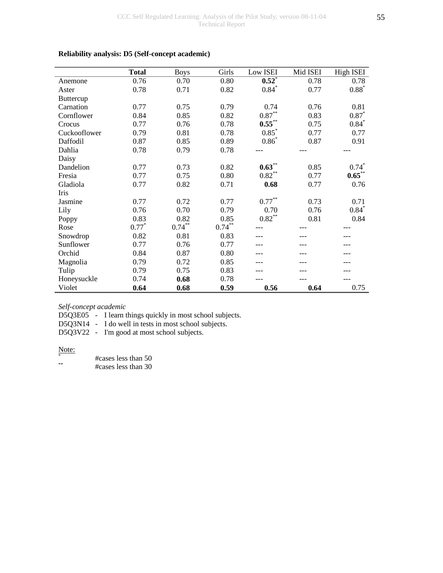|              | <b>Total</b> | <b>Boys</b> | Girls     | Low ISEI          | Mid ISEI | <b>High ISEI</b> |
|--------------|--------------|-------------|-----------|-------------------|----------|------------------|
|              |              |             | 0.80      | $0.52^*$          |          |                  |
| Anemone      | 0.76         | 0.70        |           |                   | 0.78     | 0.78             |
| Aster        | 0.78         | 0.71        | 0.82      | $0.84*$           | 0.77     | $0.88*$          |
| Buttercup    |              |             |           |                   |          |                  |
| Carnation    | 0.77         | 0.75        | 0.79      | 0.74              | 0.76     | 0.81             |
| Cornflower   | 0.84         | 0.85        | 0.82      | $0.87^{\ast\ast}$ | 0.83     | $0.87*$          |
| Crocus       | 0.77         | 0.76        | 0.78      | $0.55***$         | 0.75     | $0.84*$          |
| Cuckooflower | 0.79         | 0.81        | 0.78      | $0.85^{*}$        | 0.77     | 0.77             |
| Daffodil     | 0.87         | 0.85        | 0.89      | $0.86*$           | 0.87     | 0.91             |
| Dahlia       | 0.78         | 0.79        | 0.78      | $---$             |          | $---$            |
| Daisy        |              |             |           |                   |          |                  |
| Dandelion    | 0.77         | 0.73        | 0.82      | $0.63***$         | 0.85     | $0.74*$          |
| Fresia       | 0.77         | 0.75        | 0.80      | $0.82***$         | 0.77     | $0.65***$        |
| Gladiola     | 0.77         | 0.82        | 0.71      | 0.68              | 0.77     | 0.76             |
| Iris         |              |             |           |                   |          |                  |
| Jasmine      | 0.77         | 0.72        | 0.77      | $0.77***$         | 0.73     | 0.71             |
| Lily         | 0.76         | 0.70        | 0.79      | 0.70              | 0.76     | $0.84*$          |
| Poppy        | 0.83         | 0.82        | 0.85      | $0.82^{\ast\ast}$ | 0.81     | 0.84             |
| Rose         | $0.77*$      | $0.74***$   | $0.74***$ |                   |          |                  |
| Snowdrop     | 0.82         | 0.81        | 0.83      |                   |          |                  |
| Sunflower    | 0.77         | 0.76        | 0.77      |                   |          |                  |
| Orchid       | 0.84         | 0.87        | 0.80      |                   |          |                  |
| Magnolia     | 0.79         | 0.72        | 0.85      |                   |          |                  |
| Tulip        | 0.79         | 0.75        | 0.83      |                   |          |                  |
| Honeysuckle  | 0.74         | 0.68        | 0.78      |                   |          |                  |
| Violet       | 0.64         | 0.68        | 0.59      | 0.56              | 0.64     | 0.75             |

#### **Reliability analysis: D5 (Self-concept academic)**

*Self-concept academic* 

D5Q3E05 - I learn things quickly in most school subjects.

D5Q3N14 - I do well in tests in most school subjects.

D5Q3V22 - I'm good at most school subjects.

| $\ast$ | $\frac{4}{2}$ reases less than 50 |
|--------|-----------------------------------|
| 米米     | $\frac{4}{2}$ exected than 30     |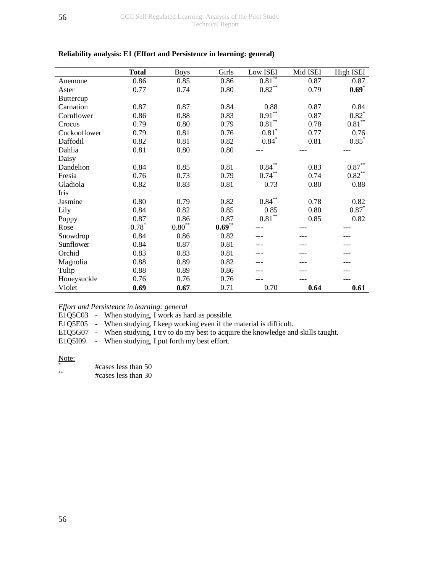|              | <b>Total</b> | <b>Boys</b> | Girls     | Low ISEI            | Mid ISEI | <b>High ISEI</b>  |
|--------------|--------------|-------------|-----------|---------------------|----------|-------------------|
| Anemone      | 0.86         | 0.85        | 0.86      | $0.81***$           | 0.87     | 0.87              |
| Aster        | 0.77         | 0.74        | 0.80      | $0.82***$           | 0.79     | $0.69*$           |
| Buttercup    |              |             |           |                     |          |                   |
| Carnation    | 0.87         | 0.87        | 0.84      | 0.88                | 0.87     | 0.84              |
| Cornflower   | 0.86         | 0.88        | 0.83      | $0.91^{\ast\ast}$   | 0.87     | $0.82*$           |
| Crocus       | 0.79         | 0.80        | 0.79      | $0.81^{\ast\ast}$   | 0.78     | $0.81***$         |
| Cuckooflower | 0.79         | 0.81        | 0.76      | $0.81$ <sup>*</sup> | 0.77     | 0.76              |
| Daffodil     | 0.82         | 0.81        | 0.82      | $0.84^\ast$         | 0.81     | $0.85*$           |
| Dahlia       | 0.81         | 0.80        | 0.80      | ---                 |          | ---               |
| Daisy        |              |             |           |                     |          |                   |
| Dandelion    | 0.84         | 0.85        | 0.81      | $0.84^{\ast\ast}$   | 0.83     | $0.87^{\ast\ast}$ |
| Fresia       | 0.76         | 0.73        | 0.79      | $0.74***$           | 0.74     | $0.82\sp{*}$      |
| Gladiola     | 0.82         | 0.83        | 0.81      | 0.73                | 0.80     | 0.88              |
| Iris         |              |             |           |                     |          |                   |
| Jasmine      | 0.80         | 0.79        | 0.82      | $0.84^{\ast\ast}$   | 0.78     | 0.82              |
| Lily         | 0.84         | 0.82        | 0.85      | 0.85                | 0.80     | $0.87*$           |
| Poppy        | 0.87         | 0.86        | 0.87      | $0.81^{\ast\ast}$   | 0.85     | 0.82              |
| Rose         | $0.78*$      | $0.80**$    | $0.69***$ |                     |          |                   |
| Snowdrop     | 0.84         | 0.86        | 0.82      |                     |          |                   |
| Sunflower    | 0.84         | 0.87        | 0.81      |                     |          |                   |
| Orchid       | 0.83         | 0.83        | 0.81      |                     |          |                   |
| Magnolia     | 0.88         | 0.89        | 0.82      |                     |          |                   |
| Tulip        | 0.88         | 0.89        | 0.86      |                     |          |                   |
| Honeysuckle  | 0.76         | 0.76        | 0.76      |                     |          |                   |
| Violet       | 0.69         | 0.67        | 0.71      | 0.70                | 0.64     | 0.61              |

#### **Reliability analysis: E1 (Effort and Persistence in learning: general)**

*Effort and Persistence in learning: general* 

 $E1Q5C03$  - When studying, I work as hard as possible.

E1Q5E05 - When studying, I keep working even if the material is difficult.

E1Q5G07 - When studying, I try to do my best to acquire the knowledge and skills taught.

E1Q5I09 - When studying, I put forth my best effort.

| 11 U.V. |                                    |
|---------|------------------------------------|
| $\ast$  | $\frac{4}{2}$ decases less than 50 |
| **      | $\frac{4}{2}$ decay than 30        |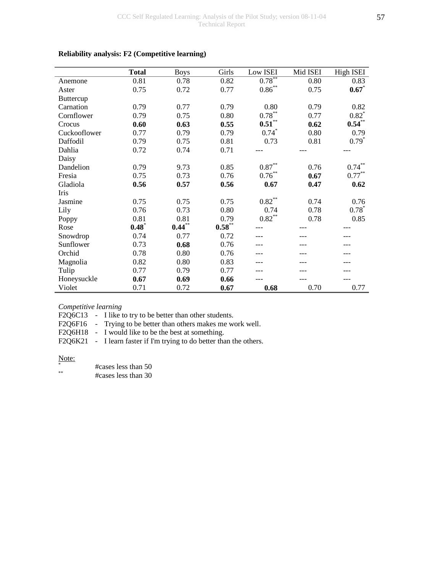|                  | <b>Total</b> | <b>Boys</b> | Girls     | Low ISEI          | Mid ISEI | <b>High ISEI</b>  |
|------------------|--------------|-------------|-----------|-------------------|----------|-------------------|
| Anemone          | 0.81         | 0.78        | 0.82      | $0.78***$         | 0.80     | 0.83              |
| Aster            | 0.75         | 0.72        | 0.77      | $0.86^{**}$       | 0.75     | $0.67*$           |
| <b>Buttercup</b> |              |             |           |                   |          |                   |
| Carnation        | 0.79         | 0.77        | 0.79      | 0.80              | 0.79     | 0.82              |
| Cornflower       | 0.79         | 0.75        | 0.80      | $0.78^{\ast\ast}$ | 0.77     | $0.82*$           |
| Crocus           | 0.60         | 0.63        | 0.55      | $0.51***$         | 0.62     | $0.54***$         |
| Cuckooflower     | 0.77         | 0.79        | 0.79      | $0.74*$           | 0.80     | 0.79              |
| Daffodil         | 0.79         | 0.75        | 0.81      | 0.73              | 0.81     | $0.79*$           |
| Dahlia           | 0.72         | 0.74        | 0.71      | ---               |          | ---               |
| Daisy            |              |             |           |                   |          |                   |
| Dandelion        | 0.79         | 9.73        | 0.85      | $0.87^{\ast\ast}$ | 0.76     | $0.74***$         |
| Fresia           | 0.75         | 0.73        | 0.76      | $0.76***$         | 0.67     | $0.77^{\ast\ast}$ |
| Gladiola         | 0.56         | 0.57        | 0.56      | 0.67              | 0.47     | 0.62              |
| Iris             |              |             |           |                   |          |                   |
| Jasmine          | 0.75         | 0.75        | 0.75      | $0.82^{\ast\ast}$ | 0.74     | 0.76              |
| Lily             | 0.76         | 0.73        | 0.80      | 0.74              | 0.78     | $0.78*$           |
| Poppy            | 0.81         | 0.81        | 0.79      | $0.82***$         | 0.78     | 0.85              |
| Rose             | $0.48*$      | $0.44***$   | $0.58***$ |                   |          |                   |
| Snowdrop         | 0.74         | 0.77        | 0.72      |                   |          |                   |
| Sunflower        | 0.73         | 0.68        | 0.76      |                   |          |                   |
| Orchid           | 0.78         | 0.80        | 0.76      |                   |          |                   |
| Magnolia         | 0.82         | 0.80        | 0.83      |                   |          |                   |
| Tulip            | 0.77         | 0.79        | 0.77      |                   |          |                   |
| Honeysuckle      | 0.67         | 0.69        | 0.66      |                   |          |                   |
| Violet           | 0.71         | 0.72        | 0.67      | 0.68              | 0.70     | 0.77              |

#### **Reliability analysis: F2 (Competitive learning)**

*Competitive learning* 

F2Q6C13 - I like to try to be better than other students.

F2Q6F16 - Trying to be better than others makes me work well.

F2Q6H18 - I would like to be the best at something.

F2Q6K21 - I learn faster if I'm trying to do better than the others.

| $\ast$ | #cases less than 50                              |
|--------|--------------------------------------------------|
| **     | $\frac{4}{2}$ freedom Recall established than 30 |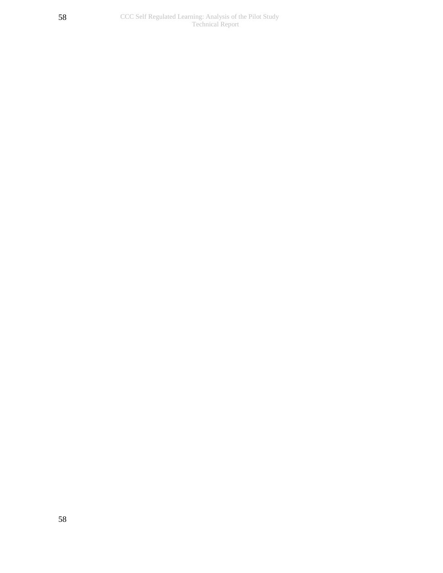58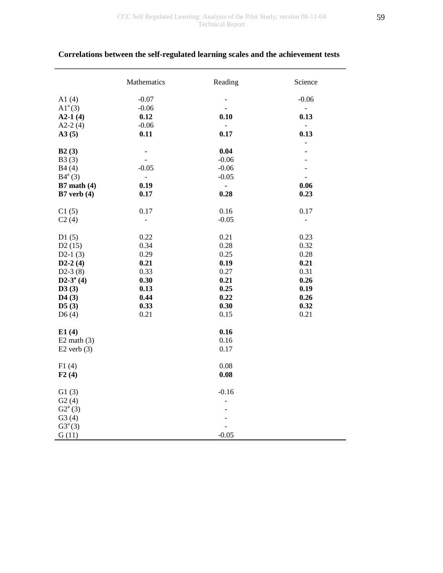|                 | Mathematics              | Reading                      | Science                  |
|-----------------|--------------------------|------------------------------|--------------------------|
| A1 $(4)$        | $-0.07$                  | $\qquad \qquad \blacksquare$ | $-0.06$                  |
| $Al^a(3)$       | $-0.06$                  | $\overline{\phantom{a}}$     | $\frac{1}{2}$            |
| $A2-1(4)$       | 0.12                     | 0.10                         | 0.13                     |
| A2-2 $(4)$      | $-0.06$                  | $\omega_{\rm c}$             | $\equiv$                 |
| A3(5)           | 0.11                     | 0.17                         | 0.13                     |
|                 |                          |                              |                          |
| B2(3)           | -                        | 0.04                         |                          |
| B3(3)           | $\overline{a}$           | $-0.06$                      |                          |
| B4(4)           | $-0.05$                  | $-0.06$                      | -                        |
| $B4^a(3)$       | $\Box$                   | $-0.05$                      |                          |
| $B7$ math $(4)$ | 0.19                     | $\blacksquare$               | 0.06                     |
| $B7$ verb $(4)$ | 0.17                     | 0.28                         | 0.23                     |
| C1(5)           | 0.17                     | 0.16                         | 0.17                     |
| C2(4)           | $\overline{\phantom{0}}$ | $-0.05$                      | $\overline{\phantom{0}}$ |
| D1(5)           | 0.22                     | 0.21                         | 0.23                     |
| D2(15)          | 0.34                     | 0.28                         | 0.32                     |
| $D2-1(3)$       | 0.29                     | 0.25                         | 0.28                     |
| $D2-2(4)$       | 0.21                     | 0.19                         | 0.21                     |
| $D2-3(8)$       | 0.33                     | 0.27                         | 0.31                     |
| D2- $3^a$ (4)   | 0.30                     | 0.21                         | 0.26                     |
| D3(3)           | 0.13                     | 0.25                         | 0.19                     |
| D4(3)           | 0.44                     | 0.22                         | 0.26                     |
| D5(3)           | 0.33                     | 0.30                         | 0.32                     |
| D6(4)           | 0.21                     | 0.15                         | 0.21                     |
| E1(4)           |                          | 0.16                         |                          |
| $E2$ math $(3)$ |                          | 0.16                         |                          |
| $E2$ verb $(3)$ |                          | 0.17                         |                          |
| F1(4)           |                          | 0.08                         |                          |
| F2(4)           |                          | $\boldsymbol{0.08}$          |                          |
| G1(3)           |                          | $-0.16$                      |                          |
| G2(4)           |                          | $\frac{1}{2}$                |                          |
| $G2^{a}(3)$     |                          |                              |                          |
| G3(4)           |                          |                              |                          |
| $G3^a(3)$       |                          | $\overline{a}$               |                          |
| G(11)           |                          | $-0.05$                      |                          |

## **Correlations between the self-regulated learning scales and the achievement tests**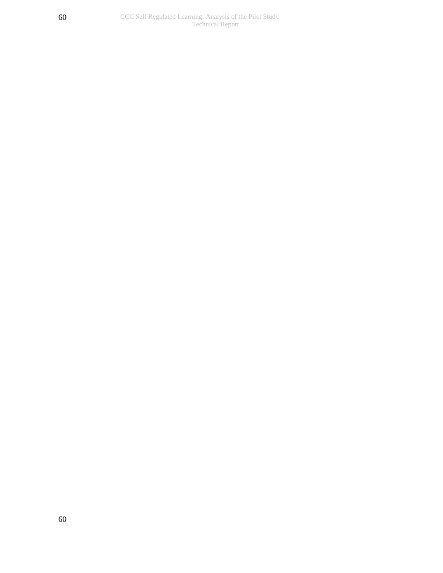60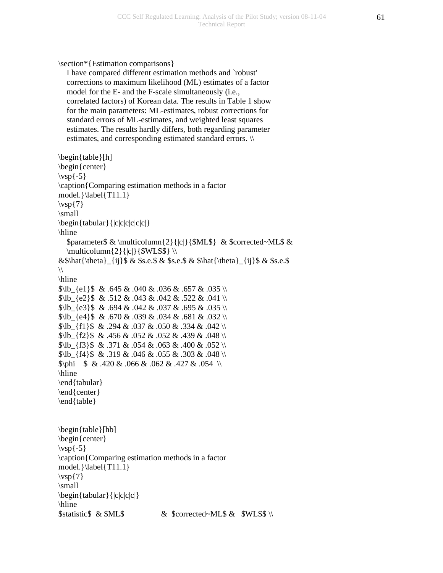```
\section*{Estimation comparisons}
```
 I have compared different estimation methods and `robust' corrections to maximum likelihood (ML) estimates of a factor model for the E- and the F-scale simultaneously (i.e., correlated factors) of Korean data. The results in Table 1 show for the main parameters: ML-estimates, robust corrections for standard errors of ML-estimates, and weighted least squares estimates. The results hardly differs, both regarding parameter estimates, and corresponding estimated standard errors.  $\setminus \setminus$ 

```
\begin{table}[h] 
\begin{center} 
\varepsilon \vsp{-5}
\caption{Comparing estimation methods in a factor 
model.\label{T11.1}\varepsilon\small 
\begin{tabular}{|c|c|c|c|c|c|} 
\hline 
    $parameter$ & \multicolumn{2}{|c|}{$ML$} & $corrected~ML$ & 
   \text{multicolumn{2}{|c|}{swLSS} \ \ \ \ \ \& \hat{\theta}_{ij}\$ & \times \sigma & \times \sigma \times \times \sigma \times \times \times \times \times \times \times \times \times \times \times \times \times \times \times \times \times \times \times \times \tim
\sqrt{ }\hline 
\left[\frac{\ell}{2}\right] \ & .645 & .040 & .036 & .657 & .035 \\
\lvert \Delta \rvert = \lvert \Delta \rvert = \lvert \Delta \rvert = .512 \& .043 \& .042 \& .522 \& .041 \rvert\left[\frac{e3}{8} \& .694 \& .042 \& .037 \& .695 \& .035 \right]\left[\frac{e4}{\$} \& .670 \& .039 \& .034 \& .681 \& .032 \right]\left[\frac{f1}{\$} \& .294 \& .037 \& .050 \& .334 \& .042 \right]\left[\frac{f2}{\$} \& .456 \& .052 \& .052 \& .439 \& .048 \right]$\lb_{f3}$ & .371 & .054 & .063 & .400 & .052 \\ 
\langle 18 \rangle {f4}$ & .319 & .046 & .055 & .303 & .048 \\
\phi $ \text{ $ & .420 & .066 & .062 & .427 & .054 \\
\hline 
\end{tabular} 
\end{center} 
\end{table} 
\begin{table}[hb] 
\begin{center} 
\varepsilon \vsp{-5}
\caption{Comparing estimation methods in a factor 
model.\label{T11.1}\varepsilon\small 
\begin{cases} {\c|c|c} \end{cases}\hline 
\text{Statistics } \& \text{SMLS} & \& \text{Corrected-MLS} \& \text{SWLSS}
```